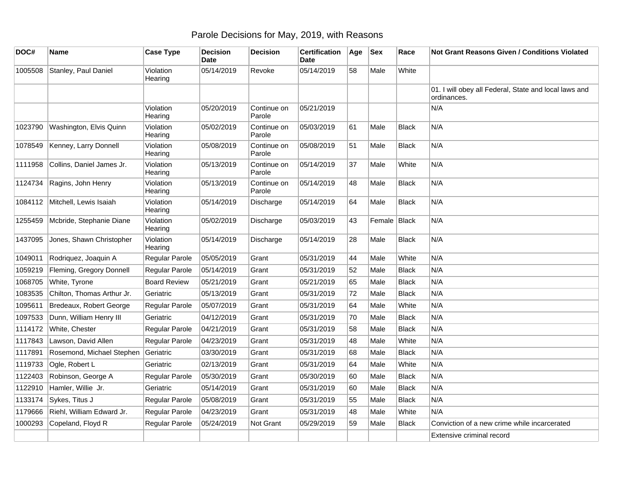## Parole Decisions for May, 2019, with Reasons

| DOC#    | Name                       | <b>Case Type</b>     | <b>Decision</b><br><b>Date</b> | <b>Decision</b>       | <b>Certification</b><br>Date | Age | <b>Sex</b>   | Race         | <b>Not Grant Reasons Given / Conditions Violated</b>                 |
|---------|----------------------------|----------------------|--------------------------------|-----------------------|------------------------------|-----|--------------|--------------|----------------------------------------------------------------------|
| 1005508 | Stanley, Paul Daniel       | Violation<br>Hearing | 05/14/2019                     | Revoke                | 05/14/2019                   | 58  | Male         | White        |                                                                      |
|         |                            |                      |                                |                       |                              |     |              |              | 01. I will obey all Federal, State and local laws and<br>ordinances. |
|         |                            | Violation<br>Hearing | 05/20/2019                     | Continue on<br>Parole | 05/21/2019                   |     |              |              | N/A                                                                  |
| 1023790 | Washington, Elvis Quinn    | Violation<br>Hearing | 05/02/2019                     | Continue on<br>Parole | 05/03/2019                   | 61  | Male         | <b>Black</b> | N/A                                                                  |
| 1078549 | Kenney, Larry Donnell      | Violation<br>Hearing | 05/08/2019                     | Continue on<br>Parole | 05/08/2019                   | 51  | Male         | <b>Black</b> | N/A                                                                  |
| 1111958 | Collins, Daniel James Jr.  | Violation<br>Hearing | 05/13/2019                     | Continue on<br>Parole | 05/14/2019                   | 37  | Male         | White        | N/A                                                                  |
| 1124734 | Ragins, John Henry         | Violation<br>Hearing | 05/13/2019                     | Continue on<br>Parole | 05/14/2019                   | 48  | Male         | <b>Black</b> | N/A                                                                  |
| 1084112 | Mitchell, Lewis Isaiah     | Violation<br>Hearing | 05/14/2019                     | Discharge             | 05/14/2019                   | 64  | Male         | <b>Black</b> | N/A                                                                  |
| 1255459 | Mcbride, Stephanie Diane   | Violation<br>Hearing | 05/02/2019                     | Discharge             | 05/03/2019                   | 43  | Female Black |              | N/A                                                                  |
| 1437095 | Jones, Shawn Christopher   | Violation<br>Hearing | 05/14/2019                     | Discharge             | 05/14/2019                   | 28  | Male         | Black        | N/A                                                                  |
| 1049011 | Rodriquez, Joaquin A       | Regular Parole       | 05/05/2019                     | Grant                 | 05/31/2019                   | 44  | Male         | White        | N/A                                                                  |
| 1059219 | Fleming, Gregory Donnell   | Regular Parole       | 05/14/2019                     | Grant                 | 05/31/2019                   | 52  | Male         | <b>Black</b> | N/A                                                                  |
| 1068705 | White, Tyrone              | <b>Board Review</b>  | 05/21/2019                     | Grant                 | 05/21/2019                   | 65  | Male         | <b>Black</b> | N/A                                                                  |
| 1083535 | Chilton, Thomas Arthur Jr. | Geriatric            | 05/13/2019                     | Grant                 | 05/31/2019                   | 72  | Male         | <b>Black</b> | N/A                                                                  |
| 1095611 | Bredeaux, Robert George    | Regular Parole       | 05/07/2019                     | Grant                 | 05/31/2019                   | 64  | Male         | White        | N/A                                                                  |
| 1097533 | Dunn, William Henry III    | Geriatric            | 04/12/2019                     | Grant                 | 05/31/2019                   | 70  | Male         | <b>Black</b> | N/A                                                                  |
| 1114172 | White, Chester             | Regular Parole       | 04/21/2019                     | Grant                 | 05/31/2019                   | 58  | Male         | <b>Black</b> | N/A                                                                  |
| 1117843 | Lawson, David Allen        | Regular Parole       | 04/23/2019                     | Grant                 | 05/31/2019                   | 48  | Male         | White        | N/A                                                                  |
| 1117891 | Rosemond, Michael Stephen  | Geriatric            | 03/30/2019                     | Grant                 | 05/31/2019                   | 68  | Male         | <b>Black</b> | N/A                                                                  |
| 1119733 | Ogle, Robert L             | Geriatric            | 02/13/2019                     | Grant                 | 05/31/2019                   | 64  | Male         | White        | N/A                                                                  |
| 1122403 | Robinson, George A         | Regular Parole       | 05/30/2019                     | Grant                 | 05/30/2019                   | 60  | Male         | <b>Black</b> | N/A                                                                  |
| 1122910 | Hamler, Willie Jr.         | Geriatric            | 05/14/2019                     | Grant                 | 05/31/2019                   | 60  | Male         | <b>Black</b> | N/A                                                                  |
| 1133174 | Sykes, Titus J             | Regular Parole       | 05/08/2019                     | Grant                 | 05/31/2019                   | 55  | Male         | <b>Black</b> | N/A                                                                  |
| 1179666 | Riehl, William Edward Jr.  | Regular Parole       | 04/23/2019                     | Grant                 | 05/31/2019                   | 48  | Male         | White        | N/A                                                                  |
| 1000293 | Copeland, Floyd R          | Regular Parole       | 05/24/2019                     | Not Grant             | 05/29/2019                   | 59  | Male         | Black        | Conviction of a new crime while incarcerated                         |
|         |                            |                      |                                |                       |                              |     |              |              | Extensive criminal record                                            |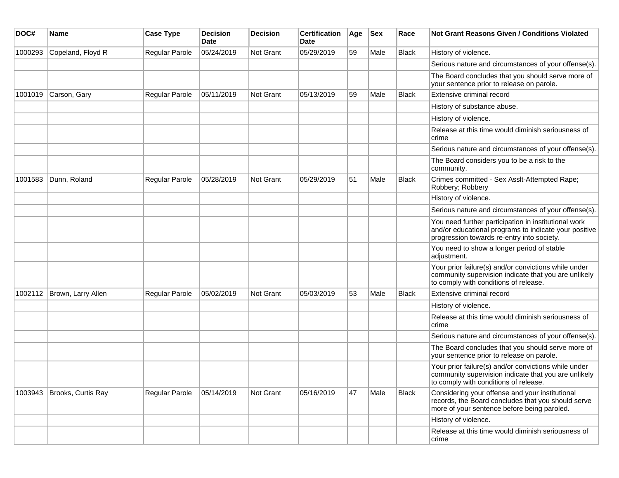| DOC#    | Name               | <b>Case Type</b> | <b>Decision</b><br><b>Date</b> | <b>Decision</b> | <b>Certification</b><br>Date | Age | <b>Sex</b> | Race         | <b>Not Grant Reasons Given / Conditions Violated</b>                                                                                                        |
|---------|--------------------|------------------|--------------------------------|-----------------|------------------------------|-----|------------|--------------|-------------------------------------------------------------------------------------------------------------------------------------------------------------|
| 1000293 | Copeland, Floyd R  | Regular Parole   | 05/24/2019                     | Not Grant       | 05/29/2019                   | 59  | Male       | <b>Black</b> | History of violence.                                                                                                                                        |
|         |                    |                  |                                |                 |                              |     |            |              | Serious nature and circumstances of your offense(s).                                                                                                        |
|         |                    |                  |                                |                 |                              |     |            |              | The Board concludes that you should serve more of<br>your sentence prior to release on parole.                                                              |
| 1001019 | Carson, Gary       | Regular Parole   | 05/11/2019                     | Not Grant       | 05/13/2019                   | 59  | Male       | <b>Black</b> | Extensive criminal record                                                                                                                                   |
|         |                    |                  |                                |                 |                              |     |            |              | History of substance abuse.                                                                                                                                 |
|         |                    |                  |                                |                 |                              |     |            |              | History of violence.                                                                                                                                        |
|         |                    |                  |                                |                 |                              |     |            |              | Release at this time would diminish seriousness of<br>crime                                                                                                 |
|         |                    |                  |                                |                 |                              |     |            |              | Serious nature and circumstances of your offense(s).                                                                                                        |
|         |                    |                  |                                |                 |                              |     |            |              | The Board considers you to be a risk to the<br>community.                                                                                                   |
| 1001583 | Dunn, Roland       | Regular Parole   | 05/28/2019                     | Not Grant       | 05/29/2019                   | 51  | Male       | <b>Black</b> | Crimes committed - Sex Asslt-Attempted Rape;<br>Robbery; Robbery                                                                                            |
|         |                    |                  |                                |                 |                              |     |            |              | History of violence.                                                                                                                                        |
|         |                    |                  |                                |                 |                              |     |            |              | Serious nature and circumstances of your offense(s).                                                                                                        |
|         |                    |                  |                                |                 |                              |     |            |              | You need further participation in institutional work<br>and/or educational programs to indicate your positive<br>progression towards re-entry into society. |
|         |                    |                  |                                |                 |                              |     |            |              | You need to show a longer period of stable<br>adjustment.                                                                                                   |
|         |                    |                  |                                |                 |                              |     |            |              | Your prior failure(s) and/or convictions while under<br>community supervision indicate that you are unlikely<br>to comply with conditions of release.       |
| 1002112 | Brown, Larry Allen | Regular Parole   | 05/02/2019                     | Not Grant       | 05/03/2019                   | 53  | Male       | <b>Black</b> | Extensive criminal record                                                                                                                                   |
|         |                    |                  |                                |                 |                              |     |            |              | History of violence.                                                                                                                                        |
|         |                    |                  |                                |                 |                              |     |            |              | Release at this time would diminish seriousness of<br>crime                                                                                                 |
|         |                    |                  |                                |                 |                              |     |            |              | Serious nature and circumstances of your offense(s).                                                                                                        |
|         |                    |                  |                                |                 |                              |     |            |              | The Board concludes that you should serve more of<br>your sentence prior to release on parole.                                                              |
|         |                    |                  |                                |                 |                              |     |            |              | Your prior failure(s) and/or convictions while under<br>community supervision indicate that you are unlikely<br>to comply with conditions of release.       |
| 1003943 | Brooks, Curtis Ray | Regular Parole   | 05/14/2019                     | Not Grant       | 05/16/2019                   | 47  | Male       | <b>Black</b> | Considering your offense and your institutional<br>records, the Board concludes that you should serve<br>more of your sentence before being paroled.        |
|         |                    |                  |                                |                 |                              |     |            |              | History of violence.                                                                                                                                        |
|         |                    |                  |                                |                 |                              |     |            |              | Release at this time would diminish seriousness of<br>crime                                                                                                 |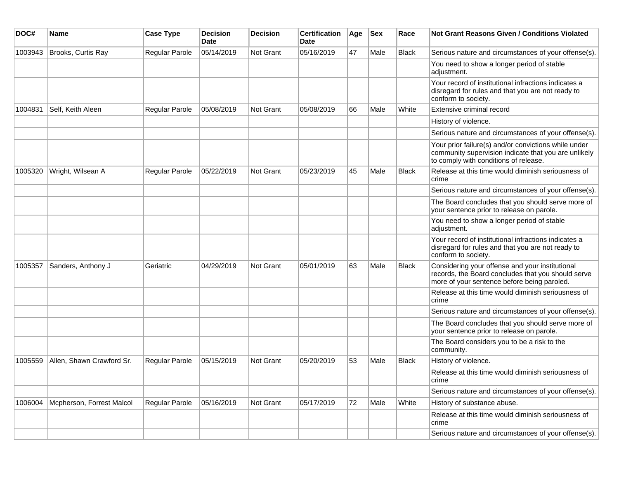| DOC#    | Name                      | <b>Case Type</b> | <b>Decision</b><br>Date | <b>Decision</b> | <b>Certification</b><br>Date | Age | <b>Sex</b> | Race         | <b>Not Grant Reasons Given / Conditions Violated</b>                                                                                                  |
|---------|---------------------------|------------------|-------------------------|-----------------|------------------------------|-----|------------|--------------|-------------------------------------------------------------------------------------------------------------------------------------------------------|
| 1003943 | Brooks, Curtis Ray        | Regular Parole   | 05/14/2019              | Not Grant       | 05/16/2019                   | 47  | Male       | <b>Black</b> | Serious nature and circumstances of your offense(s).                                                                                                  |
|         |                           |                  |                         |                 |                              |     |            |              | You need to show a longer period of stable<br>adjustment.                                                                                             |
|         |                           |                  |                         |                 |                              |     |            |              | Your record of institutional infractions indicates a<br>disregard for rules and that you are not ready to<br>conform to society.                      |
| 1004831 | Self, Keith Aleen         | Regular Parole   | 05/08/2019              | Not Grant       | 05/08/2019                   | 66  | Male       | White        | Extensive criminal record                                                                                                                             |
|         |                           |                  |                         |                 |                              |     |            |              | History of violence.                                                                                                                                  |
|         |                           |                  |                         |                 |                              |     |            |              | Serious nature and circumstances of your offense(s).                                                                                                  |
|         |                           |                  |                         |                 |                              |     |            |              | Your prior failure(s) and/or convictions while under<br>community supervision indicate that you are unlikely<br>to comply with conditions of release. |
| 1005320 | Wright, Wilsean A         | Regular Parole   | 05/22/2019              | Not Grant       | 05/23/2019                   | 45  | Male       | Black        | Release at this time would diminish seriousness of<br>crime                                                                                           |
|         |                           |                  |                         |                 |                              |     |            |              | Serious nature and circumstances of your offense(s).                                                                                                  |
|         |                           |                  |                         |                 |                              |     |            |              | The Board concludes that you should serve more of<br>your sentence prior to release on parole.                                                        |
|         |                           |                  |                         |                 |                              |     |            |              | You need to show a longer period of stable<br>adjustment.                                                                                             |
|         |                           |                  |                         |                 |                              |     |            |              | Your record of institutional infractions indicates a<br>disregard for rules and that you are not ready to<br>conform to society.                      |
| 1005357 | Sanders, Anthony J        | Geriatric        | 04/29/2019              | Not Grant       | 05/01/2019                   | 63  | Male       | <b>Black</b> | Considering your offense and your institutional<br>records, the Board concludes that you should serve<br>more of your sentence before being paroled.  |
|         |                           |                  |                         |                 |                              |     |            |              | Release at this time would diminish seriousness of<br>crime                                                                                           |
|         |                           |                  |                         |                 |                              |     |            |              | Serious nature and circumstances of your offense(s).                                                                                                  |
|         |                           |                  |                         |                 |                              |     |            |              | The Board concludes that you should serve more of<br>your sentence prior to release on parole.                                                        |
|         |                           |                  |                         |                 |                              |     |            |              | The Board considers you to be a risk to the<br>community.                                                                                             |
| 1005559 | Allen, Shawn Crawford Sr. | Regular Parole   | 05/15/2019              | Not Grant       | 05/20/2019                   | 53  | Male       | <b>Black</b> | History of violence.                                                                                                                                  |
|         |                           |                  |                         |                 |                              |     |            |              | Release at this time would diminish seriousness of<br> crime                                                                                          |
|         |                           |                  |                         |                 |                              |     |            |              | Serious nature and circumstances of your offense(s).                                                                                                  |
| 1006004 | Mcpherson, Forrest Malcol | Regular Parole   | 05/16/2019              | Not Grant       | 05/17/2019                   | 72  | Male       | White        | History of substance abuse.                                                                                                                           |
|         |                           |                  |                         |                 |                              |     |            |              | Release at this time would diminish seriousness of<br>crime                                                                                           |
|         |                           |                  |                         |                 |                              |     |            |              | Serious nature and circumstances of your offense(s).                                                                                                  |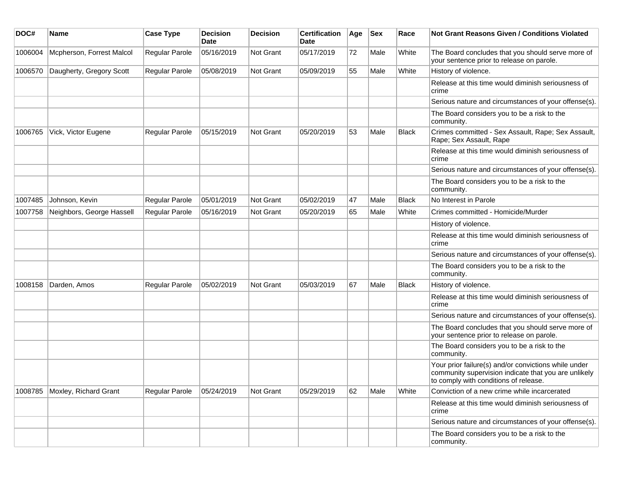| DOC#    | Name                      | <b>Case Type</b> | <b>Decision</b><br>Date | <b>Decision</b> | <b>Certification</b><br>Date | Age | <b>Sex</b> | Race         | Not Grant Reasons Given / Conditions Violated                                                                                                         |
|---------|---------------------------|------------------|-------------------------|-----------------|------------------------------|-----|------------|--------------|-------------------------------------------------------------------------------------------------------------------------------------------------------|
| 1006004 | Mcpherson, Forrest Malcol | Regular Parole   | 05/16/2019              | Not Grant       | 05/17/2019                   | 72  | Male       | White        | The Board concludes that you should serve more of<br>your sentence prior to release on parole.                                                        |
| 1006570 | Daugherty, Gregory Scott  | Regular Parole   | 05/08/2019              | Not Grant       | 05/09/2019                   | 55  | Male       | White        | History of violence.                                                                                                                                  |
|         |                           |                  |                         |                 |                              |     |            |              | Release at this time would diminish seriousness of<br>crime                                                                                           |
|         |                           |                  |                         |                 |                              |     |            |              | Serious nature and circumstances of your offense(s).                                                                                                  |
|         |                           |                  |                         |                 |                              |     |            |              | The Board considers you to be a risk to the<br>community.                                                                                             |
| 1006765 | Vick, Victor Eugene       | Regular Parole   | 05/15/2019              | Not Grant       | 05/20/2019                   | 53  | Male       | <b>Black</b> | Crimes committed - Sex Assault, Rape; Sex Assault,<br>Rape; Sex Assault, Rape                                                                         |
|         |                           |                  |                         |                 |                              |     |            |              | Release at this time would diminish seriousness of<br>crime                                                                                           |
|         |                           |                  |                         |                 |                              |     |            |              | Serious nature and circumstances of your offense(s).                                                                                                  |
|         |                           |                  |                         |                 |                              |     |            |              | The Board considers you to be a risk to the<br>community.                                                                                             |
| 1007485 | Johnson, Kevin            | Regular Parole   | 05/01/2019              | Not Grant       | 05/02/2019                   | 47  | Male       | <b>Black</b> | No Interest in Parole                                                                                                                                 |
| 1007758 | Neighbors, George Hassell | Regular Parole   | 05/16/2019              | Not Grant       | 05/20/2019                   | 65  | Male       | White        | Crimes committed - Homicide/Murder                                                                                                                    |
|         |                           |                  |                         |                 |                              |     |            |              | History of violence.                                                                                                                                  |
|         |                           |                  |                         |                 |                              |     |            |              | Release at this time would diminish seriousness of<br>crime                                                                                           |
|         |                           |                  |                         |                 |                              |     |            |              | Serious nature and circumstances of your offense(s).                                                                                                  |
|         |                           |                  |                         |                 |                              |     |            |              | The Board considers you to be a risk to the<br>community.                                                                                             |
| 1008158 | Darden, Amos              | Regular Parole   | 05/02/2019              | Not Grant       | 05/03/2019                   | 67  | Male       | <b>Black</b> | History of violence.                                                                                                                                  |
|         |                           |                  |                         |                 |                              |     |            |              | Release at this time would diminish seriousness of<br>crime                                                                                           |
|         |                           |                  |                         |                 |                              |     |            |              | Serious nature and circumstances of your offense(s).                                                                                                  |
|         |                           |                  |                         |                 |                              |     |            |              | The Board concludes that you should serve more of<br>your sentence prior to release on parole.                                                        |
|         |                           |                  |                         |                 |                              |     |            |              | The Board considers you to be a risk to the<br>community.                                                                                             |
|         |                           |                  |                         |                 |                              |     |            |              | Your prior failure(s) and/or convictions while under<br>community supervision indicate that you are unlikely<br>to comply with conditions of release. |
| 1008785 | Moxley, Richard Grant     | Regular Parole   | 05/24/2019              | Not Grant       | 05/29/2019                   | 62  | Male       | White        | Conviction of a new crime while incarcerated                                                                                                          |
|         |                           |                  |                         |                 |                              |     |            |              | Release at this time would diminish seriousness of<br>crime                                                                                           |
|         |                           |                  |                         |                 |                              |     |            |              | Serious nature and circumstances of your offense(s).                                                                                                  |
|         |                           |                  |                         |                 |                              |     |            |              | The Board considers you to be a risk to the<br>community.                                                                                             |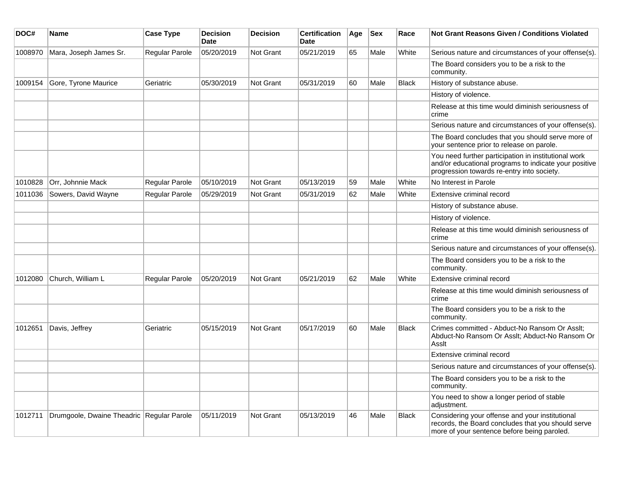| DOC#    | <b>Name</b>                               | <b>Case Type</b> | <b>Decision</b><br>Date | <b>Decision</b> | <b>Certification</b><br>Date | Age | <b>Sex</b> | Race         | Not Grant Reasons Given / Conditions Violated                                                                                                               |
|---------|-------------------------------------------|------------------|-------------------------|-----------------|------------------------------|-----|------------|--------------|-------------------------------------------------------------------------------------------------------------------------------------------------------------|
| 1008970 | Mara, Joseph James Sr.                    | Regular Parole   | 05/20/2019              | Not Grant       | 05/21/2019                   | 65  | Male       | White        | Serious nature and circumstances of your offense(s).                                                                                                        |
|         |                                           |                  |                         |                 |                              |     |            |              | The Board considers you to be a risk to the<br>community.                                                                                                   |
| 1009154 | Gore, Tyrone Maurice                      | Geriatric        | 05/30/2019              | Not Grant       | 05/31/2019                   | 60  | Male       | <b>Black</b> | History of substance abuse.                                                                                                                                 |
|         |                                           |                  |                         |                 |                              |     |            |              | History of violence.                                                                                                                                        |
|         |                                           |                  |                         |                 |                              |     |            |              | Release at this time would diminish seriousness of<br>crime                                                                                                 |
|         |                                           |                  |                         |                 |                              |     |            |              | Serious nature and circumstances of your offense(s).                                                                                                        |
|         |                                           |                  |                         |                 |                              |     |            |              | The Board concludes that you should serve more of<br>your sentence prior to release on parole.                                                              |
|         |                                           |                  |                         |                 |                              |     |            |              | You need further participation in institutional work<br>and/or educational programs to indicate your positive<br>progression towards re-entry into society. |
| 1010828 | Orr, Johnnie Mack                         | Regular Parole   | 05/10/2019              | Not Grant       | 05/13/2019                   | 59  | Male       | White        | No Interest in Parole                                                                                                                                       |
| 1011036 | Sowers, David Wayne                       | Regular Parole   | 05/29/2019              | Not Grant       | 05/31/2019                   | 62  | Male       | White        | Extensive criminal record                                                                                                                                   |
|         |                                           |                  |                         |                 |                              |     |            |              | History of substance abuse.                                                                                                                                 |
|         |                                           |                  |                         |                 |                              |     |            |              | History of violence.                                                                                                                                        |
|         |                                           |                  |                         |                 |                              |     |            |              | Release at this time would diminish seriousness of<br>crime                                                                                                 |
|         |                                           |                  |                         |                 |                              |     |            |              | Serious nature and circumstances of your offense(s).                                                                                                        |
|         |                                           |                  |                         |                 |                              |     |            |              | The Board considers you to be a risk to the<br>community.                                                                                                   |
| 1012080 | Church, William L                         | Regular Parole   | 05/20/2019              | Not Grant       | 05/21/2019                   | 62  | Male       | White        | Extensive criminal record                                                                                                                                   |
|         |                                           |                  |                         |                 |                              |     |            |              | Release at this time would diminish seriousness of<br>crime                                                                                                 |
|         |                                           |                  |                         |                 |                              |     |            |              | The Board considers you to be a risk to the<br>community.                                                                                                   |
| 1012651 | Davis, Jeffrey                            | Geriatric        | 05/15/2019              | Not Grant       | 05/17/2019                   | 60  | Male       | Black        | Crimes committed - Abduct-No Ransom Or Asslt;<br>Abduct-No Ransom Or Asslt; Abduct-No Ransom Or<br>Asslt                                                    |
|         |                                           |                  |                         |                 |                              |     |            |              | Extensive criminal record                                                                                                                                   |
|         |                                           |                  |                         |                 |                              |     |            |              | Serious nature and circumstances of your offense(s).                                                                                                        |
|         |                                           |                  |                         |                 |                              |     |            |              | The Board considers you to be a risk to the<br>community.                                                                                                   |
|         |                                           |                  |                         |                 |                              |     |            |              | You need to show a longer period of stable<br>adjustment.                                                                                                   |
| 1012711 | Drumgoole, Dwaine Theadric Regular Parole |                  | 05/11/2019              | Not Grant       | 05/13/2019                   | 46  | Male       | Black        | Considering your offense and your institutional<br>records, the Board concludes that you should serve<br>more of your sentence before being paroled.        |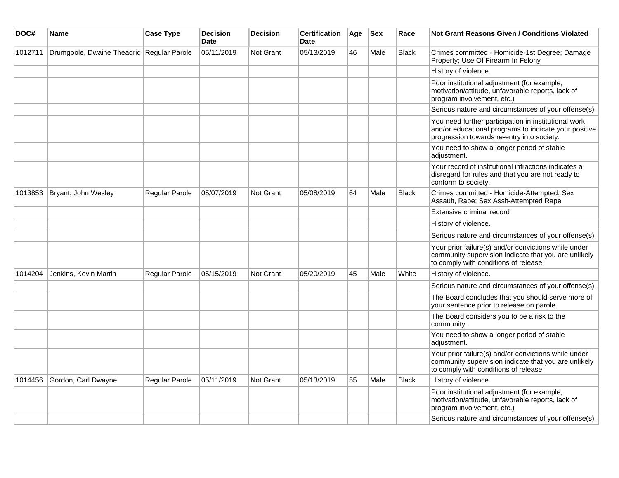| DOC#    | <b>Name</b>                               | <b>Case Type</b> | <b>Decision</b><br><b>Date</b> | <b>Decision</b>  | <b>Certification</b><br><b>Date</b> | Age | <b>Sex</b> | Race         | <b>Not Grant Reasons Given / Conditions Violated</b>                                                                                                        |
|---------|-------------------------------------------|------------------|--------------------------------|------------------|-------------------------------------|-----|------------|--------------|-------------------------------------------------------------------------------------------------------------------------------------------------------------|
| 1012711 | Drumgoole, Dwaine Theadric Regular Parole |                  | 05/11/2019                     | <b>Not Grant</b> | 05/13/2019                          | 46  | Male       | <b>Black</b> | Crimes committed - Homicide-1st Degree; Damage<br>Property; Use Of Firearm In Felony                                                                        |
|         |                                           |                  |                                |                  |                                     |     |            |              | History of violence.                                                                                                                                        |
|         |                                           |                  |                                |                  |                                     |     |            |              | Poor institutional adjustment (for example,<br>motivation/attitude, unfavorable reports, lack of<br>program involvement, etc.)                              |
|         |                                           |                  |                                |                  |                                     |     |            |              | Serious nature and circumstances of your offense(s).                                                                                                        |
|         |                                           |                  |                                |                  |                                     |     |            |              | You need further participation in institutional work<br>and/or educational programs to indicate your positive<br>progression towards re-entry into society. |
|         |                                           |                  |                                |                  |                                     |     |            |              | You need to show a longer period of stable<br>adjustment.                                                                                                   |
|         |                                           |                  |                                |                  |                                     |     |            |              | Your record of institutional infractions indicates a<br>disregard for rules and that you are not ready to<br>conform to society.                            |
| 1013853 | Bryant, John Wesley                       | Regular Parole   | 05/07/2019                     | <b>Not Grant</b> | 05/08/2019                          | 64  | Male       | <b>Black</b> | Crimes committed - Homicide-Attempted; Sex<br>Assault, Rape; Sex Assit-Attempted Rape                                                                       |
|         |                                           |                  |                                |                  |                                     |     |            |              | Extensive criminal record                                                                                                                                   |
|         |                                           |                  |                                |                  |                                     |     |            |              | History of violence.                                                                                                                                        |
|         |                                           |                  |                                |                  |                                     |     |            |              | Serious nature and circumstances of your offense(s).                                                                                                        |
|         |                                           |                  |                                |                  |                                     |     |            |              | Your prior failure(s) and/or convictions while under<br>community supervision indicate that you are unlikely<br>to comply with conditions of release.       |
| 1014204 | Jenkins, Kevin Martin                     | Regular Parole   | 05/15/2019                     | Not Grant        | 05/20/2019                          | 45  | Male       | White        | History of violence.                                                                                                                                        |
|         |                                           |                  |                                |                  |                                     |     |            |              | Serious nature and circumstances of your offense(s).                                                                                                        |
|         |                                           |                  |                                |                  |                                     |     |            |              | The Board concludes that you should serve more of<br>your sentence prior to release on parole.                                                              |
|         |                                           |                  |                                |                  |                                     |     |            |              | The Board considers you to be a risk to the<br>community.                                                                                                   |
|         |                                           |                  |                                |                  |                                     |     |            |              | You need to show a longer period of stable<br>adjustment.                                                                                                   |
|         |                                           |                  |                                |                  |                                     |     |            |              | Your prior failure(s) and/or convictions while under<br>community supervision indicate that you are unlikely<br>to comply with conditions of release.       |
| 1014456 | Gordon, Carl Dwayne                       | Regular Parole   | 05/11/2019                     | <b>Not Grant</b> | 05/13/2019                          | 55  | Male       | <b>Black</b> | History of violence.                                                                                                                                        |
|         |                                           |                  |                                |                  |                                     |     |            |              | Poor institutional adjustment (for example,<br>motivation/attitude, unfavorable reports, lack of<br>program involvement, etc.)                              |
|         |                                           |                  |                                |                  |                                     |     |            |              | Serious nature and circumstances of your offense(s).                                                                                                        |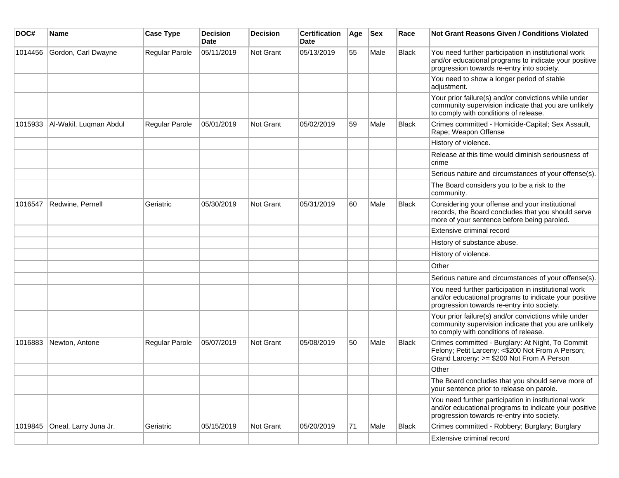| DOC#    | Name                   | <b>Case Type</b>      | <b>Decision</b><br><b>Date</b> | <b>Decision</b> | <b>Certification</b><br>Date | Age | <b>Sex</b> | Race         | <b>Not Grant Reasons Given / Conditions Violated</b>                                                                                                        |
|---------|------------------------|-----------------------|--------------------------------|-----------------|------------------------------|-----|------------|--------------|-------------------------------------------------------------------------------------------------------------------------------------------------------------|
| 1014456 | Gordon, Carl Dwayne    | Regular Parole        | 05/11/2019                     | Not Grant       | 05/13/2019                   | 55  | Male       | <b>Black</b> | You need further participation in institutional work<br>and/or educational programs to indicate your positive<br>progression towards re-entry into society. |
|         |                        |                       |                                |                 |                              |     |            |              | You need to show a longer period of stable<br>adjustment.                                                                                                   |
|         |                        |                       |                                |                 |                              |     |            |              | Your prior failure(s) and/or convictions while under<br>community supervision indicate that you are unlikely<br>to comply with conditions of release.       |
| 1015933 | Al-Wakil, Luqman Abdul | <b>Regular Parole</b> | 05/01/2019                     | Not Grant       | 05/02/2019                   | 59  | Male       | <b>Black</b> | Crimes committed - Homicide-Capital; Sex Assault,<br>Rape; Weapon Offense                                                                                   |
|         |                        |                       |                                |                 |                              |     |            |              | History of violence.                                                                                                                                        |
|         |                        |                       |                                |                 |                              |     |            |              | Release at this time would diminish seriousness of<br>crime                                                                                                 |
|         |                        |                       |                                |                 |                              |     |            |              | Serious nature and circumstances of your offense(s).                                                                                                        |
|         |                        |                       |                                |                 |                              |     |            |              | The Board considers you to be a risk to the<br>community.                                                                                                   |
| 1016547 | Redwine, Pernell       | Geriatric             | 05/30/2019                     | Not Grant       | 05/31/2019                   | 60  | Male       | <b>Black</b> | Considering your offense and your institutional<br>records, the Board concludes that you should serve<br>more of your sentence before being paroled.        |
|         |                        |                       |                                |                 |                              |     |            |              | Extensive criminal record                                                                                                                                   |
|         |                        |                       |                                |                 |                              |     |            |              | History of substance abuse.                                                                                                                                 |
|         |                        |                       |                                |                 |                              |     |            |              | History of violence.                                                                                                                                        |
|         |                        |                       |                                |                 |                              |     |            |              | Other                                                                                                                                                       |
|         |                        |                       |                                |                 |                              |     |            |              | Serious nature and circumstances of your offense(s).                                                                                                        |
|         |                        |                       |                                |                 |                              |     |            |              | You need further participation in institutional work<br>and/or educational programs to indicate your positive<br>progression towards re-entry into society. |
|         |                        |                       |                                |                 |                              |     |            |              | Your prior failure(s) and/or convictions while under<br>community supervision indicate that you are unlikely<br>to comply with conditions of release.       |
| 1016883 | Newton, Antone         | Regular Parole        | 05/07/2019                     | Not Grant       | 05/08/2019                   | 50  | Male       | <b>Black</b> | Crimes committed - Burglary: At Night, To Commit<br>Felony; Petit Larceny: <\$200 Not From A Person;<br>Grand Larceny: >= \$200 Not From A Person           |
|         |                        |                       |                                |                 |                              |     |            |              | Other                                                                                                                                                       |
|         |                        |                       |                                |                 |                              |     |            |              | The Board concludes that you should serve more of<br>your sentence prior to release on parole.                                                              |
|         |                        |                       |                                |                 |                              |     |            |              | You need further participation in institutional work<br>and/or educational programs to indicate your positive<br>progression towards re-entry into society. |
| 1019845 | Oneal, Larry Juna Jr.  | Geriatric             | 05/15/2019                     | Not Grant       | 05/20/2019                   | 71  | Male       | Black        | Crimes committed - Robbery; Burglary; Burglary                                                                                                              |
|         |                        |                       |                                |                 |                              |     |            |              | Extensive criminal record                                                                                                                                   |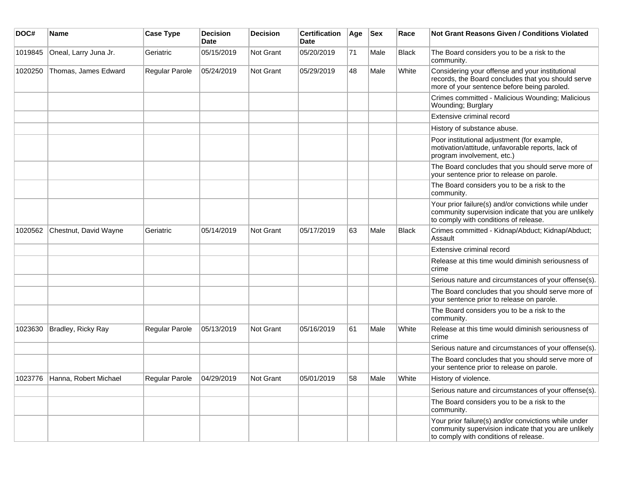| DOC#    | <b>Name</b>                   | <b>Case Type</b> | <b>Decision</b><br><b>Date</b> | Decision  | <b>Certification</b><br>Date | Age | <b>Sex</b> | Race         | Not Grant Reasons Given / Conditions Violated                                                                                                         |
|---------|-------------------------------|------------------|--------------------------------|-----------|------------------------------|-----|------------|--------------|-------------------------------------------------------------------------------------------------------------------------------------------------------|
| 1019845 | Oneal, Larry Juna Jr.         | Geriatric        | 05/15/2019                     | Not Grant | 05/20/2019                   | 71  | Male       | Black        | The Board considers you to be a risk to the<br>community.                                                                                             |
| 1020250 | Thomas, James Edward          | Regular Parole   | 05/24/2019                     | Not Grant | 05/29/2019                   | 48  | Male       | White        | Considering your offense and your institutional<br>records, the Board concludes that you should serve<br>more of your sentence before being paroled.  |
|         |                               |                  |                                |           |                              |     |            |              | Crimes committed - Malicious Wounding; Malicious<br>Wounding; Burglary                                                                                |
|         |                               |                  |                                |           |                              |     |            |              | Extensive criminal record                                                                                                                             |
|         |                               |                  |                                |           |                              |     |            |              | History of substance abuse.                                                                                                                           |
|         |                               |                  |                                |           |                              |     |            |              | Poor institutional adjustment (for example,<br>motivation/attitude, unfavorable reports, lack of<br>program involvement, etc.)                        |
|         |                               |                  |                                |           |                              |     |            |              | The Board concludes that you should serve more of<br>your sentence prior to release on parole.                                                        |
|         |                               |                  |                                |           |                              |     |            |              | The Board considers you to be a risk to the<br>community.                                                                                             |
|         |                               |                  |                                |           |                              |     |            |              | Your prior failure(s) and/or convictions while under<br>community supervision indicate that you are unlikely<br>to comply with conditions of release. |
| 1020562 | Chestnut, David Wayne         | Geriatric        | 05/14/2019                     | Not Grant | 05/17/2019                   | 63  | Male       | <b>Black</b> | Crimes committed - Kidnap/Abduct; Kidnap/Abduct;<br>Assault                                                                                           |
|         |                               |                  |                                |           |                              |     |            |              | Extensive criminal record                                                                                                                             |
|         |                               |                  |                                |           |                              |     |            |              | Release at this time would diminish seriousness of<br>crime                                                                                           |
|         |                               |                  |                                |           |                              |     |            |              | Serious nature and circumstances of your offense(s).                                                                                                  |
|         |                               |                  |                                |           |                              |     |            |              | The Board concludes that you should serve more of<br>your sentence prior to release on parole.                                                        |
|         |                               |                  |                                |           |                              |     |            |              | The Board considers you to be a risk to the<br>community.                                                                                             |
| 1023630 | Bradley, Ricky Ray            | Regular Parole   | 05/13/2019                     | Not Grant | 05/16/2019                   | 61  | Male       | White        | Release at this time would diminish seriousness of<br>crime                                                                                           |
|         |                               |                  |                                |           |                              |     |            |              | Serious nature and circumstances of your offense(s).                                                                                                  |
|         |                               |                  |                                |           |                              |     |            |              | The Board concludes that you should serve more of<br>your sentence prior to release on parole.                                                        |
|         | 1023776 Hanna, Robert Michael | Regular Parole   | 04/29/2019                     | Not Grant | 05/01/2019                   | 58  | Male       | White        | History of violence.                                                                                                                                  |
|         |                               |                  |                                |           |                              |     |            |              | Serious nature and circumstances of your offense(s).                                                                                                  |
|         |                               |                  |                                |           |                              |     |            |              | The Board considers you to be a risk to the<br>community.                                                                                             |
|         |                               |                  |                                |           |                              |     |            |              | Your prior failure(s) and/or convictions while under<br>community supervision indicate that you are unlikely<br>to comply with conditions of release. |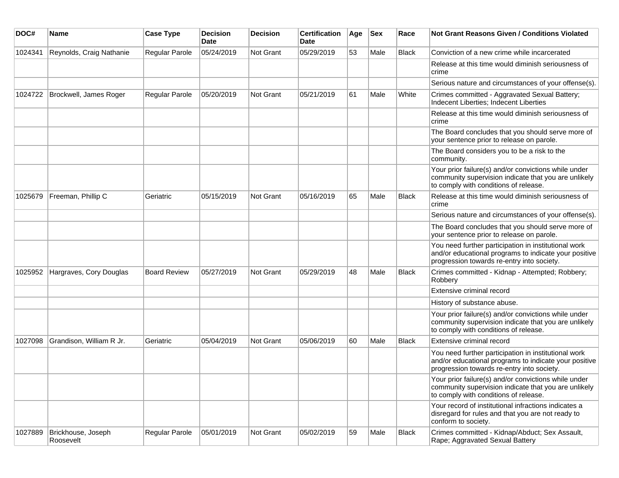| DOC#    | Name                            | <b>Case Type</b>      | <b>Decision</b><br><b>Date</b> | <b>Decision</b>  | <b>Certification</b><br>Date | Age | <b>Sex</b> | Race  | <b>Not Grant Reasons Given / Conditions Violated</b>                                                                                                        |
|---------|---------------------------------|-----------------------|--------------------------------|------------------|------------------------------|-----|------------|-------|-------------------------------------------------------------------------------------------------------------------------------------------------------------|
| 1024341 | Reynolds, Craig Nathanie        | Regular Parole        | 05/24/2019                     | <b>Not Grant</b> | 05/29/2019                   | 53  | Male       | Black | Conviction of a new crime while incarcerated                                                                                                                |
|         |                                 |                       |                                |                  |                              |     |            |       | Release at this time would diminish seriousness of<br>crime                                                                                                 |
|         |                                 |                       |                                |                  |                              |     |            |       | Serious nature and circumstances of your offense(s).                                                                                                        |
| 1024722 | Brockwell, James Roger          | <b>Regular Parole</b> | 05/20/2019                     | Not Grant        | 05/21/2019                   | 61  | Male       | White | Crimes committed - Aggravated Sexual Battery;<br>Indecent Liberties; Indecent Liberties                                                                     |
|         |                                 |                       |                                |                  |                              |     |            |       | Release at this time would diminish seriousness of<br>crime                                                                                                 |
|         |                                 |                       |                                |                  |                              |     |            |       | The Board concludes that you should serve more of<br>your sentence prior to release on parole.                                                              |
|         |                                 |                       |                                |                  |                              |     |            |       | The Board considers you to be a risk to the<br>community.                                                                                                   |
|         |                                 |                       |                                |                  |                              |     |            |       | Your prior failure(s) and/or convictions while under<br>community supervision indicate that you are unlikely<br>to comply with conditions of release.       |
| 1025679 | Freeman, Phillip C              | Geriatric             | 05/15/2019                     | <b>Not Grant</b> | 05/16/2019                   | 65  | Male       | Black | Release at this time would diminish seriousness of<br>crime                                                                                                 |
|         |                                 |                       |                                |                  |                              |     |            |       | Serious nature and circumstances of your offense(s).                                                                                                        |
|         |                                 |                       |                                |                  |                              |     |            |       | The Board concludes that you should serve more of<br>your sentence prior to release on parole.                                                              |
|         |                                 |                       |                                |                  |                              |     |            |       | You need further participation in institutional work<br>and/or educational programs to indicate your positive<br>progression towards re-entry into society. |
| 1025952 | Hargraves, Cory Douglas         | <b>Board Review</b>   | 05/27/2019                     | Not Grant        | 05/29/2019                   | 48  | Male       | Black | Crimes committed - Kidnap - Attempted; Robbery;<br>Robbery                                                                                                  |
|         |                                 |                       |                                |                  |                              |     |            |       | Extensive criminal record                                                                                                                                   |
|         |                                 |                       |                                |                  |                              |     |            |       | History of substance abuse.                                                                                                                                 |
|         |                                 |                       |                                |                  |                              |     |            |       | Your prior failure(s) and/or convictions while under<br>community supervision indicate that you are unlikely<br>to comply with conditions of release.       |
| 1027098 | Grandison, William R Jr.        | Geriatric             | 05/04/2019                     | <b>Not Grant</b> | 05/06/2019                   | 60  | Male       | Black | Extensive criminal record                                                                                                                                   |
|         |                                 |                       |                                |                  |                              |     |            |       | You need further participation in institutional work<br>and/or educational programs to indicate your positive<br>progression towards re-entry into society. |
|         |                                 |                       |                                |                  |                              |     |            |       | Your prior failure(s) and/or convictions while under<br>community supervision indicate that you are unlikely<br>to comply with conditions of release.       |
|         |                                 |                       |                                |                  |                              |     |            |       | Your record of institutional infractions indicates a<br>disregard for rules and that you are not ready to<br>conform to society.                            |
| 1027889 | Brickhouse, Joseph<br>Roosevelt | Regular Parole        | 05/01/2019                     | Not Grant        | 05/02/2019                   | 59  | Male       | Black | Crimes committed - Kidnap/Abduct; Sex Assault,<br>Rape; Aggravated Sexual Battery                                                                           |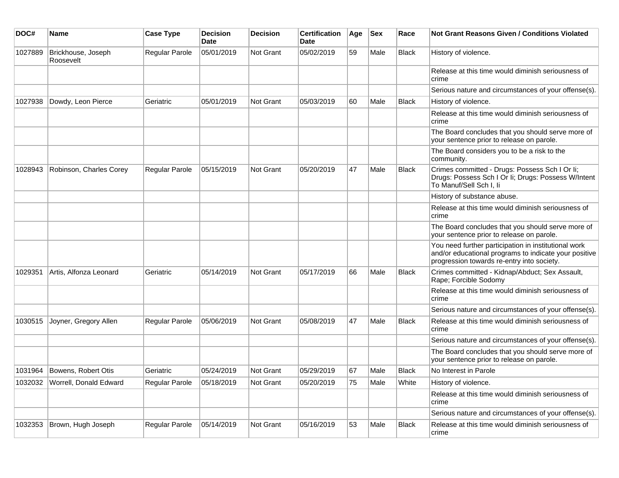| DOC#    | <b>Name</b>                      | <b>Case Type</b>      | <b>Decision</b><br>Date | <b>Decision</b> | <b>Certification</b><br>Date | Age | <b>Sex</b> | Race         | <b>Not Grant Reasons Given / Conditions Violated</b>                                                                                                        |
|---------|----------------------------------|-----------------------|-------------------------|-----------------|------------------------------|-----|------------|--------------|-------------------------------------------------------------------------------------------------------------------------------------------------------------|
| 1027889 | Brickhouse, Joseph<br>Roosevelt  | Regular Parole        | 05/01/2019              | Not Grant       | 05/02/2019                   | 59  | Male       | Black        | History of violence.                                                                                                                                        |
|         |                                  |                       |                         |                 |                              |     |            |              | Release at this time would diminish seriousness of<br>crime                                                                                                 |
|         |                                  |                       |                         |                 |                              |     |            |              | Serious nature and circumstances of your offense(s).                                                                                                        |
| 1027938 | Dowdy, Leon Pierce               | Geriatric             | 05/01/2019              | Not Grant       | 05/03/2019                   | 60  | Male       | <b>Black</b> | History of violence.                                                                                                                                        |
|         |                                  |                       |                         |                 |                              |     |            |              | Release at this time would diminish seriousness of<br>crime                                                                                                 |
|         |                                  |                       |                         |                 |                              |     |            |              | The Board concludes that you should serve more of<br>your sentence prior to release on parole.                                                              |
|         |                                  |                       |                         |                 |                              |     |            |              | The Board considers you to be a risk to the<br>community.                                                                                                   |
| 1028943 | Robinson, Charles Corey          | <b>Regular Parole</b> | 05/15/2019              | Not Grant       | 05/20/2019                   | 47  | Male       | <b>Black</b> | Crimes committed - Drugs: Possess Sch I Or li;<br>Drugs: Possess Sch I Or Ii; Drugs: Possess W/Intent<br>To Manuf/Sell Sch I, li                            |
|         |                                  |                       |                         |                 |                              |     |            |              | History of substance abuse.                                                                                                                                 |
|         |                                  |                       |                         |                 |                              |     |            |              | Release at this time would diminish seriousness of<br>crime                                                                                                 |
|         |                                  |                       |                         |                 |                              |     |            |              | The Board concludes that you should serve more of<br>your sentence prior to release on parole.                                                              |
|         |                                  |                       |                         |                 |                              |     |            |              | You need further participation in institutional work<br>and/or educational programs to indicate your positive<br>progression towards re-entry into society. |
| 1029351 | Artis, Alfonza Leonard           | Geriatric             | 05/14/2019              | Not Grant       | 05/17/2019                   | 66  | Male       | <b>Black</b> | Crimes committed - Kidnap/Abduct; Sex Assault,<br>Rape; Forcible Sodomy                                                                                     |
|         |                                  |                       |                         |                 |                              |     |            |              | Release at this time would diminish seriousness of<br>crime                                                                                                 |
|         |                                  |                       |                         |                 |                              |     |            |              | Serious nature and circumstances of your offense(s).                                                                                                        |
| 1030515 | Joyner, Gregory Allen            | <b>Regular Parole</b> | 05/06/2019              | Not Grant       | 05/08/2019                   | 47  | Male       | <b>Black</b> | Release at this time would diminish seriousness of<br>crime                                                                                                 |
|         |                                  |                       |                         |                 |                              |     |            |              | Serious nature and circumstances of your offense(s).                                                                                                        |
|         |                                  |                       |                         |                 |                              |     |            |              | The Board concludes that you should serve more of<br>your sentence prior to release on parole.                                                              |
|         | 1031964 Bowens, Robert Otis      | Geriatric             | 05/24/2019              | Not Grant       | 05/29/2019                   | 67  | Male       | <b>Black</b> | No Interest in Parole                                                                                                                                       |
|         | 1032032   Worrell, Donald Edward | Regular Parole        | 05/18/2019              | Not Grant       | 05/20/2019                   | 75  | Male       | White        | History of violence.                                                                                                                                        |
|         |                                  |                       |                         |                 |                              |     |            |              | Release at this time would diminish seriousness of<br>crime                                                                                                 |
|         |                                  |                       |                         |                 |                              |     |            |              | Serious nature and circumstances of your offense(s).                                                                                                        |
| 1032353 | Brown, Hugh Joseph               | Regular Parole        | 05/14/2019              | Not Grant       | 05/16/2019                   | 53  | Male       | Black        | Release at this time would diminish seriousness of<br>crime                                                                                                 |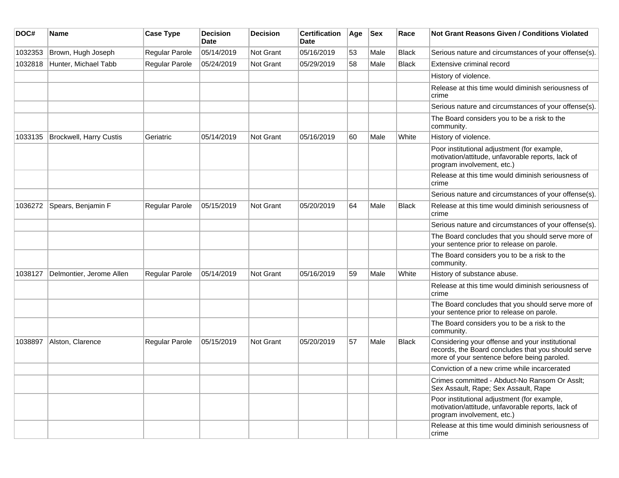| DOC#    | <b>Name</b>                    | <b>Case Type</b> | <b>Decision</b><br><b>Date</b> | <b>Decision</b> | <b>Certification</b><br>Date | Age | <b>Sex</b> | Race         | <b>Not Grant Reasons Given / Conditions Violated</b>                                                                                                 |
|---------|--------------------------------|------------------|--------------------------------|-----------------|------------------------------|-----|------------|--------------|------------------------------------------------------------------------------------------------------------------------------------------------------|
| 1032353 | Brown, Hugh Joseph             | Regular Parole   | 05/14/2019                     | Not Grant       | 05/16/2019                   | 53  | Male       | Black        | Serious nature and circumstances of your offense(s).                                                                                                 |
| 1032818 | Hunter, Michael Tabb           | Regular Parole   | 05/24/2019                     | Not Grant       | 05/29/2019                   | 58  | Male       | Black        | Extensive criminal record                                                                                                                            |
|         |                                |                  |                                |                 |                              |     |            |              | History of violence.                                                                                                                                 |
|         |                                |                  |                                |                 |                              |     |            |              | Release at this time would diminish seriousness of<br>crime                                                                                          |
|         |                                |                  |                                |                 |                              |     |            |              | Serious nature and circumstances of your offense(s).                                                                                                 |
|         |                                |                  |                                |                 |                              |     |            |              | The Board considers you to be a risk to the<br>community.                                                                                            |
| 1033135 | <b>Brockwell, Harry Custis</b> | Geriatric        | 05/14/2019                     | Not Grant       | 05/16/2019                   | 60  | Male       | White        | History of violence.                                                                                                                                 |
|         |                                |                  |                                |                 |                              |     |            |              | Poor institutional adjustment (for example,<br>motivation/attitude, unfavorable reports, lack of<br>program involvement, etc.)                       |
|         |                                |                  |                                |                 |                              |     |            |              | Release at this time would diminish seriousness of<br>crime                                                                                          |
|         |                                |                  |                                |                 |                              |     |            |              | Serious nature and circumstances of your offense(s).                                                                                                 |
| 1036272 | Spears, Benjamin F             | Regular Parole   | 05/15/2019                     | Not Grant       | 05/20/2019                   | 64  | Male       | <b>Black</b> | Release at this time would diminish seriousness of<br>crime                                                                                          |
|         |                                |                  |                                |                 |                              |     |            |              | Serious nature and circumstances of your offense(s).                                                                                                 |
|         |                                |                  |                                |                 |                              |     |            |              | The Board concludes that you should serve more of<br>your sentence prior to release on parole.                                                       |
|         |                                |                  |                                |                 |                              |     |            |              | The Board considers you to be a risk to the<br>community.                                                                                            |
| 1038127 | Delmontier, Jerome Allen       | Regular Parole   | 05/14/2019                     | Not Grant       | 05/16/2019                   | 59  | Male       | White        | History of substance abuse.                                                                                                                          |
|         |                                |                  |                                |                 |                              |     |            |              | Release at this time would diminish seriousness of<br>crime                                                                                          |
|         |                                |                  |                                |                 |                              |     |            |              | The Board concludes that you should serve more of<br>your sentence prior to release on parole.                                                       |
|         |                                |                  |                                |                 |                              |     |            |              | The Board considers you to be a risk to the<br>community.                                                                                            |
| 1038897 | Alston, Clarence               | Regular Parole   | 05/15/2019                     | Not Grant       | 05/20/2019                   | 57  | Male       | Black        | Considering your offense and your institutional<br>records, the Board concludes that you should serve<br>more of your sentence before being paroled. |
|         |                                |                  |                                |                 |                              |     |            |              | Conviction of a new crime while incarcerated                                                                                                         |
|         |                                |                  |                                |                 |                              |     |            |              | Crimes committed - Abduct-No Ransom Or Asslt;<br>Sex Assault, Rape; Sex Assault, Rape                                                                |
|         |                                |                  |                                |                 |                              |     |            |              | Poor institutional adjustment (for example,<br>motivation/attitude, unfavorable reports, lack of<br>program involvement, etc.)                       |
|         |                                |                  |                                |                 |                              |     |            |              | Release at this time would diminish seriousness of<br>crime                                                                                          |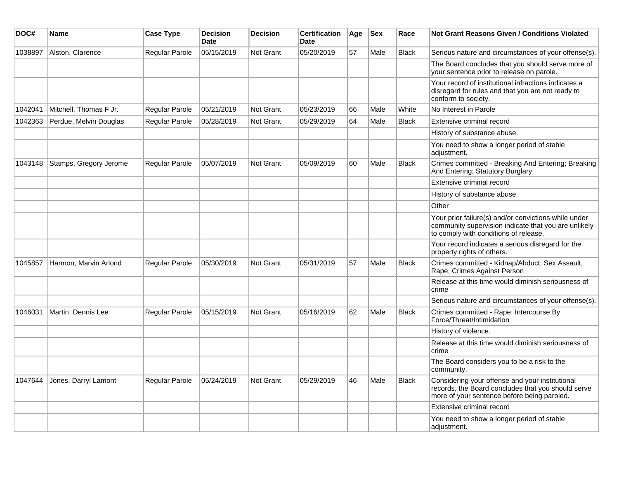| DOC#    | Name                   | <b>Case Type</b>      | <b>Decision</b><br><b>Date</b> | <b>Decision</b>  | <b>Certification</b><br><b>Date</b> | Age | <b>Sex</b> | Race         | Not Grant Reasons Given / Conditions Violated                                                                                                         |
|---------|------------------------|-----------------------|--------------------------------|------------------|-------------------------------------|-----|------------|--------------|-------------------------------------------------------------------------------------------------------------------------------------------------------|
| 1038897 | Alston, Clarence       | Regular Parole        | 05/15/2019                     | Not Grant        | 05/20/2019                          | 57  | Male       | <b>Black</b> | Serious nature and circumstances of your offense(s).                                                                                                  |
|         |                        |                       |                                |                  |                                     |     |            |              | The Board concludes that you should serve more of<br>your sentence prior to release on parole.                                                        |
|         |                        |                       |                                |                  |                                     |     |            |              | Your record of institutional infractions indicates a<br>disregard for rules and that you are not ready to<br>conform to society.                      |
| 1042041 | Mitchell, Thomas F Jr. | Regular Parole        | 05/21/2019                     | Not Grant        | 05/23/2019                          | 66  | Male       | White        | No Interest in Parole                                                                                                                                 |
| 1042363 | Perdue, Melvin Douglas | <b>Regular Parole</b> | 05/28/2019                     | <b>Not Grant</b> | 05/29/2019                          | 64  | Male       | <b>Black</b> | Extensive criminal record                                                                                                                             |
|         |                        |                       |                                |                  |                                     |     |            |              | History of substance abuse.                                                                                                                           |
|         |                        |                       |                                |                  |                                     |     |            |              | You need to show a longer period of stable<br>adjustment.                                                                                             |
| 1043148 | Stamps, Gregory Jerome | Regular Parole        | 05/07/2019                     | Not Grant        | 05/09/2019                          | 60  | Male       | <b>Black</b> | Crimes committed - Breaking And Entering; Breaking<br>And Entering; Statutory Burglary                                                                |
|         |                        |                       |                                |                  |                                     |     |            |              | Extensive criminal record                                                                                                                             |
|         |                        |                       |                                |                  |                                     |     |            |              | History of substance abuse.                                                                                                                           |
|         |                        |                       |                                |                  |                                     |     |            |              | Other                                                                                                                                                 |
|         |                        |                       |                                |                  |                                     |     |            |              | Your prior failure(s) and/or convictions while under<br>community supervision indicate that you are unlikely<br>to comply with conditions of release. |
|         |                        |                       |                                |                  |                                     |     |            |              | Your record indicates a serious disregard for the<br>property rights of others.                                                                       |
| 1045857 | Harmon, Marvin Arlond  | Regular Parole        | 05/30/2019                     | Not Grant        | 05/31/2019                          | 57  | Male       | <b>Black</b> | Crimes committed - Kidnap/Abduct; Sex Assault,<br>Rape; Crimes Against Person                                                                         |
|         |                        |                       |                                |                  |                                     |     |            |              | Release at this time would diminish seriousness of<br>crime                                                                                           |
|         |                        |                       |                                |                  |                                     |     |            |              | Serious nature and circumstances of your offense(s).                                                                                                  |
| 1046031 | Martin, Dennis Lee     | <b>Regular Parole</b> | 05/15/2019                     | Not Grant        | 05/16/2019                          | 62  | Male       | <b>Black</b> | Crimes committed - Rape: Intercourse By<br>Force/Threat/Intimidation                                                                                  |
|         |                        |                       |                                |                  |                                     |     |            |              | History of violence.                                                                                                                                  |
|         |                        |                       |                                |                  |                                     |     |            |              | Release at this time would diminish seriousness of<br>crime                                                                                           |
|         |                        |                       |                                |                  |                                     |     |            |              | The Board considers you to be a risk to the<br>community.                                                                                             |
| 1047644 | Jones, Darryl Lamont   | Regular Parole        | 05/24/2019                     | <b>Not Grant</b> | 05/29/2019                          | 46  | Male       | <b>Black</b> | Considering your offense and your institutional<br>records, the Board concludes that you should serve<br>more of your sentence before being paroled.  |
|         |                        |                       |                                |                  |                                     |     |            |              | Extensive criminal record                                                                                                                             |
|         |                        |                       |                                |                  |                                     |     |            |              | You need to show a longer period of stable<br>adjustment.                                                                                             |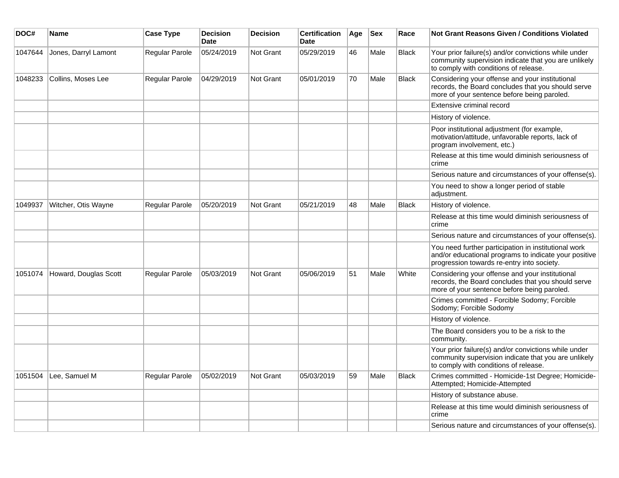| DOC#    | Name                  | <b>Case Type</b> | <b>Decision</b><br><b>Date</b> | <b>Decision</b> | <b>Certification</b><br><b>Date</b> | Age | <b>Sex</b> | Race         | <b>Not Grant Reasons Given / Conditions Violated</b>                                                                                                        |
|---------|-----------------------|------------------|--------------------------------|-----------------|-------------------------------------|-----|------------|--------------|-------------------------------------------------------------------------------------------------------------------------------------------------------------|
| 1047644 | Jones, Darryl Lamont  | Regular Parole   | 05/24/2019                     | Not Grant       | 05/29/2019                          | 46  | Male       | <b>Black</b> | Your prior failure(s) and/or convictions while under<br>community supervision indicate that you are unlikely<br>to comply with conditions of release.       |
| 1048233 | Collins, Moses Lee    | Regular Parole   | 04/29/2019                     | Not Grant       | 05/01/2019                          | 70  | Male       | <b>Black</b> | Considering your offense and your institutional<br>records, the Board concludes that you should serve<br>more of your sentence before being paroled.        |
|         |                       |                  |                                |                 |                                     |     |            |              | Extensive criminal record                                                                                                                                   |
|         |                       |                  |                                |                 |                                     |     |            |              | History of violence.                                                                                                                                        |
|         |                       |                  |                                |                 |                                     |     |            |              | Poor institutional adjustment (for example,<br>motivation/attitude, unfavorable reports, lack of<br>program involvement, etc.)                              |
|         |                       |                  |                                |                 |                                     |     |            |              | Release at this time would diminish seriousness of<br>crime                                                                                                 |
|         |                       |                  |                                |                 |                                     |     |            |              | Serious nature and circumstances of your offense(s).                                                                                                        |
|         |                       |                  |                                |                 |                                     |     |            |              | You need to show a longer period of stable<br>adjustment.                                                                                                   |
| 1049937 | Witcher, Otis Wayne   | Regular Parole   | 05/20/2019                     | Not Grant       | 05/21/2019                          | 48  | Male       | <b>Black</b> | History of violence.                                                                                                                                        |
|         |                       |                  |                                |                 |                                     |     |            |              | Release at this time would diminish seriousness of<br>crime                                                                                                 |
|         |                       |                  |                                |                 |                                     |     |            |              | Serious nature and circumstances of your offense(s).                                                                                                        |
|         |                       |                  |                                |                 |                                     |     |            |              | You need further participation in institutional work<br>and/or educational programs to indicate your positive<br>progression towards re-entry into society. |
| 1051074 | Howard, Douglas Scott | Regular Parole   | 05/03/2019                     | Not Grant       | 05/06/2019                          | 51  | Male       | White        | Considering your offense and your institutional<br>records, the Board concludes that you should serve<br>more of your sentence before being paroled.        |
|         |                       |                  |                                |                 |                                     |     |            |              | Crimes committed - Forcible Sodomy; Forcible<br>Sodomy; Forcible Sodomy                                                                                     |
|         |                       |                  |                                |                 |                                     |     |            |              | History of violence.                                                                                                                                        |
|         |                       |                  |                                |                 |                                     |     |            |              | The Board considers you to be a risk to the<br>community.                                                                                                   |
|         |                       |                  |                                |                 |                                     |     |            |              | Your prior failure(s) and/or convictions while under<br>community supervision indicate that you are unlikely<br>to comply with conditions of release.       |
| 1051504 | Lee, Samuel M         | Regular Parole   | 05/02/2019                     | Not Grant       | 05/03/2019                          | 59  | Male       | <b>Black</b> | Crimes committed - Homicide-1st Degree; Homicide-<br>Attempted; Homicide-Attempted                                                                          |
|         |                       |                  |                                |                 |                                     |     |            |              | History of substance abuse.                                                                                                                                 |
|         |                       |                  |                                |                 |                                     |     |            |              | Release at this time would diminish seriousness of<br>crime                                                                                                 |
|         |                       |                  |                                |                 |                                     |     |            |              | Serious nature and circumstances of your offense(s).                                                                                                        |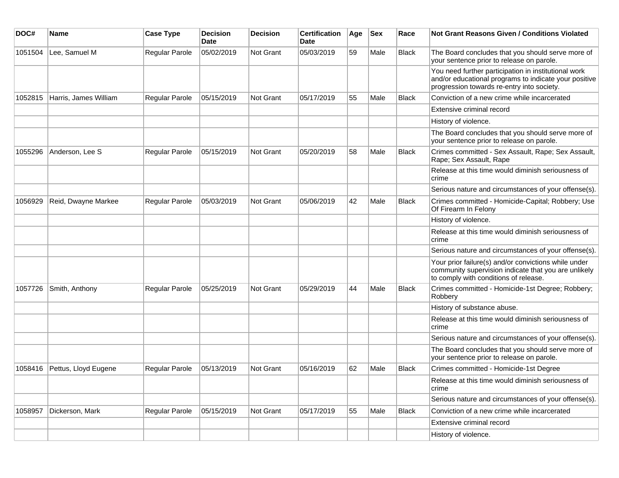| DOC#    | <b>Name</b>           | <b>Case Type</b> | <b>Decision</b><br><b>Date</b> | <b>Decision</b> | <b>Certification</b><br>Date | Age | <b>Sex</b> | Race         | <b>Not Grant Reasons Given / Conditions Violated</b>                                                                                                        |
|---------|-----------------------|------------------|--------------------------------|-----------------|------------------------------|-----|------------|--------------|-------------------------------------------------------------------------------------------------------------------------------------------------------------|
| 1051504 | Lee, Samuel M         | Regular Parole   | 05/02/2019                     | Not Grant       | 05/03/2019                   | 59  | Male       | <b>Black</b> | The Board concludes that you should serve more of<br>your sentence prior to release on parole.                                                              |
|         |                       |                  |                                |                 |                              |     |            |              | You need further participation in institutional work<br>and/or educational programs to indicate your positive<br>progression towards re-entry into society. |
| 1052815 | Harris, James William | Regular Parole   | 05/15/2019                     | Not Grant       | 05/17/2019                   | 55  | Male       | <b>Black</b> | Conviction of a new crime while incarcerated                                                                                                                |
|         |                       |                  |                                |                 |                              |     |            |              | Extensive criminal record                                                                                                                                   |
|         |                       |                  |                                |                 |                              |     |            |              | History of violence.                                                                                                                                        |
|         |                       |                  |                                |                 |                              |     |            |              | The Board concludes that you should serve more of<br>your sentence prior to release on parole.                                                              |
| 1055296 | Anderson, Lee S       | Regular Parole   | 05/15/2019                     | Not Grant       | 05/20/2019                   | 58  | Male       | <b>Black</b> | Crimes committed - Sex Assault, Rape; Sex Assault,<br>Rape; Sex Assault, Rape                                                                               |
|         |                       |                  |                                |                 |                              |     |            |              | Release at this time would diminish seriousness of<br>crime                                                                                                 |
|         |                       |                  |                                |                 |                              |     |            |              | Serious nature and circumstances of your offense(s).                                                                                                        |
| 1056929 | Reid, Dwayne Markee   | Regular Parole   | 05/03/2019                     | Not Grant       | 05/06/2019                   | 42  | Male       | <b>Black</b> | Crimes committed - Homicide-Capital; Robbery; Use<br>Of Firearm In Felony                                                                                   |
|         |                       |                  |                                |                 |                              |     |            |              | History of violence.                                                                                                                                        |
|         |                       |                  |                                |                 |                              |     |            |              | Release at this time would diminish seriousness of<br>crime                                                                                                 |
|         |                       |                  |                                |                 |                              |     |            |              | Serious nature and circumstances of your offense(s).                                                                                                        |
|         |                       |                  |                                |                 |                              |     |            |              | Your prior failure(s) and/or convictions while under<br>community supervision indicate that you are unlikely<br>to comply with conditions of release.       |
| 1057726 | Smith, Anthony        | Regular Parole   | 05/25/2019                     | Not Grant       | 05/29/2019                   | 44  | Male       | <b>Black</b> | Crimes committed - Homicide-1st Degree; Robbery;<br>Robbery                                                                                                 |
|         |                       |                  |                                |                 |                              |     |            |              | History of substance abuse.                                                                                                                                 |
|         |                       |                  |                                |                 |                              |     |            |              | Release at this time would diminish seriousness of<br>crime                                                                                                 |
|         |                       |                  |                                |                 |                              |     |            |              | Serious nature and circumstances of your offense(s).                                                                                                        |
|         |                       |                  |                                |                 |                              |     |            |              | The Board concludes that you should serve more of<br>your sentence prior to release on parole.                                                              |
| 1058416 | Pettus, Lloyd Eugene  | Regular Parole   | 05/13/2019                     | Not Grant       | 05/16/2019                   | 62  | Male       | <b>Black</b> | Crimes committed - Homicide-1st Degree                                                                                                                      |
|         |                       |                  |                                |                 |                              |     |            |              | Release at this time would diminish seriousness of<br>crime                                                                                                 |
|         |                       |                  |                                |                 |                              |     |            |              | Serious nature and circumstances of your offense(s).                                                                                                        |
| 1058957 | Dickerson, Mark       | Regular Parole   | 05/15/2019                     | Not Grant       | 05/17/2019                   | 55  | Male       | <b>Black</b> | Conviction of a new crime while incarcerated                                                                                                                |
|         |                       |                  |                                |                 |                              |     |            |              | Extensive criminal record                                                                                                                                   |
|         |                       |                  |                                |                 |                              |     |            |              | History of violence.                                                                                                                                        |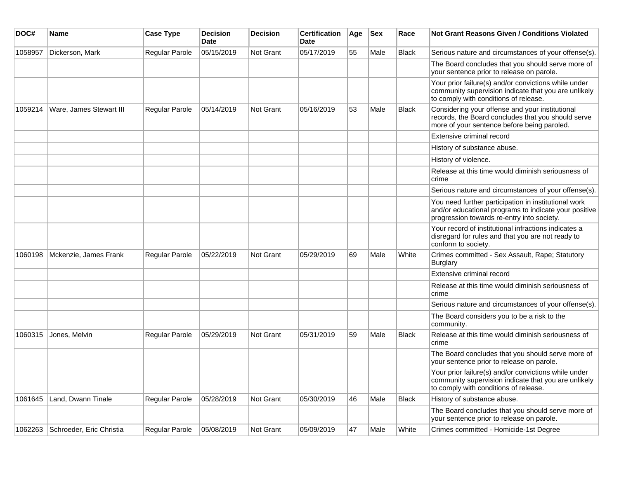| DOC#    | Name                               | <b>Case Type</b> | <b>Decision</b><br><b>Date</b> | <b>Decision</b> | <b>Certification</b><br><b>Date</b> | Age | <b>Sex</b> | Race         | <b>Not Grant Reasons Given / Conditions Violated</b>                                                                                                        |
|---------|------------------------------------|------------------|--------------------------------|-----------------|-------------------------------------|-----|------------|--------------|-------------------------------------------------------------------------------------------------------------------------------------------------------------|
| 1058957 | Dickerson, Mark                    | Regular Parole   | 05/15/2019                     | Not Grant       | 05/17/2019                          | 55  | Male       | <b>Black</b> | Serious nature and circumstances of your offense(s).                                                                                                        |
|         |                                    |                  |                                |                 |                                     |     |            |              | The Board concludes that you should serve more of<br>your sentence prior to release on parole.                                                              |
|         |                                    |                  |                                |                 |                                     |     |            |              | Your prior failure(s) and/or convictions while under<br>community supervision indicate that you are unlikely<br>to comply with conditions of release.       |
| 1059214 | Ware, James Stewart III            | Regular Parole   | 05/14/2019                     | Not Grant       | 05/16/2019                          | 53  | Male       | <b>Black</b> | Considering your offense and your institutional<br>records, the Board concludes that you should serve<br>more of your sentence before being paroled.        |
|         |                                    |                  |                                |                 |                                     |     |            |              | Extensive criminal record                                                                                                                                   |
|         |                                    |                  |                                |                 |                                     |     |            |              | History of substance abuse.                                                                                                                                 |
|         |                                    |                  |                                |                 |                                     |     |            |              | History of violence.                                                                                                                                        |
|         |                                    |                  |                                |                 |                                     |     |            |              | Release at this time would diminish seriousness of<br>crime                                                                                                 |
|         |                                    |                  |                                |                 |                                     |     |            |              | Serious nature and circumstances of your offense(s).                                                                                                        |
|         |                                    |                  |                                |                 |                                     |     |            |              | You need further participation in institutional work<br>and/or educational programs to indicate your positive<br>progression towards re-entry into society. |
|         |                                    |                  |                                |                 |                                     |     |            |              | Your record of institutional infractions indicates a<br>disregard for rules and that you are not ready to<br>conform to society.                            |
| 1060198 | Mckenzie, James Frank              | Regular Parole   | 05/22/2019                     | Not Grant       | 05/29/2019                          | 69  | Male       | White        | Crimes committed - Sex Assault, Rape; Statutory<br><b>Burglary</b>                                                                                          |
|         |                                    |                  |                                |                 |                                     |     |            |              | Extensive criminal record                                                                                                                                   |
|         |                                    |                  |                                |                 |                                     |     |            |              | Release at this time would diminish seriousness of<br>crime                                                                                                 |
|         |                                    |                  |                                |                 |                                     |     |            |              | Serious nature and circumstances of your offense(s).                                                                                                        |
|         |                                    |                  |                                |                 |                                     |     |            |              | The Board considers you to be a risk to the<br>community.                                                                                                   |
| 1060315 | Jones, Melvin                      | Regular Parole   | 05/29/2019                     | Not Grant       | 05/31/2019                          | 59  | Male       | <b>Black</b> | Release at this time would diminish seriousness of<br>crime                                                                                                 |
|         |                                    |                  |                                |                 |                                     |     |            |              | The Board concludes that you should serve more of<br>your sentence prior to release on parole.                                                              |
|         |                                    |                  |                                |                 |                                     |     |            |              | Your prior failure(s) and/or convictions while under<br>community supervision indicate that you are unlikely<br>to comply with conditions of release.       |
| 1061645 | Land, Dwann Tinale                 | Regular Parole   | 05/28/2019                     | Not Grant       | 05/30/2019                          | 46  | Male       | <b>Black</b> | History of substance abuse.                                                                                                                                 |
|         |                                    |                  |                                |                 |                                     |     |            |              | The Board concludes that you should serve more of<br>your sentence prior to release on parole.                                                              |
|         | 1062263   Schroeder, Eric Christia | Regular Parole   | 05/08/2019                     | Not Grant       | 05/09/2019                          | 47  | Male       | White        | Crimes committed - Homicide-1st Degree                                                                                                                      |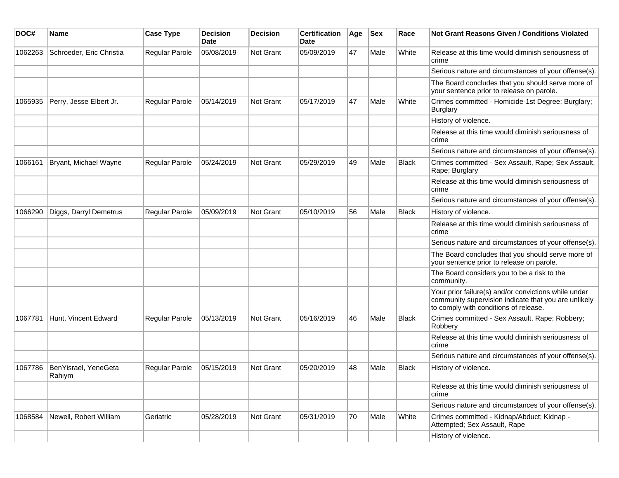| DOC#    | <b>Name</b>                    | <b>Case Type</b>      | <b>Decision</b><br>Date | <b>Decision</b> | <b>Certification</b><br>Date | Age | <b>Sex</b> | Race         | Not Grant Reasons Given / Conditions Violated                                                                                                         |
|---------|--------------------------------|-----------------------|-------------------------|-----------------|------------------------------|-----|------------|--------------|-------------------------------------------------------------------------------------------------------------------------------------------------------|
| 1062263 | Schroeder, Eric Christia       | Regular Parole        | 05/08/2019              | Not Grant       | 05/09/2019                   | 47  | Male       | White        | Release at this time would diminish seriousness of<br>crime                                                                                           |
|         |                                |                       |                         |                 |                              |     |            |              | Serious nature and circumstances of your offense(s).                                                                                                  |
|         |                                |                       |                         |                 |                              |     |            |              | The Board concludes that you should serve more of<br>your sentence prior to release on parole.                                                        |
| 1065935 | Perry, Jesse Elbert Jr.        | Regular Parole        | 05/14/2019              | Not Grant       | 05/17/2019                   | 47  | Male       | White        | Crimes committed - Homicide-1st Degree; Burglary;<br><b>Burglary</b>                                                                                  |
|         |                                |                       |                         |                 |                              |     |            |              | History of violence.                                                                                                                                  |
|         |                                |                       |                         |                 |                              |     |            |              | Release at this time would diminish seriousness of<br>crime                                                                                           |
|         |                                |                       |                         |                 |                              |     |            |              | Serious nature and circumstances of your offense(s).                                                                                                  |
| 1066161 | Bryant, Michael Wayne          | Regular Parole        | 05/24/2019              | Not Grant       | 05/29/2019                   | 49  | Male       | <b>Black</b> | Crimes committed - Sex Assault, Rape; Sex Assault,<br>Rape; Burglary                                                                                  |
|         |                                |                       |                         |                 |                              |     |            |              | Release at this time would diminish seriousness of<br>crime                                                                                           |
|         |                                |                       |                         |                 |                              |     |            |              | Serious nature and circumstances of your offense(s).                                                                                                  |
| 1066290 | Diggs, Darryl Demetrus         | <b>Regular Parole</b> | 05/09/2019              | Not Grant       | 05/10/2019                   | 56  | Male       | <b>Black</b> | History of violence.                                                                                                                                  |
|         |                                |                       |                         |                 |                              |     |            |              | Release at this time would diminish seriousness of<br>crime                                                                                           |
|         |                                |                       |                         |                 |                              |     |            |              | Serious nature and circumstances of your offense(s).                                                                                                  |
|         |                                |                       |                         |                 |                              |     |            |              | The Board concludes that you should serve more of<br>your sentence prior to release on parole.                                                        |
|         |                                |                       |                         |                 |                              |     |            |              | The Board considers you to be a risk to the<br>community.                                                                                             |
|         |                                |                       |                         |                 |                              |     |            |              | Your prior failure(s) and/or convictions while under<br>community supervision indicate that you are unlikely<br>to comply with conditions of release. |
| 1067781 | Hunt, Vincent Edward           | Regular Parole        | 05/13/2019              | Not Grant       | 05/16/2019                   | 46  | Male       | Black        | Crimes committed - Sex Assault, Rape; Robbery;<br>Robbery                                                                                             |
|         |                                |                       |                         |                 |                              |     |            |              | Release at this time would diminish seriousness of<br>crime                                                                                           |
|         |                                |                       |                         |                 |                              |     |            |              | Serious nature and circumstances of your offense(s).                                                                                                  |
| 1067786 | BenYisrael, YeneGeta<br>Rahiym | <b>Regular Parole</b> | 05/15/2019              | Not Grant       | 05/20/2019                   | 48  | Male       | <b>Black</b> | History of violence.                                                                                                                                  |
|         |                                |                       |                         |                 |                              |     |            |              | Release at this time would diminish seriousness of<br>crime                                                                                           |
|         |                                |                       |                         |                 |                              |     |            |              | Serious nature and circumstances of your offense(s).                                                                                                  |
| 1068584 | Newell, Robert William         | Geriatric             | 05/28/2019              | Not Grant       | 05/31/2019                   | 70  | Male       | White        | Crimes committed - Kidnap/Abduct; Kidnap -<br>Attempted; Sex Assault, Rape                                                                            |
|         |                                |                       |                         |                 |                              |     |            |              | History of violence.                                                                                                                                  |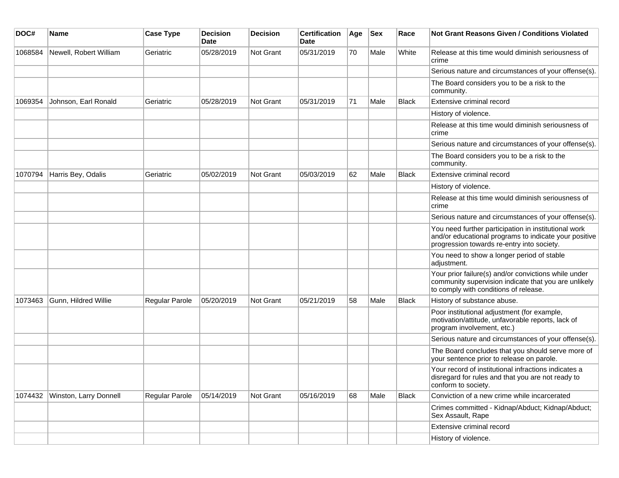| DOC#    | Name                   | <b>Case Type</b> | <b>Decision</b><br><b>Date</b> | <b>Decision</b> | <b>Certification</b><br>Date | Age | <b>Sex</b> | Race         | Not Grant Reasons Given / Conditions Violated                                                                                                               |
|---------|------------------------|------------------|--------------------------------|-----------------|------------------------------|-----|------------|--------------|-------------------------------------------------------------------------------------------------------------------------------------------------------------|
| 1068584 | Newell, Robert William | Geriatric        | 05/28/2019                     | Not Grant       | 05/31/2019                   | 70  | Male       | White        | Release at this time would diminish seriousness of<br>crime                                                                                                 |
|         |                        |                  |                                |                 |                              |     |            |              | Serious nature and circumstances of your offense(s).                                                                                                        |
|         |                        |                  |                                |                 |                              |     |            |              | The Board considers you to be a risk to the<br>community.                                                                                                   |
| 1069354 | Johnson, Earl Ronald   | Geriatric        | 05/28/2019                     | Not Grant       | 05/31/2019                   | 71  | Male       | Black        | Extensive criminal record                                                                                                                                   |
|         |                        |                  |                                |                 |                              |     |            |              | History of violence.                                                                                                                                        |
|         |                        |                  |                                |                 |                              |     |            |              | Release at this time would diminish seriousness of<br>crime                                                                                                 |
|         |                        |                  |                                |                 |                              |     |            |              | Serious nature and circumstances of your offense(s).                                                                                                        |
|         |                        |                  |                                |                 |                              |     |            |              | The Board considers you to be a risk to the<br>community.                                                                                                   |
| 1070794 | Harris Bey, Odalis     | Geriatric        | 05/02/2019                     | Not Grant       | 05/03/2019                   | 62  | Male       | <b>Black</b> | Extensive criminal record                                                                                                                                   |
|         |                        |                  |                                |                 |                              |     |            |              | History of violence.                                                                                                                                        |
|         |                        |                  |                                |                 |                              |     |            |              | Release at this time would diminish seriousness of<br>crime                                                                                                 |
|         |                        |                  |                                |                 |                              |     |            |              | Serious nature and circumstances of your offense(s).                                                                                                        |
|         |                        |                  |                                |                 |                              |     |            |              | You need further participation in institutional work<br>and/or educational programs to indicate your positive<br>progression towards re-entry into society. |
|         |                        |                  |                                |                 |                              |     |            |              | You need to show a longer period of stable<br>adjustment.                                                                                                   |
|         |                        |                  |                                |                 |                              |     |            |              | Your prior failure(s) and/or convictions while under<br>community supervision indicate that you are unlikely<br>to comply with conditions of release.       |
| 1073463 | Gunn, Hildred Willie   | Regular Parole   | 05/20/2019                     | Not Grant       | 05/21/2019                   | 58  | Male       | <b>Black</b> | History of substance abuse.                                                                                                                                 |
|         |                        |                  |                                |                 |                              |     |            |              | Poor institutional adjustment (for example,<br>motivation/attitude, unfavorable reports, lack of<br>program involvement, etc.)                              |
|         |                        |                  |                                |                 |                              |     |            |              | Serious nature and circumstances of your offense(s).                                                                                                        |
|         |                        |                  |                                |                 |                              |     |            |              | The Board concludes that you should serve more of<br>your sentence prior to release on parole.                                                              |
|         |                        |                  |                                |                 |                              |     |            |              | Your record of institutional infractions indicates a<br>disregard for rules and that you are not ready to<br>conform to society.                            |
| 1074432 | Winston, Larry Donnell | Regular Parole   | 05/14/2019                     | Not Grant       | 05/16/2019                   | 68  | Male       | <b>Black</b> | Conviction of a new crime while incarcerated                                                                                                                |
|         |                        |                  |                                |                 |                              |     |            |              | Crimes committed - Kidnap/Abduct; Kidnap/Abduct;<br>Sex Assault, Rape                                                                                       |
|         |                        |                  |                                |                 |                              |     |            |              | Extensive criminal record                                                                                                                                   |
|         |                        |                  |                                |                 |                              |     |            |              | History of violence.                                                                                                                                        |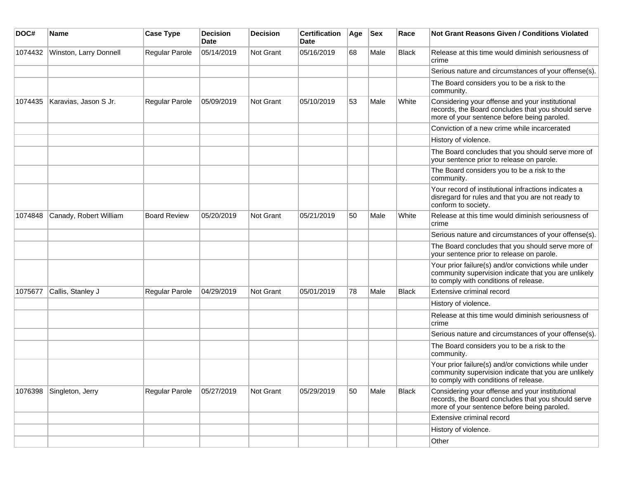| DOC#    | <b>Name</b>            | <b>Case Type</b>    | <b>Decision</b><br>Date | <b>Decision</b> | <b>Certification</b><br>Date | Age | <b>Sex</b> | Race         | Not Grant Reasons Given / Conditions Violated                                                                                                         |
|---------|------------------------|---------------------|-------------------------|-----------------|------------------------------|-----|------------|--------------|-------------------------------------------------------------------------------------------------------------------------------------------------------|
| 1074432 | Winston, Larry Donnell | Regular Parole      | 05/14/2019              | Not Grant       | 05/16/2019                   | 68  | Male       | <b>Black</b> | Release at this time would diminish seriousness of<br>crime                                                                                           |
|         |                        |                     |                         |                 |                              |     |            |              | Serious nature and circumstances of your offense(s).                                                                                                  |
|         |                        |                     |                         |                 |                              |     |            |              | The Board considers you to be a risk to the<br>community.                                                                                             |
| 1074435 | Karavias, Jason S Jr.  | Regular Parole      | 05/09/2019              | Not Grant       | 05/10/2019                   | 53  | Male       | White        | Considering your offense and your institutional<br>records, the Board concludes that you should serve<br>more of your sentence before being paroled.  |
|         |                        |                     |                         |                 |                              |     |            |              | Conviction of a new crime while incarcerated                                                                                                          |
|         |                        |                     |                         |                 |                              |     |            |              | History of violence.                                                                                                                                  |
|         |                        |                     |                         |                 |                              |     |            |              | The Board concludes that you should serve more of<br>your sentence prior to release on parole.                                                        |
|         |                        |                     |                         |                 |                              |     |            |              | The Board considers you to be a risk to the<br>community.                                                                                             |
|         |                        |                     |                         |                 |                              |     |            |              | Your record of institutional infractions indicates a<br>disregard for rules and that you are not ready to<br>conform to society.                      |
| 1074848 | Canady, Robert William | <b>Board Review</b> | 05/20/2019              | Not Grant       | 05/21/2019                   | 50  | Male       | White        | Release at this time would diminish seriousness of<br>crime                                                                                           |
|         |                        |                     |                         |                 |                              |     |            |              | Serious nature and circumstances of your offense(s).                                                                                                  |
|         |                        |                     |                         |                 |                              |     |            |              | The Board concludes that you should serve more of<br>your sentence prior to release on parole.                                                        |
|         |                        |                     |                         |                 |                              |     |            |              | Your prior failure(s) and/or convictions while under<br>community supervision indicate that you are unlikely<br>to comply with conditions of release. |
| 1075677 | Callis, Stanley J      | Regular Parole      | 04/29/2019              | Not Grant       | 05/01/2019                   | 78  | Male       | <b>Black</b> | Extensive criminal record                                                                                                                             |
|         |                        |                     |                         |                 |                              |     |            |              | History of violence.                                                                                                                                  |
|         |                        |                     |                         |                 |                              |     |            |              | Release at this time would diminish seriousness of<br>crime                                                                                           |
|         |                        |                     |                         |                 |                              |     |            |              | Serious nature and circumstances of your offense(s).                                                                                                  |
|         |                        |                     |                         |                 |                              |     |            |              | The Board considers you to be a risk to the<br>community.                                                                                             |
|         |                        |                     |                         |                 |                              |     |            |              | Your prior failure(s) and/or convictions while under<br>community supervision indicate that you are unlikely<br>to comply with conditions of release. |
| 1076398 | Singleton, Jerry       | Regular Parole      | 05/27/2019              | Not Grant       | 05/29/2019                   | 50  | Male       | <b>Black</b> | Considering your offense and your institutional<br>records, the Board concludes that you should serve<br>more of your sentence before being paroled.  |
|         |                        |                     |                         |                 |                              |     |            |              | Extensive criminal record                                                                                                                             |
|         |                        |                     |                         |                 |                              |     |            |              | History of violence.                                                                                                                                  |
|         |                        |                     |                         |                 |                              |     |            |              | Other                                                                                                                                                 |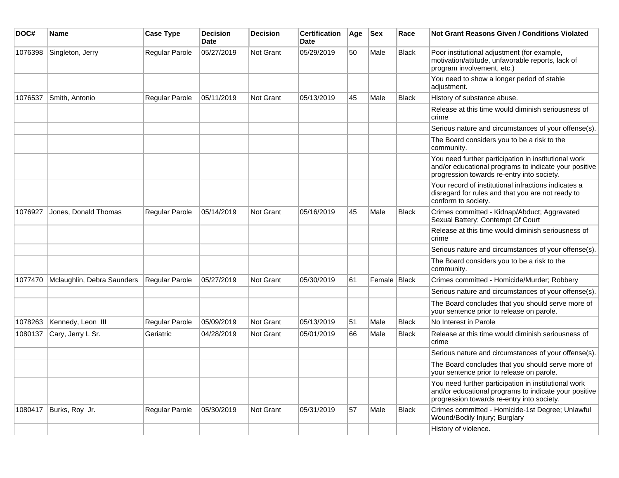| DOC#    | <b>Name</b>                | <b>Case Type</b> | <b>Decision</b><br><b>Date</b> | <b>Decision</b>  | <b>Certification</b><br><b>Date</b> | Age | <b>Sex</b>     | Race         | <b>Not Grant Reasons Given / Conditions Violated</b>                                                                                                        |
|---------|----------------------------|------------------|--------------------------------|------------------|-------------------------------------|-----|----------------|--------------|-------------------------------------------------------------------------------------------------------------------------------------------------------------|
| 1076398 | Singleton, Jerry           | Regular Parole   | 05/27/2019                     | <b>Not Grant</b> | 05/29/2019                          | 50  | Male           | <b>Black</b> | Poor institutional adjustment (for example,<br>motivation/attitude, unfavorable reports, lack of<br>program involvement, etc.)                              |
|         |                            |                  |                                |                  |                                     |     |                |              | You need to show a longer period of stable<br>adjustment.                                                                                                   |
| 1076537 | Smith, Antonio             | Regular Parole   | 05/11/2019                     | Not Grant        | 05/13/2019                          | 45  | Male           | <b>Black</b> | History of substance abuse.                                                                                                                                 |
|         |                            |                  |                                |                  |                                     |     |                |              | Release at this time would diminish seriousness of<br>crime                                                                                                 |
|         |                            |                  |                                |                  |                                     |     |                |              | Serious nature and circumstances of your offense(s).                                                                                                        |
|         |                            |                  |                                |                  |                                     |     |                |              | The Board considers you to be a risk to the<br>community.                                                                                                   |
|         |                            |                  |                                |                  |                                     |     |                |              | You need further participation in institutional work<br>and/or educational programs to indicate your positive<br>progression towards re-entry into society. |
|         |                            |                  |                                |                  |                                     |     |                |              | Your record of institutional infractions indicates a<br>disregard for rules and that you are not ready to<br>conform to society.                            |
| 1076927 | Jones, Donald Thomas       | Regular Parole   | 05/14/2019                     | Not Grant        | 05/16/2019                          | 45  | Male           | <b>Black</b> | Crimes committed - Kidnap/Abduct; Aggravated<br>Sexual Battery; Contempt Of Court                                                                           |
|         |                            |                  |                                |                  |                                     |     |                |              | Release at this time would diminish seriousness of<br>crime                                                                                                 |
|         |                            |                  |                                |                  |                                     |     |                |              | Serious nature and circumstances of your offense(s).                                                                                                        |
|         |                            |                  |                                |                  |                                     |     |                |              | The Board considers you to be a risk to the<br>community.                                                                                                   |
| 1077470 | Mclaughlin, Debra Saunders | Regular Parole   | 05/27/2019                     | <b>Not Grant</b> | 05/30/2019                          | 61  | Female   Black |              | Crimes committed - Homicide/Murder; Robbery                                                                                                                 |
|         |                            |                  |                                |                  |                                     |     |                |              | Serious nature and circumstances of your offense(s).                                                                                                        |
|         |                            |                  |                                |                  |                                     |     |                |              | The Board concludes that you should serve more of<br>your sentence prior to release on parole.                                                              |
| 1078263 | Kennedy, Leon III          | Regular Parole   | 05/09/2019                     | <b>Not Grant</b> | 05/13/2019                          | 51  | Male           | <b>Black</b> | No Interest in Parole                                                                                                                                       |
| 1080137 | Cary, Jerry L Sr.          | Geriatric        | 04/28/2019                     | <b>Not Grant</b> | 05/01/2019                          | 66  | Male           | <b>Black</b> | Release at this time would diminish seriousness of<br>crime                                                                                                 |
|         |                            |                  |                                |                  |                                     |     |                |              | Serious nature and circumstances of your offense(s).                                                                                                        |
|         |                            |                  |                                |                  |                                     |     |                |              | The Board concludes that you should serve more of<br>your sentence prior to release on parole.                                                              |
|         |                            |                  |                                |                  |                                     |     |                |              | You need further participation in institutional work<br>and/or educational programs to indicate your positive<br>progression towards re-entry into society. |
| 1080417 | Burks, Roy Jr.             | Regular Parole   | 05/30/2019                     | <b>Not Grant</b> | 05/31/2019                          | 57  | Male           | <b>Black</b> | Crimes committed - Homicide-1st Degree; Unlawful<br>Wound/Bodily Injury; Burglary                                                                           |
|         |                            |                  |                                |                  |                                     |     |                |              | History of violence.                                                                                                                                        |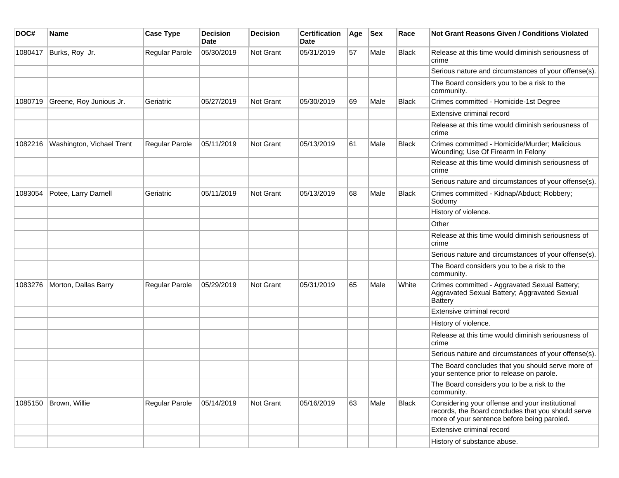| DOC#    | Name                      | <b>Case Type</b> | <b>Decision</b><br>Date | <b>Decision</b>  | <b>Certification</b><br>Date | Age | <b>Sex</b> | Race         | <b>Not Grant Reasons Given / Conditions Violated</b>                                                                                                 |
|---------|---------------------------|------------------|-------------------------|------------------|------------------------------|-----|------------|--------------|------------------------------------------------------------------------------------------------------------------------------------------------------|
| 1080417 | Burks, Roy Jr.            | Regular Parole   | 05/30/2019              | Not Grant        | 05/31/2019                   | 57  | Male       | <b>Black</b> | Release at this time would diminish seriousness of<br>crime                                                                                          |
|         |                           |                  |                         |                  |                              |     |            |              | Serious nature and circumstances of your offense(s).                                                                                                 |
|         |                           |                  |                         |                  |                              |     |            |              | The Board considers you to be a risk to the<br>community.                                                                                            |
| 1080719 | Greene, Roy Junious Jr.   | Geriatric        | 05/27/2019              | Not Grant        | 05/30/2019                   | 69  | Male       | <b>Black</b> | Crimes committed - Homicide-1st Degree                                                                                                               |
|         |                           |                  |                         |                  |                              |     |            |              | Extensive criminal record                                                                                                                            |
|         |                           |                  |                         |                  |                              |     |            |              | Release at this time would diminish seriousness of<br>crime                                                                                          |
| 1082216 | Washington, Vichael Trent | Regular Parole   | 05/11/2019              | Not Grant        | 05/13/2019                   | 61  | Male       | <b>Black</b> | Crimes committed - Homicide/Murder; Malicious<br>Wounding; Use Of Firearm In Felony                                                                  |
|         |                           |                  |                         |                  |                              |     |            |              | Release at this time would diminish seriousness of<br>crime                                                                                          |
|         |                           |                  |                         |                  |                              |     |            |              | Serious nature and circumstances of your offense(s).                                                                                                 |
| 1083054 | Potee, Larry Darnell      | Geriatric        | 05/11/2019              | <b>Not Grant</b> | 05/13/2019                   | 68  | Male       | Black        | Crimes committed - Kidnap/Abduct; Robbery;<br>Sodomy                                                                                                 |
|         |                           |                  |                         |                  |                              |     |            |              | History of violence.                                                                                                                                 |
|         |                           |                  |                         |                  |                              |     |            |              | Other                                                                                                                                                |
|         |                           |                  |                         |                  |                              |     |            |              | Release at this time would diminish seriousness of<br>crime                                                                                          |
|         |                           |                  |                         |                  |                              |     |            |              | Serious nature and circumstances of your offense(s).                                                                                                 |
|         |                           |                  |                         |                  |                              |     |            |              | The Board considers you to be a risk to the<br>community.                                                                                            |
| 1083276 | Morton, Dallas Barry      | Regular Parole   | 05/29/2019              | <b>Not Grant</b> | 05/31/2019                   | 65  | Male       | White        | Crimes committed - Aggravated Sexual Battery;<br>Aggravated Sexual Battery; Aggravated Sexual<br><b>Battery</b>                                      |
|         |                           |                  |                         |                  |                              |     |            |              | Extensive criminal record                                                                                                                            |
|         |                           |                  |                         |                  |                              |     |            |              | History of violence.                                                                                                                                 |
|         |                           |                  |                         |                  |                              |     |            |              | Release at this time would diminish seriousness of<br>crime                                                                                          |
|         |                           |                  |                         |                  |                              |     |            |              | Serious nature and circumstances of your offense(s).                                                                                                 |
|         |                           |                  |                         |                  |                              |     |            |              | The Board concludes that you should serve more of<br>your sentence prior to release on parole.                                                       |
|         |                           |                  |                         |                  |                              |     |            |              | The Board considers you to be a risk to the<br>community.                                                                                            |
| 1085150 | Brown, Willie             | Regular Parole   | 05/14/2019              | Not Grant        | 05/16/2019                   | 63  | Male       | Black        | Considering your offense and your institutional<br>records, the Board concludes that you should serve<br>more of your sentence before being paroled. |
|         |                           |                  |                         |                  |                              |     |            |              | Extensive criminal record                                                                                                                            |
|         |                           |                  |                         |                  |                              |     |            |              | History of substance abuse.                                                                                                                          |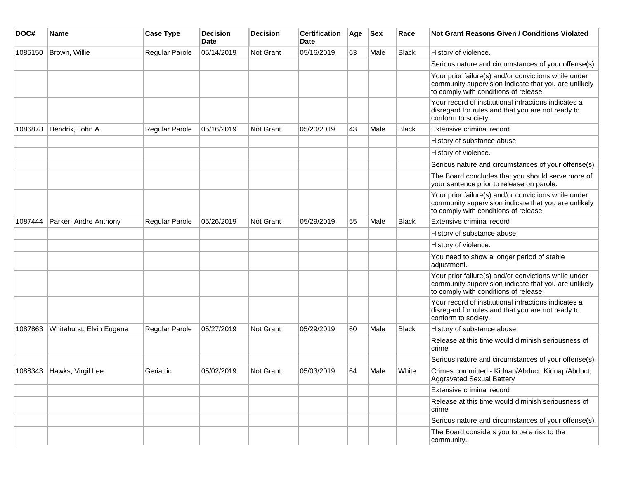| DOC#    | Name                     | <b>Case Type</b> | <b>Decision</b><br>Date | <b>Decision</b> | <b>Certification</b><br>Date | Age | <b>Sex</b> | Race         | <b>Not Grant Reasons Given / Conditions Violated</b>                                                                                                  |
|---------|--------------------------|------------------|-------------------------|-----------------|------------------------------|-----|------------|--------------|-------------------------------------------------------------------------------------------------------------------------------------------------------|
| 1085150 | Brown, Willie            | Regular Parole   | 05/14/2019              | Not Grant       | 05/16/2019                   | 63  | Male       | <b>Black</b> | History of violence.                                                                                                                                  |
|         |                          |                  |                         |                 |                              |     |            |              | Serious nature and circumstances of your offense(s).                                                                                                  |
|         |                          |                  |                         |                 |                              |     |            |              | Your prior failure(s) and/or convictions while under<br>community supervision indicate that you are unlikely<br>to comply with conditions of release. |
|         |                          |                  |                         |                 |                              |     |            |              | Your record of institutional infractions indicates a<br>disregard for rules and that you are not ready to<br>conform to society.                      |
| 1086878 | Hendrix, John A          | Regular Parole   | 05/16/2019              | Not Grant       | 05/20/2019                   | 43  | Male       | <b>Black</b> | Extensive criminal record                                                                                                                             |
|         |                          |                  |                         |                 |                              |     |            |              | History of substance abuse.                                                                                                                           |
|         |                          |                  |                         |                 |                              |     |            |              | History of violence.                                                                                                                                  |
|         |                          |                  |                         |                 |                              |     |            |              | Serious nature and circumstances of your offense(s).                                                                                                  |
|         |                          |                  |                         |                 |                              |     |            |              | The Board concludes that you should serve more of<br>your sentence prior to release on parole.                                                        |
|         |                          |                  |                         |                 |                              |     |            |              | Your prior failure(s) and/or convictions while under<br>community supervision indicate that you are unlikely<br>to comply with conditions of release. |
| 1087444 | Parker, Andre Anthony    | Regular Parole   | 05/26/2019              | Not Grant       | 05/29/2019                   | 55  | Male       | <b>Black</b> | Extensive criminal record                                                                                                                             |
|         |                          |                  |                         |                 |                              |     |            |              | History of substance abuse.                                                                                                                           |
|         |                          |                  |                         |                 |                              |     |            |              | History of violence.                                                                                                                                  |
|         |                          |                  |                         |                 |                              |     |            |              | You need to show a longer period of stable<br>adjustment.                                                                                             |
|         |                          |                  |                         |                 |                              |     |            |              | Your prior failure(s) and/or convictions while under<br>community supervision indicate that you are unlikely<br>to comply with conditions of release. |
|         |                          |                  |                         |                 |                              |     |            |              | Your record of institutional infractions indicates a<br>disregard for rules and that you are not ready to<br>conform to society.                      |
| 1087863 | Whitehurst, Elvin Eugene | Regular Parole   | 05/27/2019              | Not Grant       | 05/29/2019                   | 60  | Male       | Black        | History of substance abuse.                                                                                                                           |
|         |                          |                  |                         |                 |                              |     |            |              | Release at this time would diminish seriousness of<br>crime                                                                                           |
|         |                          |                  |                         |                 |                              |     |            |              | Serious nature and circumstances of your offense(s).                                                                                                  |
| 1088343 | Hawks, Virgil Lee        | Geriatric        | 05/02/2019              | Not Grant       | 05/03/2019                   | 64  | Male       | White        | Crimes committed - Kidnap/Abduct; Kidnap/Abduct;<br>Aggravated Sexual Battery                                                                         |
|         |                          |                  |                         |                 |                              |     |            |              | Extensive criminal record                                                                                                                             |
|         |                          |                  |                         |                 |                              |     |            |              | Release at this time would diminish seriousness of<br>crime                                                                                           |
|         |                          |                  |                         |                 |                              |     |            |              | Serious nature and circumstances of your offense(s).                                                                                                  |
|         |                          |                  |                         |                 |                              |     |            |              | The Board considers you to be a risk to the<br>community.                                                                                             |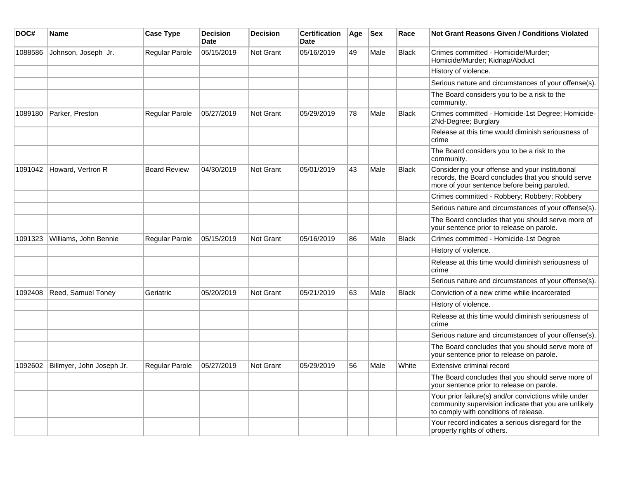| DOC#    | Name                      | <b>Case Type</b>      | <b>Decision</b><br><b>Date</b> | <b>Decision</b>  | <b>Certification</b><br><b>Date</b> | Age | <b>Sex</b> | Race         | <b>Not Grant Reasons Given / Conditions Violated</b>                                                                                                  |
|---------|---------------------------|-----------------------|--------------------------------|------------------|-------------------------------------|-----|------------|--------------|-------------------------------------------------------------------------------------------------------------------------------------------------------|
| 1088586 | Johnson, Joseph Jr.       | <b>Regular Parole</b> | 05/15/2019                     | Not Grant        | 05/16/2019                          | 49  | Male       | <b>Black</b> | Crimes committed - Homicide/Murder;<br>Homicide/Murder; Kidnap/Abduct                                                                                 |
|         |                           |                       |                                |                  |                                     |     |            |              | History of violence.                                                                                                                                  |
|         |                           |                       |                                |                  |                                     |     |            |              | Serious nature and circumstances of your offense(s).                                                                                                  |
|         |                           |                       |                                |                  |                                     |     |            |              | The Board considers you to be a risk to the<br>community.                                                                                             |
| 1089180 | Parker, Preston           | <b>Regular Parole</b> | 05/27/2019                     | Not Grant        | 05/29/2019                          | 78  | Male       | <b>Black</b> | Crimes committed - Homicide-1st Degree; Homicide-<br>2Nd-Degree; Burglary                                                                             |
|         |                           |                       |                                |                  |                                     |     |            |              | Release at this time would diminish seriousness of<br>crime                                                                                           |
|         |                           |                       |                                |                  |                                     |     |            |              | The Board considers you to be a risk to the<br>community.                                                                                             |
| 1091042 | Howard, Vertron R         | <b>Board Review</b>   | 04/30/2019                     | Not Grant        | 05/01/2019                          | 43  | Male       | <b>Black</b> | Considering your offense and your institutional<br>records, the Board concludes that you should serve<br>more of your sentence before being paroled.  |
|         |                           |                       |                                |                  |                                     |     |            |              | Crimes committed - Robbery; Robbery; Robbery                                                                                                          |
|         |                           |                       |                                |                  |                                     |     |            |              | Serious nature and circumstances of your offense(s).                                                                                                  |
|         |                           |                       |                                |                  |                                     |     |            |              | The Board concludes that you should serve more of<br>your sentence prior to release on parole.                                                        |
| 1091323 | Williams, John Bennie     | <b>Regular Parole</b> | 05/15/2019                     | Not Grant        | 05/16/2019                          | 86  | Male       | <b>Black</b> | Crimes committed - Homicide-1st Degree                                                                                                                |
|         |                           |                       |                                |                  |                                     |     |            |              | History of violence.                                                                                                                                  |
|         |                           |                       |                                |                  |                                     |     |            |              | Release at this time would diminish seriousness of<br>crime                                                                                           |
|         |                           |                       |                                |                  |                                     |     |            |              | Serious nature and circumstances of your offense(s).                                                                                                  |
| 1092408 | Reed, Samuel Toney        | Geriatric             | 05/20/2019                     | <b>Not Grant</b> | 05/21/2019                          | 63  | Male       | <b>Black</b> | Conviction of a new crime while incarcerated                                                                                                          |
|         |                           |                       |                                |                  |                                     |     |            |              | History of violence.                                                                                                                                  |
|         |                           |                       |                                |                  |                                     |     |            |              | Release at this time would diminish seriousness of<br>crime                                                                                           |
|         |                           |                       |                                |                  |                                     |     |            |              | Serious nature and circumstances of your offense(s).                                                                                                  |
|         |                           |                       |                                |                  |                                     |     |            |              | The Board concludes that you should serve more of<br>your sentence prior to release on parole.                                                        |
| 1092602 | Billmyer, John Joseph Jr. | Regular Parole        | 05/27/2019                     | Not Grant        | 05/29/2019                          | 56  | Male       | White        | Extensive criminal record                                                                                                                             |
|         |                           |                       |                                |                  |                                     |     |            |              | The Board concludes that you should serve more of<br>your sentence prior to release on parole.                                                        |
|         |                           |                       |                                |                  |                                     |     |            |              | Your prior failure(s) and/or convictions while under<br>community supervision indicate that you are unlikely<br>to comply with conditions of release. |
|         |                           |                       |                                |                  |                                     |     |            |              | Your record indicates a serious disregard for the<br>property rights of others.                                                                       |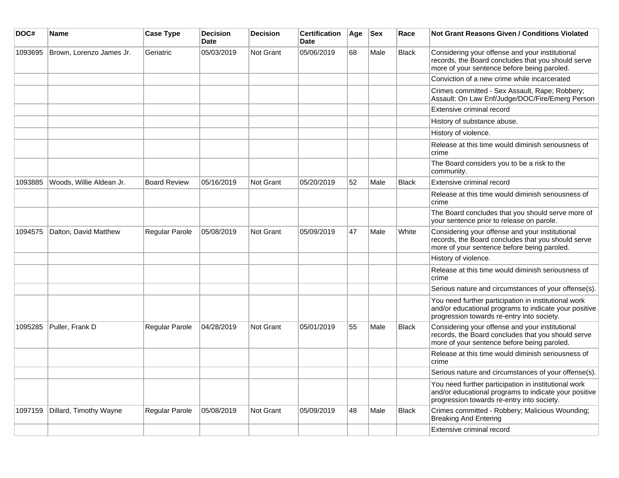| DOC#    | Name                     | <b>Case Type</b>      | <b>Decision</b><br><b>Date</b> | <b>Decision</b>  | <b>Certification</b><br><b>Date</b> | Age | <b>Sex</b> | Race         | <b>Not Grant Reasons Given / Conditions Violated</b>                                                                                                        |
|---------|--------------------------|-----------------------|--------------------------------|------------------|-------------------------------------|-----|------------|--------------|-------------------------------------------------------------------------------------------------------------------------------------------------------------|
| 1093695 | Brown, Lorenzo James Jr. | Geriatric             | 05/03/2019                     | <b>Not Grant</b> | 05/06/2019                          | 68  | Male       | <b>Black</b> | Considering your offense and your institutional<br>records, the Board concludes that you should serve<br>more of your sentence before being paroled.        |
|         |                          |                       |                                |                  |                                     |     |            |              | Conviction of a new crime while incarcerated                                                                                                                |
|         |                          |                       |                                |                  |                                     |     |            |              | Crimes committed - Sex Assault, Rape; Robbery;<br>Assault: On Law Enf/Judge/DOC/Fire/Emerg Person                                                           |
|         |                          |                       |                                |                  |                                     |     |            |              | Extensive criminal record                                                                                                                                   |
|         |                          |                       |                                |                  |                                     |     |            |              | History of substance abuse.                                                                                                                                 |
|         |                          |                       |                                |                  |                                     |     |            |              | History of violence.                                                                                                                                        |
|         |                          |                       |                                |                  |                                     |     |            |              | Release at this time would diminish seriousness of<br>crime                                                                                                 |
|         |                          |                       |                                |                  |                                     |     |            |              | The Board considers you to be a risk to the<br>community.                                                                                                   |
| 1093885 | Woods, Willie Aldean Jr. | <b>Board Review</b>   | 05/16/2019                     | <b>Not Grant</b> | 05/20/2019                          | 52  | Male       | <b>Black</b> | Extensive criminal record                                                                                                                                   |
|         |                          |                       |                                |                  |                                     |     |            |              | Release at this time would diminish seriousness of<br>crime                                                                                                 |
|         |                          |                       |                                |                  |                                     |     |            |              | The Board concludes that you should serve more of<br>your sentence prior to release on parole.                                                              |
| 1094575 | Dalton, David Matthew    | <b>Regular Parole</b> | 05/08/2019                     | <b>Not Grant</b> | 05/09/2019                          | 47  | Male       | White        | Considering your offense and your institutional<br>records, the Board concludes that you should serve<br>more of your sentence before being paroled.        |
|         |                          |                       |                                |                  |                                     |     |            |              | History of violence.                                                                                                                                        |
|         |                          |                       |                                |                  |                                     |     |            |              | Release at this time would diminish seriousness of<br>crime                                                                                                 |
|         |                          |                       |                                |                  |                                     |     |            |              | Serious nature and circumstances of your offense(s).                                                                                                        |
|         |                          |                       |                                |                  |                                     |     |            |              | You need further participation in institutional work<br>and/or educational programs to indicate your positive<br>progression towards re-entry into society. |
| 1095285 | Puller, Frank D          | Regular Parole        | 04/28/2019                     | <b>Not Grant</b> | 05/01/2019                          | 55  | Male       | <b>Black</b> | Considering your offense and your institutional<br>records, the Board concludes that you should serve<br>more of your sentence before being paroled.        |
|         |                          |                       |                                |                  |                                     |     |            |              | Release at this time would diminish seriousness of<br>crime                                                                                                 |
|         |                          |                       |                                |                  |                                     |     |            |              | Serious nature and circumstances of your offense(s).                                                                                                        |
|         |                          |                       |                                |                  |                                     |     |            |              | You need further participation in institutional work<br>and/or educational programs to indicate your positive<br>progression towards re-entry into society. |
| 1097159 | Dillard, Timothy Wayne   | <b>Regular Parole</b> | 05/08/2019                     | <b>Not Grant</b> | 05/09/2019                          | 48  | Male       | Black        | Crimes committed - Robbery; Malicious Wounding;<br><b>Breaking And Entering</b>                                                                             |
|         |                          |                       |                                |                  |                                     |     |            |              | Extensive criminal record                                                                                                                                   |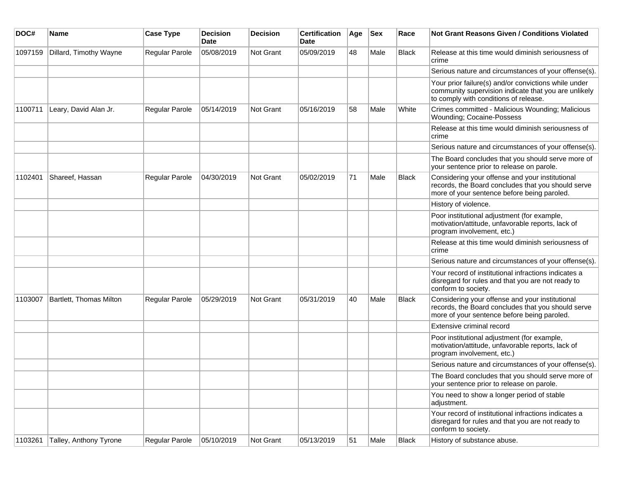| DOC#    | Name                    | <b>Case Type</b>      | <b>Decision</b><br>Date | <b>Decision</b> | <b>Certification</b><br>Date | Age | <b>Sex</b> | Race         | <b>Not Grant Reasons Given / Conditions Violated</b>                                                                                                  |
|---------|-------------------------|-----------------------|-------------------------|-----------------|------------------------------|-----|------------|--------------|-------------------------------------------------------------------------------------------------------------------------------------------------------|
| 1097159 | Dillard, Timothy Wayne  | Regular Parole        | 05/08/2019              | Not Grant       | 05/09/2019                   | 48  | Male       | <b>Black</b> | Release at this time would diminish seriousness of<br>crime                                                                                           |
|         |                         |                       |                         |                 |                              |     |            |              | Serious nature and circumstances of your offense(s).                                                                                                  |
|         |                         |                       |                         |                 |                              |     |            |              | Your prior failure(s) and/or convictions while under<br>community supervision indicate that you are unlikely<br>to comply with conditions of release. |
| 1100711 | Leary, David Alan Jr.   | <b>Regular Parole</b> | 05/14/2019              | Not Grant       | 05/16/2019                   | 58  | Male       | White        | Crimes committed - Malicious Wounding; Malicious<br>Wounding; Cocaine-Possess                                                                         |
|         |                         |                       |                         |                 |                              |     |            |              | Release at this time would diminish seriousness of<br>crime                                                                                           |
|         |                         |                       |                         |                 |                              |     |            |              | Serious nature and circumstances of your offense(s).                                                                                                  |
|         |                         |                       |                         |                 |                              |     |            |              | The Board concludes that you should serve more of<br>your sentence prior to release on parole.                                                        |
| 1102401 | Shareef, Hassan         | Regular Parole        | 04/30/2019              | Not Grant       | 05/02/2019                   | 71  | Male       | <b>Black</b> | Considering your offense and your institutional<br>records, the Board concludes that you should serve<br>more of your sentence before being paroled.  |
|         |                         |                       |                         |                 |                              |     |            |              | History of violence.                                                                                                                                  |
|         |                         |                       |                         |                 |                              |     |            |              | Poor institutional adjustment (for example,<br>motivation/attitude, unfavorable reports, lack of<br>program involvement, etc.)                        |
|         |                         |                       |                         |                 |                              |     |            |              | Release at this time would diminish seriousness of<br>crime                                                                                           |
|         |                         |                       |                         |                 |                              |     |            |              | Serious nature and circumstances of your offense(s).                                                                                                  |
|         |                         |                       |                         |                 |                              |     |            |              | Your record of institutional infractions indicates a<br>disregard for rules and that you are not ready to<br>conform to society.                      |
| 1103007 | Bartlett, Thomas Milton | <b>Regular Parole</b> | 05/29/2019              | Not Grant       | 05/31/2019                   | 40  | Male       | <b>Black</b> | Considering your offense and your institutional<br>records, the Board concludes that you should serve<br>more of your sentence before being paroled.  |
|         |                         |                       |                         |                 |                              |     |            |              | Extensive criminal record                                                                                                                             |
|         |                         |                       |                         |                 |                              |     |            |              | Poor institutional adjustment (for example,<br>motivation/attitude, unfavorable reports, lack of<br>program involvement, etc.)                        |
|         |                         |                       |                         |                 |                              |     |            |              | Serious nature and circumstances of your offense(s).                                                                                                  |
|         |                         |                       |                         |                 |                              |     |            |              | The Board concludes that you should serve more of<br>your sentence prior to release on parole.                                                        |
|         |                         |                       |                         |                 |                              |     |            |              | You need to show a longer period of stable<br>adjustment.                                                                                             |
|         |                         |                       |                         |                 |                              |     |            |              | Your record of institutional infractions indicates a<br>disregard for rules and that you are not ready to<br>conform to society.                      |
| 1103261 | Talley, Anthony Tyrone  | Regular Parole        | 05/10/2019              | Not Grant       | 05/13/2019                   | 51  | Male       | Black        | History of substance abuse.                                                                                                                           |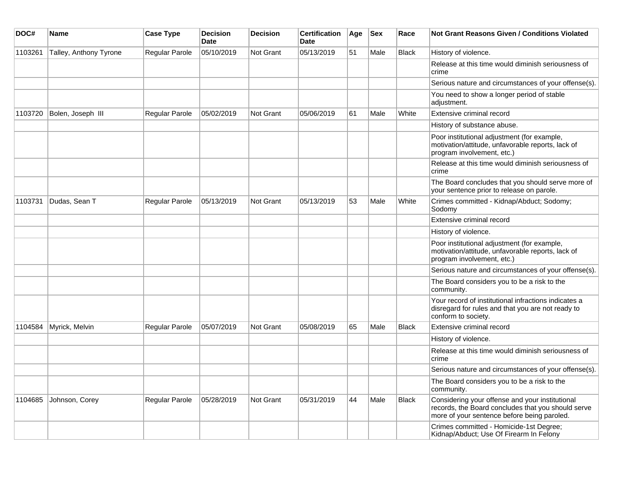| DOC#    | Name                   | <b>Case Type</b>      | <b>Decision</b><br><b>Date</b> | <b>Decision</b>  | <b>Certification</b><br>Date | Age | <b>Sex</b> | Race         | <b>Not Grant Reasons Given / Conditions Violated</b>                                                                                                 |
|---------|------------------------|-----------------------|--------------------------------|------------------|------------------------------|-----|------------|--------------|------------------------------------------------------------------------------------------------------------------------------------------------------|
| 1103261 | Talley, Anthony Tyrone | Regular Parole        | 05/10/2019                     | Not Grant        | 05/13/2019                   | 51  | Male       | <b>Black</b> | History of violence.                                                                                                                                 |
|         |                        |                       |                                |                  |                              |     |            |              | Release at this time would diminish seriousness of<br>crime                                                                                          |
|         |                        |                       |                                |                  |                              |     |            |              | Serious nature and circumstances of your offense(s).                                                                                                 |
|         |                        |                       |                                |                  |                              |     |            |              | You need to show a longer period of stable<br>adjustment.                                                                                            |
| 1103720 | Bolen, Joseph III      | <b>Regular Parole</b> | 05/02/2019                     | Not Grant        | 05/06/2019                   | 61  | Male       | White        | Extensive criminal record                                                                                                                            |
|         |                        |                       |                                |                  |                              |     |            |              | History of substance abuse.                                                                                                                          |
|         |                        |                       |                                |                  |                              |     |            |              | Poor institutional adjustment (for example,<br>motivation/attitude, unfavorable reports, lack of<br>program involvement, etc.)                       |
|         |                        |                       |                                |                  |                              |     |            |              | Release at this time would diminish seriousness of<br>crime                                                                                          |
|         |                        |                       |                                |                  |                              |     |            |              | The Board concludes that you should serve more of<br>your sentence prior to release on parole.                                                       |
| 1103731 | Dudas, Sean T          | Regular Parole        | 05/13/2019                     | Not Grant        | 05/13/2019                   | 53  | Male       | White        | Crimes committed - Kidnap/Abduct; Sodomy;<br>Sodomy                                                                                                  |
|         |                        |                       |                                |                  |                              |     |            |              | Extensive criminal record                                                                                                                            |
|         |                        |                       |                                |                  |                              |     |            |              | History of violence.                                                                                                                                 |
|         |                        |                       |                                |                  |                              |     |            |              | Poor institutional adjustment (for example,<br>motivation/attitude, unfavorable reports, lack of<br>program involvement, etc.)                       |
|         |                        |                       |                                |                  |                              |     |            |              | Serious nature and circumstances of your offense(s).                                                                                                 |
|         |                        |                       |                                |                  |                              |     |            |              | The Board considers you to be a risk to the<br>community.                                                                                            |
|         |                        |                       |                                |                  |                              |     |            |              | Your record of institutional infractions indicates a<br>disregard for rules and that you are not ready to<br>conform to society.                     |
| 1104584 | Myrick, Melvin         | Regular Parole        | 05/07/2019                     | <b>Not Grant</b> | 05/08/2019                   | 65  | Male       | Black        | Extensive criminal record                                                                                                                            |
|         |                        |                       |                                |                  |                              |     |            |              | History of violence.                                                                                                                                 |
|         |                        |                       |                                |                  |                              |     |            |              | Release at this time would diminish seriousness of<br>crime                                                                                          |
|         |                        |                       |                                |                  |                              |     |            |              | Serious nature and circumstances of your offense(s).                                                                                                 |
|         |                        |                       |                                |                  |                              |     |            |              | The Board considers you to be a risk to the<br>community.                                                                                            |
| 1104685 | Johnson, Corey         | Regular Parole        | 05/28/2019                     | Not Grant        | 05/31/2019                   | 44  | Male       | <b>Black</b> | Considering your offense and your institutional<br>records, the Board concludes that you should serve<br>more of your sentence before being paroled. |
|         |                        |                       |                                |                  |                              |     |            |              | Crimes committed - Homicide-1st Degree;<br>Kidnap/Abduct; Use Of Firearm In Felony                                                                   |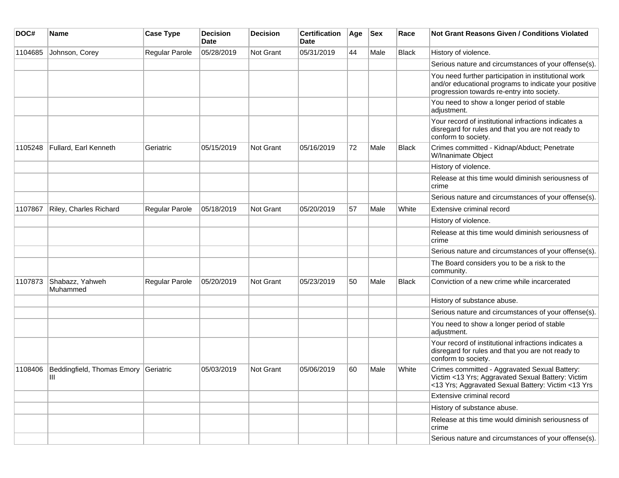| DOC#    | Name                                 | <b>Case Type</b> | <b>Decision</b><br>Date | <b>Decision</b> | <b>Certification</b><br>Date | Age | <b>Sex</b> | Race         | Not Grant Reasons Given / Conditions Violated                                                                                                               |
|---------|--------------------------------------|------------------|-------------------------|-----------------|------------------------------|-----|------------|--------------|-------------------------------------------------------------------------------------------------------------------------------------------------------------|
| 1104685 | Johnson, Corey                       | Regular Parole   | 05/28/2019              | Not Grant       | 05/31/2019                   | 44  | Male       | <b>Black</b> | History of violence.                                                                                                                                        |
|         |                                      |                  |                         |                 |                              |     |            |              | Serious nature and circumstances of your offense(s).                                                                                                        |
|         |                                      |                  |                         |                 |                              |     |            |              | You need further participation in institutional work<br>and/or educational programs to indicate your positive<br>progression towards re-entry into society. |
|         |                                      |                  |                         |                 |                              |     |            |              | You need to show a longer period of stable<br>adjustment.                                                                                                   |
|         |                                      |                  |                         |                 |                              |     |            |              | Your record of institutional infractions indicates a<br>disregard for rules and that you are not ready to<br>conform to society.                            |
| 1105248 | Fullard, Earl Kenneth                | Geriatric        | 05/15/2019              | Not Grant       | 05/16/2019                   | 72  | Male       | Black        | Crimes committed - Kidnap/Abduct; Penetrate<br>W/Inanimate Object                                                                                           |
|         |                                      |                  |                         |                 |                              |     |            |              | History of violence.                                                                                                                                        |
|         |                                      |                  |                         |                 |                              |     |            |              | Release at this time would diminish seriousness of<br>crime                                                                                                 |
|         |                                      |                  |                         |                 |                              |     |            |              | Serious nature and circumstances of your offense(s).                                                                                                        |
| 1107867 | Riley, Charles Richard               | Regular Parole   | 05/18/2019              | Not Grant       | 05/20/2019                   | 57  | Male       | White        | Extensive criminal record                                                                                                                                   |
|         |                                      |                  |                         |                 |                              |     |            |              | History of violence.                                                                                                                                        |
|         |                                      |                  |                         |                 |                              |     |            |              | Release at this time would diminish seriousness of<br>crime                                                                                                 |
|         |                                      |                  |                         |                 |                              |     |            |              | Serious nature and circumstances of your offense(s).                                                                                                        |
|         |                                      |                  |                         |                 |                              |     |            |              | The Board considers you to be a risk to the<br>community.                                                                                                   |
| 1107873 | Shabazz, Yahweh<br>Muhammed          | Regular Parole   | 05/20/2019              | Not Grant       | 05/23/2019                   | 50  | Male       | <b>Black</b> | Conviction of a new crime while incarcerated                                                                                                                |
|         |                                      |                  |                         |                 |                              |     |            |              | History of substance abuse.                                                                                                                                 |
|         |                                      |                  |                         |                 |                              |     |            |              | Serious nature and circumstances of your offense(s).                                                                                                        |
|         |                                      |                  |                         |                 |                              |     |            |              | You need to show a longer period of stable<br>adjustment.                                                                                                   |
|         |                                      |                  |                         |                 |                              |     |            |              | Your record of institutional infractions indicates a<br>disregard for rules and that you are not ready to<br>conform to society.                            |
| 1108406 | Beddingfield, Thomas Emory Geriatric |                  | 05/03/2019              | Not Grant       | 05/06/2019                   | 60  | Male       | White        | Crimes committed - Aggravated Sexual Battery:<br>Victim <13 Yrs; Aggravated Sexual Battery: Victim<br><13 Yrs; Aggravated Sexual Battery: Victim <13 Yrs    |
|         |                                      |                  |                         |                 |                              |     |            |              | Extensive criminal record                                                                                                                                   |
|         |                                      |                  |                         |                 |                              |     |            |              | History of substance abuse.                                                                                                                                 |
|         |                                      |                  |                         |                 |                              |     |            |              | Release at this time would diminish seriousness of<br>crime                                                                                                 |
|         |                                      |                  |                         |                 |                              |     |            |              | Serious nature and circumstances of your offense(s).                                                                                                        |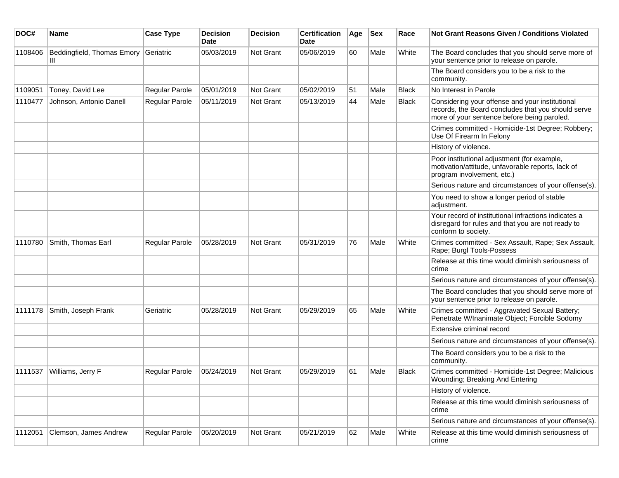| DOC#    | <b>Name</b>                | <b>Case Type</b> | Decision<br><b>Date</b> | <b>Decision</b>  | <b>Certification</b><br>Date | Age | <b>Sex</b> | Race         | Not Grant Reasons Given / Conditions Violated                                                                                                        |
|---------|----------------------------|------------------|-------------------------|------------------|------------------------------|-----|------------|--------------|------------------------------------------------------------------------------------------------------------------------------------------------------|
| 1108406 | Beddingfield, Thomas Emory | Geriatric        | 05/03/2019              | Not Grant        | 05/06/2019                   | 60  | Male       | White        | The Board concludes that you should serve more of<br>your sentence prior to release on parole.                                                       |
|         |                            |                  |                         |                  |                              |     |            |              | The Board considers you to be a risk to the<br>community.                                                                                            |
| 1109051 | Toney, David Lee           | Regular Parole   | 05/01/2019              | Not Grant        | 05/02/2019                   | 51  | Male       | <b>Black</b> | No Interest in Parole                                                                                                                                |
| 1110477 | Johnson, Antonio Danell    | Regular Parole   | 05/11/2019              | Not Grant        | 05/13/2019                   | 44  | Male       | <b>Black</b> | Considering your offense and your institutional<br>records, the Board concludes that you should serve<br>more of your sentence before being paroled. |
|         |                            |                  |                         |                  |                              |     |            |              | Crimes committed - Homicide-1st Degree; Robbery;<br>Use Of Firearm In Felony                                                                         |
|         |                            |                  |                         |                  |                              |     |            |              | History of violence.                                                                                                                                 |
|         |                            |                  |                         |                  |                              |     |            |              | Poor institutional adjustment (for example,<br>motivation/attitude, unfavorable reports, lack of<br>program involvement, etc.)                       |
|         |                            |                  |                         |                  |                              |     |            |              | Serious nature and circumstances of your offense(s).                                                                                                 |
|         |                            |                  |                         |                  |                              |     |            |              | You need to show a longer period of stable<br>adjustment.                                                                                            |
|         |                            |                  |                         |                  |                              |     |            |              | Your record of institutional infractions indicates a<br>disregard for rules and that you are not ready to<br>conform to society.                     |
| 1110780 | Smith, Thomas Earl         | Regular Parole   | 05/28/2019              | Not Grant        | 05/31/2019                   | 76  | Male       | White        | Crimes committed - Sex Assault, Rape; Sex Assault,<br>Rape; Burgl Tools-Possess                                                                      |
|         |                            |                  |                         |                  |                              |     |            |              | Release at this time would diminish seriousness of<br>crime                                                                                          |
|         |                            |                  |                         |                  |                              |     |            |              | Serious nature and circumstances of your offense(s).                                                                                                 |
|         |                            |                  |                         |                  |                              |     |            |              | The Board concludes that you should serve more of<br>your sentence prior to release on parole.                                                       |
| 1111178 | Smith, Joseph Frank        | Geriatric        | 05/28/2019              | <b>Not Grant</b> | 05/29/2019                   | 65  | Male       | White        | Crimes committed - Aggravated Sexual Battery;<br>Penetrate W/Inanimate Object; Forcible Sodomy                                                       |
|         |                            |                  |                         |                  |                              |     |            |              | Extensive criminal record                                                                                                                            |
|         |                            |                  |                         |                  |                              |     |            |              | Serious nature and circumstances of your offense(s).                                                                                                 |
|         |                            |                  |                         |                  |                              |     |            |              | The Board considers you to be a risk to the<br>community.                                                                                            |
| 1111537 | Williams, Jerry F          | Regular Parole   | 05/24/2019              | <b>Not Grant</b> | 05/29/2019                   | 61  | Male       | <b>Black</b> | Crimes committed - Homicide-1st Degree; Malicious<br>Wounding; Breaking And Entering                                                                 |
|         |                            |                  |                         |                  |                              |     |            |              | History of violence.                                                                                                                                 |
|         |                            |                  |                         |                  |                              |     |            |              | Release at this time would diminish seriousness of<br>crime                                                                                          |
|         |                            |                  |                         |                  |                              |     |            |              | Serious nature and circumstances of your offense(s).                                                                                                 |
| 1112051 | Clemson, James Andrew      | Regular Parole   | 05/20/2019              | Not Grant        | 05/21/2019                   | 62  | Male       | White        | Release at this time would diminish seriousness of<br>crime                                                                                          |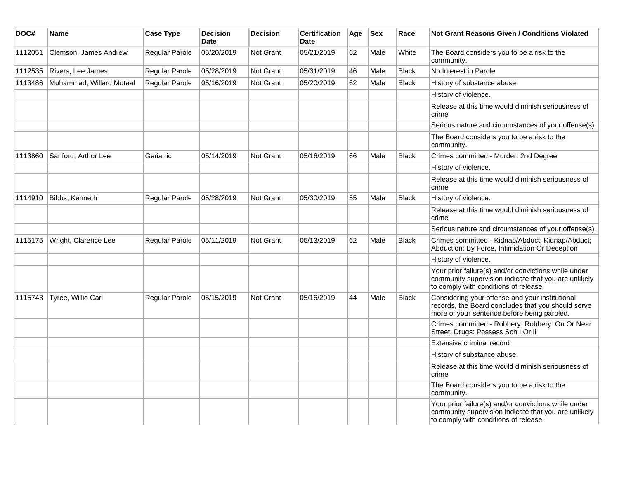| DOC#    | Name                     | <b>Case Type</b>      | <b>Decision</b><br><b>Date</b> | <b>Decision</b> | <b>Certification</b><br><b>Date</b> | Age | <b>Sex</b> | Race         | <b>Not Grant Reasons Given / Conditions Violated</b>                                                                                                  |
|---------|--------------------------|-----------------------|--------------------------------|-----------------|-------------------------------------|-----|------------|--------------|-------------------------------------------------------------------------------------------------------------------------------------------------------|
| 1112051 | Clemson, James Andrew    | Regular Parole        | 05/20/2019                     | Not Grant       | 05/21/2019                          | 62  | Male       | White        | The Board considers you to be a risk to the<br>community.                                                                                             |
| 1112535 | Rivers, Lee James        | Regular Parole        | 05/28/2019                     | Not Grant       | 05/31/2019                          | 46  | Male       | <b>Black</b> | No Interest in Parole                                                                                                                                 |
| 1113486 | Muhammad, Willard Mutaal | Regular Parole        | 05/16/2019                     | Not Grant       | 05/20/2019                          | 62  | Male       | <b>Black</b> | History of substance abuse.                                                                                                                           |
|         |                          |                       |                                |                 |                                     |     |            |              | History of violence.                                                                                                                                  |
|         |                          |                       |                                |                 |                                     |     |            |              | Release at this time would diminish seriousness of<br>crime                                                                                           |
|         |                          |                       |                                |                 |                                     |     |            |              | Serious nature and circumstances of your offense(s).                                                                                                  |
|         |                          |                       |                                |                 |                                     |     |            |              | The Board considers you to be a risk to the<br>community.                                                                                             |
| 1113860 | Sanford, Arthur Lee      | Geriatric             | 05/14/2019                     | Not Grant       | 05/16/2019                          | 66  | Male       | <b>Black</b> | Crimes committed - Murder: 2nd Degree                                                                                                                 |
|         |                          |                       |                                |                 |                                     |     |            |              | History of violence.                                                                                                                                  |
|         |                          |                       |                                |                 |                                     |     |            |              | Release at this time would diminish seriousness of<br>crime                                                                                           |
| 1114910 | Bibbs, Kenneth           | Regular Parole        | 05/28/2019                     | Not Grant       | 05/30/2019                          | 55  | Male       | <b>Black</b> | History of violence.                                                                                                                                  |
|         |                          |                       |                                |                 |                                     |     |            |              | Release at this time would diminish seriousness of<br>crime                                                                                           |
|         |                          |                       |                                |                 |                                     |     |            |              | Serious nature and circumstances of your offense(s).                                                                                                  |
| 1115175 | Wright, Clarence Lee     | <b>Regular Parole</b> | 05/11/2019                     | Not Grant       | 05/13/2019                          | 62  | Male       | <b>Black</b> | Crimes committed - Kidnap/Abduct; Kidnap/Abduct;<br>Abduction: By Force, Intimidation Or Deception                                                    |
|         |                          |                       |                                |                 |                                     |     |            |              | History of violence.                                                                                                                                  |
|         |                          |                       |                                |                 |                                     |     |            |              | Your prior failure(s) and/or convictions while under<br>community supervision indicate that you are unlikely<br>to comply with conditions of release. |
| 1115743 | Tyree, Willie Carl       | Regular Parole        | 05/15/2019                     | Not Grant       | 05/16/2019                          | 44  | Male       | <b>Black</b> | Considering your offense and your institutional<br>records, the Board concludes that you should serve<br>more of your sentence before being paroled.  |
|         |                          |                       |                                |                 |                                     |     |            |              | Crimes committed - Robbery; Robbery: On Or Near<br>Street; Drugs: Possess Sch I Or li                                                                 |
|         |                          |                       |                                |                 |                                     |     |            |              | Extensive criminal record                                                                                                                             |
|         |                          |                       |                                |                 |                                     |     |            |              | History of substance abuse.                                                                                                                           |
|         |                          |                       |                                |                 |                                     |     |            |              | Release at this time would diminish seriousness of<br>crime                                                                                           |
|         |                          |                       |                                |                 |                                     |     |            |              | The Board considers you to be a risk to the<br>community.                                                                                             |
|         |                          |                       |                                |                 |                                     |     |            |              | Your prior failure(s) and/or convictions while under<br>community supervision indicate that you are unlikely<br>to comply with conditions of release. |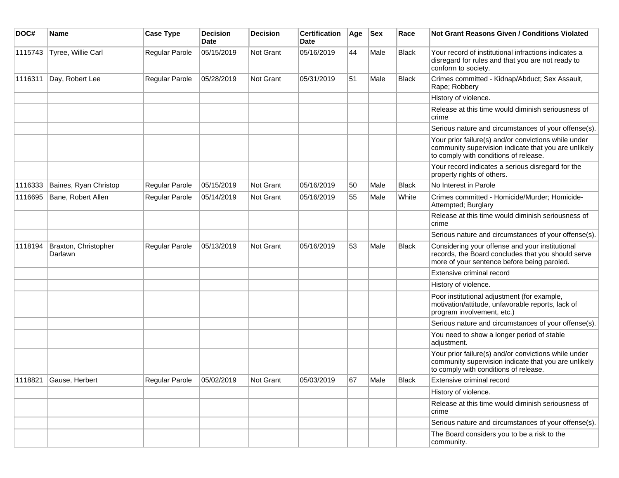| DOC#    | Name                            | <b>Case Type</b> | <b>Decision</b><br>Date | <b>Decision</b> | <b>Certification</b><br>Date | Age | <b>Sex</b> | Race         | <b>Not Grant Reasons Given / Conditions Violated</b>                                                                                                  |
|---------|---------------------------------|------------------|-------------------------|-----------------|------------------------------|-----|------------|--------------|-------------------------------------------------------------------------------------------------------------------------------------------------------|
| 1115743 | Tyree, Willie Carl              | Regular Parole   | 05/15/2019              | Not Grant       | 05/16/2019                   | 44  | Male       | <b>Black</b> | Your record of institutional infractions indicates a<br>disregard for rules and that you are not ready to<br>conform to society.                      |
| 1116311 | Day, Robert Lee                 | Regular Parole   | 05/28/2019              | Not Grant       | 05/31/2019                   | 51  | Male       | <b>Black</b> | Crimes committed - Kidnap/Abduct; Sex Assault,<br>Rape; Robbery                                                                                       |
|         |                                 |                  |                         |                 |                              |     |            |              | History of violence.                                                                                                                                  |
|         |                                 |                  |                         |                 |                              |     |            |              | Release at this time would diminish seriousness of<br>crime                                                                                           |
|         |                                 |                  |                         |                 |                              |     |            |              | Serious nature and circumstances of your offense(s).                                                                                                  |
|         |                                 |                  |                         |                 |                              |     |            |              | Your prior failure(s) and/or convictions while under<br>community supervision indicate that you are unlikely<br>to comply with conditions of release. |
|         |                                 |                  |                         |                 |                              |     |            |              | Your record indicates a serious disregard for the<br>property rights of others.                                                                       |
| 1116333 | Baines, Ryan Christop           | Regular Parole   | 05/15/2019              | Not Grant       | 05/16/2019                   | 50  | Male       | <b>Black</b> | No Interest in Parole                                                                                                                                 |
| 1116695 | Bane, Robert Allen              | Regular Parole   | 05/14/2019              | Not Grant       | 05/16/2019                   | 55  | Male       | White        | Crimes committed - Homicide/Murder; Homicide-<br>Attempted; Burglary                                                                                  |
|         |                                 |                  |                         |                 |                              |     |            |              | Release at this time would diminish seriousness of<br>crime                                                                                           |
|         |                                 |                  |                         |                 |                              |     |            |              | Serious nature and circumstances of your offense(s).                                                                                                  |
| 1118194 | Braxton, Christopher<br>Darlawn | Regular Parole   | 05/13/2019              | Not Grant       | 05/16/2019                   | 53  | Male       | <b>Black</b> | Considering your offense and your institutional<br>records, the Board concludes that you should serve<br>more of your sentence before being paroled.  |
|         |                                 |                  |                         |                 |                              |     |            |              | Extensive criminal record                                                                                                                             |
|         |                                 |                  |                         |                 |                              |     |            |              | History of violence.                                                                                                                                  |
|         |                                 |                  |                         |                 |                              |     |            |              | Poor institutional adjustment (for example,<br>motivation/attitude, unfavorable reports, lack of<br>program involvement, etc.)                        |
|         |                                 |                  |                         |                 |                              |     |            |              | Serious nature and circumstances of your offense(s).                                                                                                  |
|         |                                 |                  |                         |                 |                              |     |            |              | You need to show a longer period of stable<br>adjustment.                                                                                             |
|         |                                 |                  |                         |                 |                              |     |            |              | Your prior failure(s) and/or convictions while under<br>community supervision indicate that you are unlikely<br>to comply with conditions of release. |
| 1118821 | Gause, Herbert                  | Regular Parole   | 05/02/2019              | Not Grant       | 05/03/2019                   | 67  | Male       | Black        | Extensive criminal record                                                                                                                             |
|         |                                 |                  |                         |                 |                              |     |            |              | History of violence.                                                                                                                                  |
|         |                                 |                  |                         |                 |                              |     |            |              | Release at this time would diminish seriousness of<br>crime                                                                                           |
|         |                                 |                  |                         |                 |                              |     |            |              | Serious nature and circumstances of your offense(s).                                                                                                  |
|         |                                 |                  |                         |                 |                              |     |            |              | The Board considers you to be a risk to the<br>community.                                                                                             |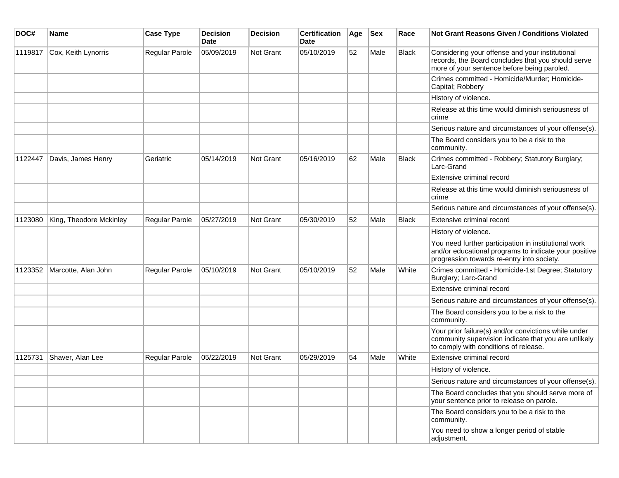| DOC#    | Name                    | <b>Case Type</b> | <b>Decision</b><br>Date | <b>Decision</b> | <b>Certification</b><br><b>Date</b> | Age | <b>Sex</b> | Race         | Not Grant Reasons Given / Conditions Violated                                                                                                               |
|---------|-------------------------|------------------|-------------------------|-----------------|-------------------------------------|-----|------------|--------------|-------------------------------------------------------------------------------------------------------------------------------------------------------------|
| 1119817 | Cox, Keith Lynorris     | Regular Parole   | 05/09/2019              | Not Grant       | 05/10/2019                          | 52  | Male       | <b>Black</b> | Considering your offense and your institutional<br>records, the Board concludes that you should serve<br>more of your sentence before being paroled.        |
|         |                         |                  |                         |                 |                                     |     |            |              | Crimes committed - Homicide/Murder; Homicide-<br>Capital; Robbery                                                                                           |
|         |                         |                  |                         |                 |                                     |     |            |              | History of violence.                                                                                                                                        |
|         |                         |                  |                         |                 |                                     |     |            |              | Release at this time would diminish seriousness of<br>crime                                                                                                 |
|         |                         |                  |                         |                 |                                     |     |            |              | Serious nature and circumstances of your offense(s).                                                                                                        |
|         |                         |                  |                         |                 |                                     |     |            |              | The Board considers you to be a risk to the<br>community.                                                                                                   |
| 1122447 | Davis, James Henry      | Geriatric        | 05/14/2019              | Not Grant       | 05/16/2019                          | 62  | Male       | Black        | Crimes committed - Robbery; Statutory Burglary;<br>Larc-Grand                                                                                               |
|         |                         |                  |                         |                 |                                     |     |            |              | Extensive criminal record                                                                                                                                   |
|         |                         |                  |                         |                 |                                     |     |            |              | Release at this time would diminish seriousness of<br>crime                                                                                                 |
|         |                         |                  |                         |                 |                                     |     |            |              | Serious nature and circumstances of your offense(s).                                                                                                        |
| 1123080 | King, Theodore Mckinley | Regular Parole   | 05/27/2019              | Not Grant       | 05/30/2019                          | 52  | Male       | <b>Black</b> | Extensive criminal record                                                                                                                                   |
|         |                         |                  |                         |                 |                                     |     |            |              | History of violence.                                                                                                                                        |
|         |                         |                  |                         |                 |                                     |     |            |              | You need further participation in institutional work<br>and/or educational programs to indicate your positive<br>progression towards re-entry into society. |
| 1123352 | Marcotte, Alan John     | Regular Parole   | 05/10/2019              | Not Grant       | 05/10/2019                          | 52  | Male       | White        | Crimes committed - Homicide-1st Degree; Statutory<br>Burglary; Larc-Grand                                                                                   |
|         |                         |                  |                         |                 |                                     |     |            |              | Extensive criminal record                                                                                                                                   |
|         |                         |                  |                         |                 |                                     |     |            |              | Serious nature and circumstances of your offense(s).                                                                                                        |
|         |                         |                  |                         |                 |                                     |     |            |              | The Board considers you to be a risk to the<br>community.                                                                                                   |
|         |                         |                  |                         |                 |                                     |     |            |              | Your prior failure(s) and/or convictions while under<br>community supervision indicate that you are unlikely<br>to comply with conditions of release.       |
| 1125731 | Shaver, Alan Lee        | Regular Parole   | 05/22/2019              | Not Grant       | 05/29/2019                          | 54  | Male       | White        | Extensive criminal record                                                                                                                                   |
|         |                         |                  |                         |                 |                                     |     |            |              | History of violence.                                                                                                                                        |
|         |                         |                  |                         |                 |                                     |     |            |              | Serious nature and circumstances of your offense(s).                                                                                                        |
|         |                         |                  |                         |                 |                                     |     |            |              | The Board concludes that you should serve more of<br>your sentence prior to release on parole.                                                              |
|         |                         |                  |                         |                 |                                     |     |            |              | The Board considers you to be a risk to the<br>community.                                                                                                   |
|         |                         |                  |                         |                 |                                     |     |            |              | You need to show a longer period of stable<br>adjustment.                                                                                                   |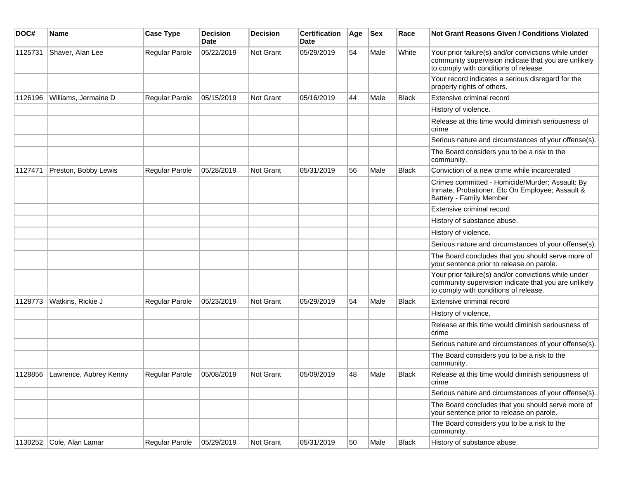| DOC#    | Name                           | <b>Case Type</b>      | <b>Decision</b><br><b>Date</b> | <b>Decision</b> | <b>Certification</b><br>Date | Age | <b>Sex</b> | Race         | <b>Not Grant Reasons Given / Conditions Violated</b>                                                                                                  |
|---------|--------------------------------|-----------------------|--------------------------------|-----------------|------------------------------|-----|------------|--------------|-------------------------------------------------------------------------------------------------------------------------------------------------------|
| 1125731 | Shaver, Alan Lee               | Regular Parole        | 05/22/2019                     | Not Grant       | 05/29/2019                   | 54  | Male       | White        | Your prior failure(s) and/or convictions while under<br>community supervision indicate that you are unlikely<br>to comply with conditions of release. |
|         |                                |                       |                                |                 |                              |     |            |              | Your record indicates a serious disregard for the<br>property rights of others.                                                                       |
| 1126196 | Williams, Jermaine D           | Regular Parole        | 05/15/2019                     | Not Grant       | 05/16/2019                   | 44  | Male       | <b>Black</b> | Extensive criminal record                                                                                                                             |
|         |                                |                       |                                |                 |                              |     |            |              | History of violence.                                                                                                                                  |
|         |                                |                       |                                |                 |                              |     |            |              | Release at this time would diminish seriousness of<br>crime                                                                                           |
|         |                                |                       |                                |                 |                              |     |            |              | Serious nature and circumstances of your offense(s).                                                                                                  |
|         |                                |                       |                                |                 |                              |     |            |              | The Board considers you to be a risk to the<br>community.                                                                                             |
| 1127471 | Preston, Bobby Lewis           | Regular Parole        | 05/28/2019                     | Not Grant       | 05/31/2019                   | 56  | Male       | <b>Black</b> | Conviction of a new crime while incarcerated                                                                                                          |
|         |                                |                       |                                |                 |                              |     |            |              | Crimes committed - Homicide/Murder; Assault: By<br>Inmate, Probationer, Etc On Employee; Assault &<br><b>Battery - Family Member</b>                  |
|         |                                |                       |                                |                 |                              |     |            |              | Extensive criminal record                                                                                                                             |
|         |                                |                       |                                |                 |                              |     |            |              | History of substance abuse.                                                                                                                           |
|         |                                |                       |                                |                 |                              |     |            |              | History of violence.                                                                                                                                  |
|         |                                |                       |                                |                 |                              |     |            |              | Serious nature and circumstances of your offense(s).                                                                                                  |
|         |                                |                       |                                |                 |                              |     |            |              | The Board concludes that you should serve more of<br>your sentence prior to release on parole.                                                        |
|         |                                |                       |                                |                 |                              |     |            |              | Your prior failure(s) and/or convictions while under<br>community supervision indicate that you are unlikely<br>to comply with conditions of release. |
| 1128773 | Watkins, Rickie J              | Regular Parole        | 05/23/2019                     | Not Grant       | 05/29/2019                   | 54  | Male       | <b>Black</b> | Extensive criminal record                                                                                                                             |
|         |                                |                       |                                |                 |                              |     |            |              | History of violence.                                                                                                                                  |
|         |                                |                       |                                |                 |                              |     |            |              | Release at this time would diminish seriousness of<br>crime                                                                                           |
|         |                                |                       |                                |                 |                              |     |            |              | Serious nature and circumstances of your offense(s).                                                                                                  |
|         |                                |                       |                                |                 |                              |     |            |              | The Board considers you to be a risk to the<br>community.                                                                                             |
|         | 1128856 Lawrence, Aubrey Kenny | <b>Regular Parole</b> | 05/08/2019                     | Not Grant       | 05/09/2019                   | 48  | Male       | Black        | Release at this time would diminish seriousness of<br>crime                                                                                           |
|         |                                |                       |                                |                 |                              |     |            |              | Serious nature and circumstances of your offense(s).                                                                                                  |
|         |                                |                       |                                |                 |                              |     |            |              | The Board concludes that you should serve more of<br>your sentence prior to release on parole.                                                        |
|         |                                |                       |                                |                 |                              |     |            |              | The Board considers you to be a risk to the<br>community.                                                                                             |
|         | 1130252 Cole, Alan Lamar       | Regular Parole        | 05/29/2019                     | Not Grant       | 05/31/2019                   | 50  | Male       | <b>Black</b> | History of substance abuse.                                                                                                                           |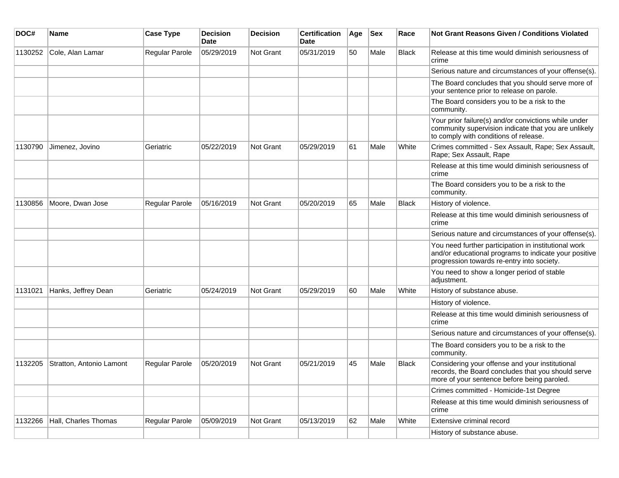| DOC#    | Name                     | <b>Case Type</b> | <b>Decision</b><br>Date | <b>Decision</b> | <b>Certification</b><br>Date | Age | <b>Sex</b> | Race         | <b>Not Grant Reasons Given / Conditions Violated</b>                                                                                                        |
|---------|--------------------------|------------------|-------------------------|-----------------|------------------------------|-----|------------|--------------|-------------------------------------------------------------------------------------------------------------------------------------------------------------|
| 1130252 | Cole, Alan Lamar         | Regular Parole   | 05/29/2019              | Not Grant       | 05/31/2019                   | 50  | Male       | <b>Black</b> | Release at this time would diminish seriousness of<br>crime                                                                                                 |
|         |                          |                  |                         |                 |                              |     |            |              | Serious nature and circumstances of your offense(s).                                                                                                        |
|         |                          |                  |                         |                 |                              |     |            |              | The Board concludes that you should serve more of<br>your sentence prior to release on parole.                                                              |
|         |                          |                  |                         |                 |                              |     |            |              | The Board considers you to be a risk to the<br>community.                                                                                                   |
|         |                          |                  |                         |                 |                              |     |            |              | Your prior failure(s) and/or convictions while under<br>community supervision indicate that you are unlikely<br>to comply with conditions of release.       |
| 1130790 | Jimenez, Jovino          | Geriatric        | 05/22/2019              | Not Grant       | 05/29/2019                   | 61  | Male       | White        | Crimes committed - Sex Assault, Rape; Sex Assault,<br>Rape; Sex Assault, Rape                                                                               |
|         |                          |                  |                         |                 |                              |     |            |              | Release at this time would diminish seriousness of<br>crime                                                                                                 |
|         |                          |                  |                         |                 |                              |     |            |              | The Board considers you to be a risk to the<br>community.                                                                                                   |
| 1130856 | Moore, Dwan Jose         | Regular Parole   | 05/16/2019              | Not Grant       | 05/20/2019                   | 65  | Male       | <b>Black</b> | History of violence.                                                                                                                                        |
|         |                          |                  |                         |                 |                              |     |            |              | Release at this time would diminish seriousness of<br>crime                                                                                                 |
|         |                          |                  |                         |                 |                              |     |            |              | Serious nature and circumstances of your offense(s).                                                                                                        |
|         |                          |                  |                         |                 |                              |     |            |              | You need further participation in institutional work<br>and/or educational programs to indicate your positive<br>progression towards re-entry into society. |
|         |                          |                  |                         |                 |                              |     |            |              | You need to show a longer period of stable<br>adjustment.                                                                                                   |
| 1131021 | Hanks, Jeffrey Dean      | Geriatric        | 05/24/2019              | Not Grant       | 05/29/2019                   | 60  | Male       | White        | History of substance abuse.                                                                                                                                 |
|         |                          |                  |                         |                 |                              |     |            |              | History of violence.                                                                                                                                        |
|         |                          |                  |                         |                 |                              |     |            |              | Release at this time would diminish seriousness of<br>crime                                                                                                 |
|         |                          |                  |                         |                 |                              |     |            |              | Serious nature and circumstances of your offense(s).                                                                                                        |
|         |                          |                  |                         |                 |                              |     |            |              | The Board considers you to be a risk to the<br>community.                                                                                                   |
| 1132205 | Stratton, Antonio Lamont | Regular Parole   | 05/20/2019              | Not Grant       | 05/21/2019                   | 45  | Male       | <b>Black</b> | Considering your offense and your institutional<br>records, the Board concludes that you should serve<br>more of your sentence before being paroled.        |
|         |                          |                  |                         |                 |                              |     |            |              | Crimes committed - Homicide-1st Degree                                                                                                                      |
|         |                          |                  |                         |                 |                              |     |            |              | Release at this time would diminish seriousness of<br>crime                                                                                                 |
| 1132266 | Hall, Charles Thomas     | Regular Parole   | 05/09/2019              | Not Grant       | 05/13/2019                   | 62  | Male       | White        | Extensive criminal record                                                                                                                                   |
|         |                          |                  |                         |                 |                              |     |            |              | History of substance abuse.                                                                                                                                 |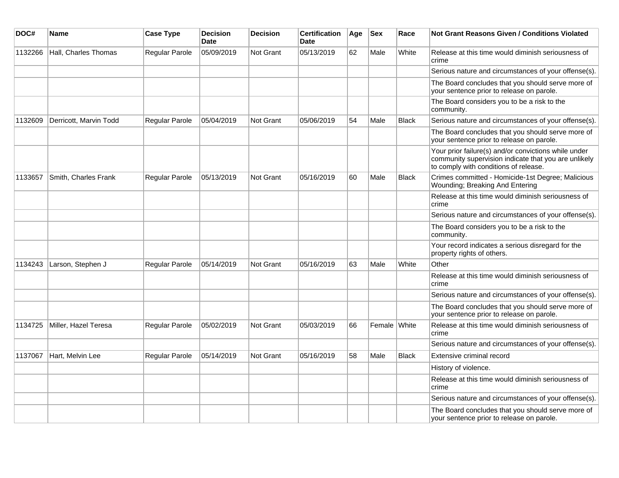| DOC#    | Name                   | <b>Case Type</b>      | <b>Decision</b><br><b>Date</b> | <b>Decision</b>  | <b>Certification</b><br>Date | Age | <b>Sex</b>   | Race         | Not Grant Reasons Given / Conditions Violated                                                                                                         |
|---------|------------------------|-----------------------|--------------------------------|------------------|------------------------------|-----|--------------|--------------|-------------------------------------------------------------------------------------------------------------------------------------------------------|
| 1132266 | Hall, Charles Thomas   | Regular Parole        | 05/09/2019                     | Not Grant        | 05/13/2019                   | 62  | Male         | White        | Release at this time would diminish seriousness of<br>crime                                                                                           |
|         |                        |                       |                                |                  |                              |     |              |              | Serious nature and circumstances of your offense(s).                                                                                                  |
|         |                        |                       |                                |                  |                              |     |              |              | The Board concludes that you should serve more of<br>your sentence prior to release on parole.                                                        |
|         |                        |                       |                                |                  |                              |     |              |              | The Board considers you to be a risk to the<br>community.                                                                                             |
| 1132609 | Derricott, Marvin Todd | Regular Parole        | 05/04/2019                     | <b>Not Grant</b> | 05/06/2019                   | 54  | Male         | <b>Black</b> | Serious nature and circumstances of your offense(s).                                                                                                  |
|         |                        |                       |                                |                  |                              |     |              |              | The Board concludes that you should serve more of<br>your sentence prior to release on parole.                                                        |
|         |                        |                       |                                |                  |                              |     |              |              | Your prior failure(s) and/or convictions while under<br>community supervision indicate that you are unlikely<br>to comply with conditions of release. |
| 1133657 | Smith, Charles Frank   | <b>Regular Parole</b> | 05/13/2019                     | <b>Not Grant</b> | 05/16/2019                   | 60  | Male         | <b>Black</b> | Crimes committed - Homicide-1st Degree; Malicious<br>Wounding; Breaking And Entering                                                                  |
|         |                        |                       |                                |                  |                              |     |              |              | Release at this time would diminish seriousness of<br>crime                                                                                           |
|         |                        |                       |                                |                  |                              |     |              |              | Serious nature and circumstances of your offense(s).                                                                                                  |
|         |                        |                       |                                |                  |                              |     |              |              | The Board considers you to be a risk to the<br>community.                                                                                             |
|         |                        |                       |                                |                  |                              |     |              |              | Your record indicates a serious disregard for the<br>property rights of others.                                                                       |
| 1134243 | Larson, Stephen J      | Regular Parole        | 05/14/2019                     | <b>Not Grant</b> | 05/16/2019                   | 63  | Male         | White        | Other                                                                                                                                                 |
|         |                        |                       |                                |                  |                              |     |              |              | Release at this time would diminish seriousness of<br>crime                                                                                           |
|         |                        |                       |                                |                  |                              |     |              |              | Serious nature and circumstances of your offense(s).                                                                                                  |
|         |                        |                       |                                |                  |                              |     |              |              | The Board concludes that you should serve more of<br>your sentence prior to release on parole.                                                        |
| 1134725 | Miller, Hazel Teresa   | Regular Parole        | 05/02/2019                     | Not Grant        | 05/03/2019                   | 66  | Female White |              | Release at this time would diminish seriousness of<br>crime                                                                                           |
|         |                        |                       |                                |                  |                              |     |              |              | Serious nature and circumstances of your offense(s).                                                                                                  |
| 1137067 | Hart, Melvin Lee       | Regular Parole        | 05/14/2019                     | Not Grant        | 05/16/2019                   | 58  | Male         | <b>Black</b> | Extensive criminal record                                                                                                                             |
|         |                        |                       |                                |                  |                              |     |              |              | History of violence.                                                                                                                                  |
|         |                        |                       |                                |                  |                              |     |              |              | Release at this time would diminish seriousness of<br>crime                                                                                           |
|         |                        |                       |                                |                  |                              |     |              |              | Serious nature and circumstances of your offense(s).                                                                                                  |
|         |                        |                       |                                |                  |                              |     |              |              | The Board concludes that you should serve more of<br>your sentence prior to release on parole.                                                        |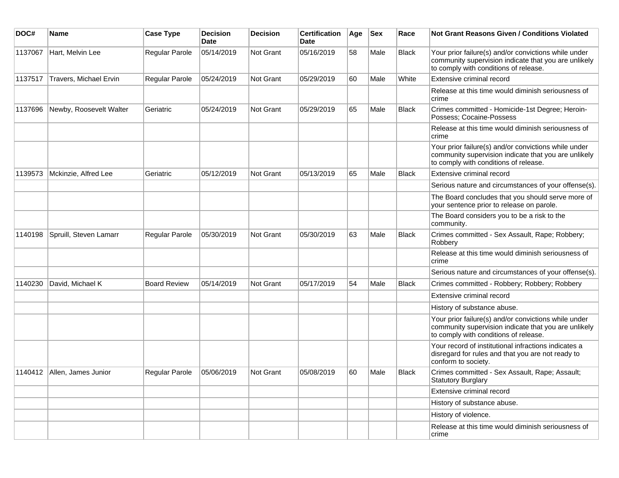| DOC#    | <b>Name</b>                   | <b>Case Type</b>      | <b>Decision</b><br>Date | <b>Decision</b> | <b>Certification</b><br>Date | Age | <b>Sex</b> | Race         | Not Grant Reasons Given / Conditions Violated                                                                                                         |
|---------|-------------------------------|-----------------------|-------------------------|-----------------|------------------------------|-----|------------|--------------|-------------------------------------------------------------------------------------------------------------------------------------------------------|
| 1137067 | Hart, Melvin Lee              | Regular Parole        | 05/14/2019              | Not Grant       | 05/16/2019                   | 58  | Male       | <b>Black</b> | Your prior failure(s) and/or convictions while under<br>community supervision indicate that you are unlikely<br>to comply with conditions of release. |
| 1137517 | Travers, Michael Ervin        | Regular Parole        | 05/24/2019              | Not Grant       | 05/29/2019                   | 60  | Male       | White        | Extensive criminal record                                                                                                                             |
|         |                               |                       |                         |                 |                              |     |            |              | Release at this time would diminish seriousness of<br>crime                                                                                           |
| 1137696 | Newby, Roosevelt Walter       | Geriatric             | 05/24/2019              | Not Grant       | 05/29/2019                   | 65  | Male       | Black        | Crimes committed - Homicide-1st Degree; Heroin-<br>Possess; Cocaine-Possess                                                                           |
|         |                               |                       |                         |                 |                              |     |            |              | Release at this time would diminish seriousness of<br>crime                                                                                           |
|         |                               |                       |                         |                 |                              |     |            |              | Your prior failure(s) and/or convictions while under<br>community supervision indicate that you are unlikely<br>to comply with conditions of release. |
| 1139573 | Mckinzie, Alfred Lee          | Geriatric             | 05/12/2019              | Not Grant       | 05/13/2019                   | 65  | Male       | <b>Black</b> | Extensive criminal record                                                                                                                             |
|         |                               |                       |                         |                 |                              |     |            |              | Serious nature and circumstances of your offense(s).                                                                                                  |
|         |                               |                       |                         |                 |                              |     |            |              | The Board concludes that you should serve more of<br>your sentence prior to release on parole.                                                        |
|         |                               |                       |                         |                 |                              |     |            |              | The Board considers you to be a risk to the<br>community.                                                                                             |
| 1140198 | Spruill, Steven Lamarr        | <b>Regular Parole</b> | 05/30/2019              | Not Grant       | 05/30/2019                   | 63  | Male       | <b>Black</b> | Crimes committed - Sex Assault, Rape; Robbery;<br>Robbery                                                                                             |
|         |                               |                       |                         |                 |                              |     |            |              | Release at this time would diminish seriousness of<br>crime                                                                                           |
|         |                               |                       |                         |                 |                              |     |            |              | Serious nature and circumstances of your offense(s).                                                                                                  |
| 1140230 | David, Michael K              | <b>Board Review</b>   | 05/14/2019              | Not Grant       | 05/17/2019                   | 54  | Male       | <b>Black</b> | Crimes committed - Robbery; Robbery; Robbery                                                                                                          |
|         |                               |                       |                         |                 |                              |     |            |              | Extensive criminal record                                                                                                                             |
|         |                               |                       |                         |                 |                              |     |            |              | History of substance abuse.                                                                                                                           |
|         |                               |                       |                         |                 |                              |     |            |              | Your prior failure(s) and/or convictions while under<br>community supervision indicate that you are unlikely<br>to comply with conditions of release. |
|         |                               |                       |                         |                 |                              |     |            |              | Your record of institutional infractions indicates a<br>disregard for rules and that you are not ready to<br>conform to society.                      |
|         | 1140412   Allen, James Junior | <b>Regular Parole</b> | 05/06/2019              | Not Grant       | 05/08/2019                   | 60  | Male       | <b>Black</b> | Crimes committed - Sex Assault, Rape; Assault;<br><b>Statutory Burglary</b>                                                                           |
|         |                               |                       |                         |                 |                              |     |            |              | Extensive criminal record                                                                                                                             |
|         |                               |                       |                         |                 |                              |     |            |              | History of substance abuse.                                                                                                                           |
|         |                               |                       |                         |                 |                              |     |            |              | History of violence.                                                                                                                                  |
|         |                               |                       |                         |                 |                              |     |            |              | Release at this time would diminish seriousness of<br>crime                                                                                           |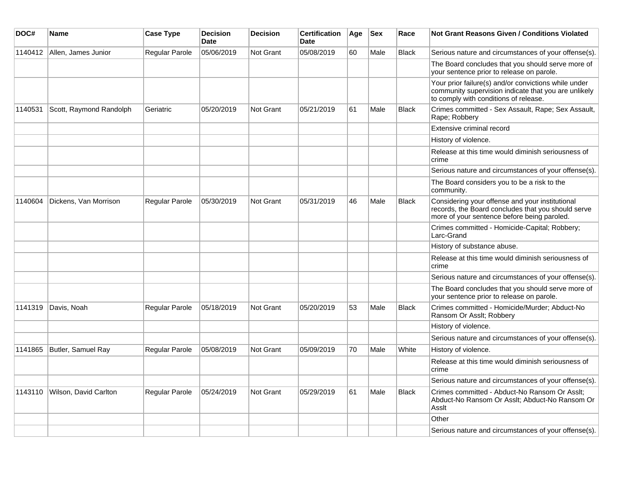| DOC#    | Name                    | <b>Case Type</b>      | <b>Decision</b><br><b>Date</b> | <b>Decision</b>  | <b>Certification</b><br><b>Date</b> | Age | <b>Sex</b> | Race         | <b>Not Grant Reasons Given / Conditions Violated</b>                                                                                                  |
|---------|-------------------------|-----------------------|--------------------------------|------------------|-------------------------------------|-----|------------|--------------|-------------------------------------------------------------------------------------------------------------------------------------------------------|
| 1140412 | Allen, James Junior     | Regular Parole        | 05/06/2019                     | <b>Not Grant</b> | 05/08/2019                          | 60  | Male       | <b>Black</b> | Serious nature and circumstances of your offense(s).                                                                                                  |
|         |                         |                       |                                |                  |                                     |     |            |              | The Board concludes that you should serve more of<br>your sentence prior to release on parole.                                                        |
|         |                         |                       |                                |                  |                                     |     |            |              | Your prior failure(s) and/or convictions while under<br>community supervision indicate that you are unlikely<br>to comply with conditions of release. |
| 1140531 | Scott, Raymond Randolph | Geriatric             | 05/20/2019                     | Not Grant        | 05/21/2019                          | 61  | Male       | Black        | Crimes committed - Sex Assault, Rape; Sex Assault,<br>Rape; Robbery                                                                                   |
|         |                         |                       |                                |                  |                                     |     |            |              | Extensive criminal record                                                                                                                             |
|         |                         |                       |                                |                  |                                     |     |            |              | History of violence.                                                                                                                                  |
|         |                         |                       |                                |                  |                                     |     |            |              | Release at this time would diminish seriousness of<br>crime                                                                                           |
|         |                         |                       |                                |                  |                                     |     |            |              | Serious nature and circumstances of your offense(s).                                                                                                  |
|         |                         |                       |                                |                  |                                     |     |            |              | The Board considers you to be a risk to the<br>community.                                                                                             |
| 1140604 | Dickens, Van Morrison   | <b>Regular Parole</b> | 05/30/2019                     | <b>Not Grant</b> | 05/31/2019                          | 46  | Male       | <b>Black</b> | Considering your offense and your institutional<br>records, the Board concludes that you should serve<br>more of your sentence before being paroled.  |
|         |                         |                       |                                |                  |                                     |     |            |              | Crimes committed - Homicide-Capital; Robbery;<br>Larc-Grand                                                                                           |
|         |                         |                       |                                |                  |                                     |     |            |              | History of substance abuse.                                                                                                                           |
|         |                         |                       |                                |                  |                                     |     |            |              | Release at this time would diminish seriousness of<br>crime                                                                                           |
|         |                         |                       |                                |                  |                                     |     |            |              | Serious nature and circumstances of your offense(s).                                                                                                  |
|         |                         |                       |                                |                  |                                     |     |            |              | The Board concludes that you should serve more of<br>your sentence prior to release on parole.                                                        |
| 1141319 | Davis, Noah             | Regular Parole        | 05/18/2019                     | <b>Not Grant</b> | 05/20/2019                          | 53  | Male       | <b>Black</b> | Crimes committed - Homicide/Murder; Abduct-No<br>Ransom Or Asslt; Robbery                                                                             |
|         |                         |                       |                                |                  |                                     |     |            |              | History of violence.                                                                                                                                  |
|         |                         |                       |                                |                  |                                     |     |            |              | Serious nature and circumstances of your offense(s).                                                                                                  |
| 1141865 | Butler, Samuel Ray      | Regular Parole        | 05/08/2019                     | <b>Not Grant</b> | 05/09/2019                          | 70  | Male       | White        | History of violence.                                                                                                                                  |
|         |                         |                       |                                |                  |                                     |     |            |              | Release at this time would diminish seriousness of<br>crime                                                                                           |
|         |                         |                       |                                |                  |                                     |     |            |              | Serious nature and circumstances of your offense(s).                                                                                                  |
| 1143110 | Wilson, David Carlton   | Regular Parole        | 05/24/2019                     | <b>Not Grant</b> | 05/29/2019                          | 61  | Male       | <b>Black</b> | Crimes committed - Abduct-No Ransom Or Asslt;<br>Abduct-No Ransom Or Asslt; Abduct-No Ransom Or<br>Asslt                                              |
|         |                         |                       |                                |                  |                                     |     |            |              | Other                                                                                                                                                 |
|         |                         |                       |                                |                  |                                     |     |            |              | Serious nature and circumstances of your offense(s).                                                                                                  |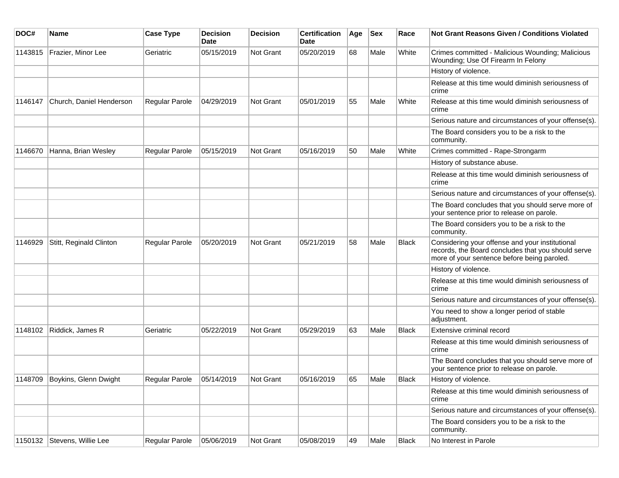| DOC#    | <b>Name</b>                   | <b>Case Type</b>      | <b>Decision</b><br><b>Date</b> | <b>Decision</b> | <b>Certification</b><br>Date | Age | <b>Sex</b> | Race         | Not Grant Reasons Given / Conditions Violated                                                                                                        |
|---------|-------------------------------|-----------------------|--------------------------------|-----------------|------------------------------|-----|------------|--------------|------------------------------------------------------------------------------------------------------------------------------------------------------|
| 1143815 | Frazier, Minor Lee            | Geriatric             | 05/15/2019                     | Not Grant       | 05/20/2019                   | 68  | Male       | White        | Crimes committed - Malicious Wounding; Malicious<br>Wounding; Use Of Firearm In Felony                                                               |
|         |                               |                       |                                |                 |                              |     |            |              | History of violence.                                                                                                                                 |
|         |                               |                       |                                |                 |                              |     |            |              | Release at this time would diminish seriousness of<br>crime                                                                                          |
| 1146147 | Church, Daniel Henderson      | Regular Parole        | 04/29/2019                     | Not Grant       | 05/01/2019                   | 55  | Male       | White        | Release at this time would diminish seriousness of<br>crime                                                                                          |
|         |                               |                       |                                |                 |                              |     |            |              | Serious nature and circumstances of your offense(s).                                                                                                 |
|         |                               |                       |                                |                 |                              |     |            |              | The Board considers you to be a risk to the<br>community.                                                                                            |
| 1146670 | Hanna, Brian Wesley           | <b>Regular Parole</b> | 05/15/2019                     | Not Grant       | 05/16/2019                   | 50  | Male       | White        | Crimes committed - Rape-Strongarm                                                                                                                    |
|         |                               |                       |                                |                 |                              |     |            |              | History of substance abuse.                                                                                                                          |
|         |                               |                       |                                |                 |                              |     |            |              | Release at this time would diminish seriousness of<br>crime                                                                                          |
|         |                               |                       |                                |                 |                              |     |            |              | Serious nature and circumstances of your offense(s).                                                                                                 |
|         |                               |                       |                                |                 |                              |     |            |              | The Board concludes that you should serve more of<br>your sentence prior to release on parole.                                                       |
|         |                               |                       |                                |                 |                              |     |            |              | The Board considers you to be a risk to the<br>community.                                                                                            |
| 1146929 | Stitt, Reginald Clinton       | Regular Parole        | 05/20/2019                     | Not Grant       | 05/21/2019                   | 58  | Male       | <b>Black</b> | Considering your offense and your institutional<br>records, the Board concludes that you should serve<br>more of your sentence before being paroled. |
|         |                               |                       |                                |                 |                              |     |            |              | History of violence.                                                                                                                                 |
|         |                               |                       |                                |                 |                              |     |            |              | Release at this time would diminish seriousness of<br>crime                                                                                          |
|         |                               |                       |                                |                 |                              |     |            |              | Serious nature and circumstances of your offense(s).                                                                                                 |
|         |                               |                       |                                |                 |                              |     |            |              | You need to show a longer period of stable<br>adjustment.                                                                                            |
| 1148102 | Riddick, James R              | Geriatric             | 05/22/2019                     | Not Grant       | 05/29/2019                   | 63  | Male       | <b>Black</b> | Extensive criminal record                                                                                                                            |
|         |                               |                       |                                |                 |                              |     |            |              | Release at this time would diminish seriousness of<br>crime                                                                                          |
|         |                               |                       |                                |                 |                              |     |            |              | The Board concludes that you should serve more of<br>your sentence prior to release on parole.                                                       |
|         | 1148709 Boykins, Glenn Dwight | Regular Parole        | 05/14/2019                     | Not Grant       | 05/16/2019                   | 65  | Male       | Black        | History of violence.                                                                                                                                 |
|         |                               |                       |                                |                 |                              |     |            |              | Release at this time would diminish seriousness of<br>crime                                                                                          |
|         |                               |                       |                                |                 |                              |     |            |              | Serious nature and circumstances of your offense(s).                                                                                                 |
|         |                               |                       |                                |                 |                              |     |            |              | The Board considers you to be a risk to the<br>community.                                                                                            |
|         | 1150132 Stevens, Willie Lee   | Regular Parole        | 05/06/2019                     | Not Grant       | 05/08/2019                   | 49  | Male       | Black        | No Interest in Parole                                                                                                                                |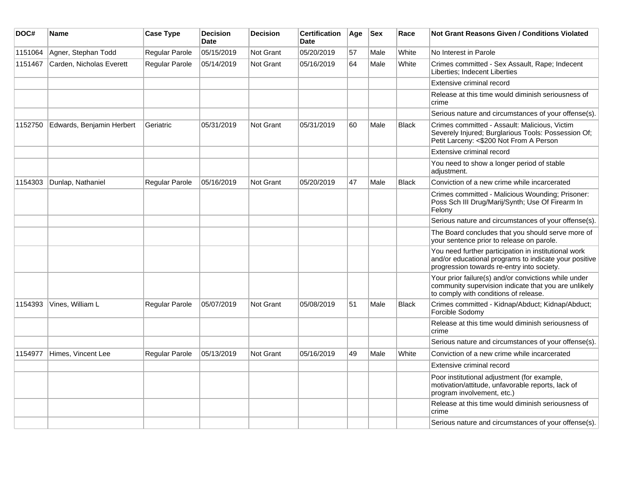| DOC#    | Name                      | <b>Case Type</b>      | <b>Decision</b><br><b>Date</b> | <b>Decision</b>  | <b>Certification</b><br><b>Date</b> | Age | <b>Sex</b> | Race         | Not Grant Reasons Given / Conditions Violated                                                                                                               |
|---------|---------------------------|-----------------------|--------------------------------|------------------|-------------------------------------|-----|------------|--------------|-------------------------------------------------------------------------------------------------------------------------------------------------------------|
| 1151064 | Agner, Stephan Todd       | Regular Parole        | 05/15/2019                     | <b>Not Grant</b> | 05/20/2019                          | 57  | Male       | White        | No Interest in Parole                                                                                                                                       |
| 1151467 | Carden, Nicholas Everett  | Regular Parole        | 05/14/2019                     | Not Grant        | 05/16/2019                          | 64  | Male       | White        | Crimes committed - Sex Assault, Rape; Indecent<br>Liberties; Indecent Liberties                                                                             |
|         |                           |                       |                                |                  |                                     |     |            |              | Extensive criminal record                                                                                                                                   |
|         |                           |                       |                                |                  |                                     |     |            |              | Release at this time would diminish seriousness of<br>crime                                                                                                 |
|         |                           |                       |                                |                  |                                     |     |            |              | Serious nature and circumstances of your offense(s).                                                                                                        |
| 1152750 | Edwards, Benjamin Herbert | Geriatric             | 05/31/2019                     | <b>Not Grant</b> | 05/31/2019                          | 60  | Male       | <b>Black</b> | Crimes committed - Assault: Malicious, Victim<br>Severely Injured; Burglarious Tools: Possession Of;<br>Petit Larceny: <\$200 Not From A Person             |
|         |                           |                       |                                |                  |                                     |     |            |              | Extensive criminal record                                                                                                                                   |
|         |                           |                       |                                |                  |                                     |     |            |              | You need to show a longer period of stable<br>adjustment.                                                                                                   |
| 1154303 | Dunlap, Nathaniel         | Regular Parole        | 05/16/2019                     | <b>Not Grant</b> | 05/20/2019                          | 47  | Male       | <b>Black</b> | Conviction of a new crime while incarcerated                                                                                                                |
|         |                           |                       |                                |                  |                                     |     |            |              | Crimes committed - Malicious Wounding; Prisoner:<br>Poss Sch III Drug/Marij/Synth; Use Of Firearm In<br>Felony                                              |
|         |                           |                       |                                |                  |                                     |     |            |              | Serious nature and circumstances of your offense(s).                                                                                                        |
|         |                           |                       |                                |                  |                                     |     |            |              | The Board concludes that you should serve more of<br>your sentence prior to release on parole.                                                              |
|         |                           |                       |                                |                  |                                     |     |            |              | You need further participation in institutional work<br>and/or educational programs to indicate your positive<br>progression towards re-entry into society. |
|         |                           |                       |                                |                  |                                     |     |            |              | Your prior failure(s) and/or convictions while under<br>community supervision indicate that you are unlikely<br>to comply with conditions of release.       |
| 1154393 | Vines, William L          | Regular Parole        | 05/07/2019                     | Not Grant        | 05/08/2019                          | 51  | Male       | <b>Black</b> | Crimes committed - Kidnap/Abduct; Kidnap/Abduct;<br>Forcible Sodomy                                                                                         |
|         |                           |                       |                                |                  |                                     |     |            |              | Release at this time would diminish seriousness of<br>crime                                                                                                 |
|         |                           |                       |                                |                  |                                     |     |            |              | Serious nature and circumstances of your offense(s).                                                                                                        |
| 1154977 | Himes, Vincent Lee        | <b>Regular Parole</b> | 05/13/2019                     | Not Grant        | 05/16/2019                          | 49  | Male       | White        | Conviction of a new crime while incarcerated                                                                                                                |
|         |                           |                       |                                |                  |                                     |     |            |              | Extensive criminal record                                                                                                                                   |
|         |                           |                       |                                |                  |                                     |     |            |              | Poor institutional adjustment (for example,<br>motivation/attitude, unfavorable reports, lack of<br>program involvement, etc.)                              |
|         |                           |                       |                                |                  |                                     |     |            |              | Release at this time would diminish seriousness of<br>crime                                                                                                 |
|         |                           |                       |                                |                  |                                     |     |            |              | Serious nature and circumstances of your offense(s).                                                                                                        |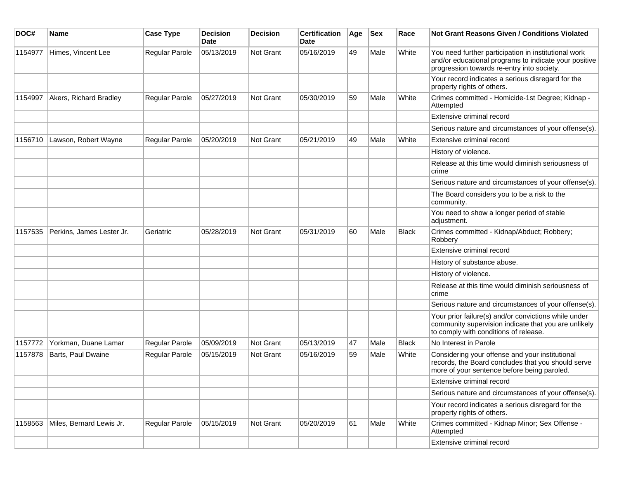| DOC#    | <b>Name</b>               | <b>Case Type</b> | <b>Decision</b><br><b>Date</b> | <b>Decision</b>  | <b>Certification</b><br>Date | Age | <b>Sex</b> | Race         | <b>Not Grant Reasons Given / Conditions Violated</b>                                                                                                        |
|---------|---------------------------|------------------|--------------------------------|------------------|------------------------------|-----|------------|--------------|-------------------------------------------------------------------------------------------------------------------------------------------------------------|
| 1154977 | Himes, Vincent Lee        | Regular Parole   | 05/13/2019                     | Not Grant        | 05/16/2019                   | 49  | Male       | White        | You need further participation in institutional work<br>and/or educational programs to indicate your positive<br>progression towards re-entry into society. |
|         |                           |                  |                                |                  |                              |     |            |              | Your record indicates a serious disregard for the<br>property rights of others.                                                                             |
| 1154997 | Akers, Richard Bradley    | Regular Parole   | 05/27/2019                     | Not Grant        | 05/30/2019                   | 59  | Male       | White        | Crimes committed - Homicide-1st Degree; Kidnap -<br>Attempted                                                                                               |
|         |                           |                  |                                |                  |                              |     |            |              | Extensive criminal record                                                                                                                                   |
|         |                           |                  |                                |                  |                              |     |            |              | Serious nature and circumstances of your offense(s).                                                                                                        |
| 1156710 | Lawson, Robert Wayne      | Regular Parole   | 05/20/2019                     | Not Grant        | 05/21/2019                   | 49  | Male       | White        | Extensive criminal record                                                                                                                                   |
|         |                           |                  |                                |                  |                              |     |            |              | History of violence.                                                                                                                                        |
|         |                           |                  |                                |                  |                              |     |            |              | Release at this time would diminish seriousness of<br>crime                                                                                                 |
|         |                           |                  |                                |                  |                              |     |            |              | Serious nature and circumstances of your offense(s).                                                                                                        |
|         |                           |                  |                                |                  |                              |     |            |              | The Board considers you to be a risk to the<br>community.                                                                                                   |
|         |                           |                  |                                |                  |                              |     |            |              | You need to show a longer period of stable<br>adjustment.                                                                                                   |
| 1157535 | Perkins, James Lester Jr. | Geriatric        | 05/28/2019                     | Not Grant        | 05/31/2019                   | 60  | Male       | <b>Black</b> | Crimes committed - Kidnap/Abduct; Robbery;<br>Robbery                                                                                                       |
|         |                           |                  |                                |                  |                              |     |            |              | Extensive criminal record                                                                                                                                   |
|         |                           |                  |                                |                  |                              |     |            |              | History of substance abuse.                                                                                                                                 |
|         |                           |                  |                                |                  |                              |     |            |              | History of violence.                                                                                                                                        |
|         |                           |                  |                                |                  |                              |     |            |              | Release at this time would diminish seriousness of<br>crime                                                                                                 |
|         |                           |                  |                                |                  |                              |     |            |              | Serious nature and circumstances of your offense(s).                                                                                                        |
|         |                           |                  |                                |                  |                              |     |            |              | Your prior failure(s) and/or convictions while under<br>community supervision indicate that you are unlikely<br>to comply with conditions of release.       |
| 1157772 | Yorkman, Duane Lamar      | Regular Parole   | 05/09/2019                     | Not Grant        | 05/13/2019                   | 47  | Male       | Black        | No Interest in Parole                                                                                                                                       |
| 1157878 | Barts, Paul Dwaine        | Regular Parole   | 05/15/2019                     | <b>Not Grant</b> | 05/16/2019                   | 59  | Male       | White        | Considering your offense and your institutional<br>records, the Board concludes that you should serve<br>more of your sentence before being paroled.        |
|         |                           |                  |                                |                  |                              |     |            |              | Extensive criminal record                                                                                                                                   |
|         |                           |                  |                                |                  |                              |     |            |              | Serious nature and circumstances of your offense(s).                                                                                                        |
|         |                           |                  |                                |                  |                              |     |            |              | Your record indicates a serious disregard for the<br>property rights of others.                                                                             |
| 1158563 | Miles, Bernard Lewis Jr.  | Regular Parole   | 05/15/2019                     | Not Grant        | 05/20/2019                   | 61  | Male       | White        | Crimes committed - Kidnap Minor; Sex Offense -<br>Attempted                                                                                                 |
|         |                           |                  |                                |                  |                              |     |            |              | Extensive criminal record                                                                                                                                   |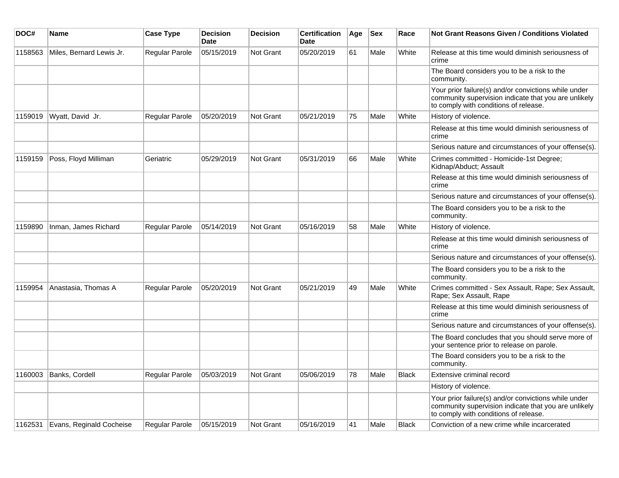| DOC#    | Name                     | <b>Case Type</b> | <b>Decision</b><br><b>Date</b> | <b>Decision</b> | <b>Certification</b><br><b>Date</b> | Age | $ $ Sex | Race         | Not Grant Reasons Given / Conditions Violated                                                                                                         |
|---------|--------------------------|------------------|--------------------------------|-----------------|-------------------------------------|-----|---------|--------------|-------------------------------------------------------------------------------------------------------------------------------------------------------|
| 1158563 | Miles, Bernard Lewis Jr. | Regular Parole   | 05/15/2019                     | Not Grant       | 05/20/2019                          | 61  | Male    | White        | Release at this time would diminish seriousness of<br>crime                                                                                           |
|         |                          |                  |                                |                 |                                     |     |         |              | The Board considers you to be a risk to the<br>community.                                                                                             |
|         |                          |                  |                                |                 |                                     |     |         |              | Your prior failure(s) and/or convictions while under<br>community supervision indicate that you are unlikely<br>to comply with conditions of release. |
| 1159019 | Wyatt, David Jr.         | Regular Parole   | 05/20/2019                     | Not Grant       | 05/21/2019                          | 75  | Male    | White        | History of violence.                                                                                                                                  |
|         |                          |                  |                                |                 |                                     |     |         |              | Release at this time would diminish seriousness of<br>crime                                                                                           |
|         |                          |                  |                                |                 |                                     |     |         |              | Serious nature and circumstances of your offense(s).                                                                                                  |
| 1159159 | Poss, Floyd Milliman     | Geriatric        | 05/29/2019                     | Not Grant       | 05/31/2019                          | 66  | Male    | White        | Crimes committed - Homicide-1st Degree;<br>Kidnap/Abduct; Assault                                                                                     |
|         |                          |                  |                                |                 |                                     |     |         |              | Release at this time would diminish seriousness of<br>crime                                                                                           |
|         |                          |                  |                                |                 |                                     |     |         |              | Serious nature and circumstances of your offense(s).                                                                                                  |
|         |                          |                  |                                |                 |                                     |     |         |              | The Board considers you to be a risk to the<br>community.                                                                                             |
| 1159890 | Inman, James Richard     | Regular Parole   | 05/14/2019                     | Not Grant       | 05/16/2019                          | 58  | Male    | White        | History of violence.                                                                                                                                  |
|         |                          |                  |                                |                 |                                     |     |         |              | Release at this time would diminish seriousness of<br>crime                                                                                           |
|         |                          |                  |                                |                 |                                     |     |         |              | Serious nature and circumstances of your offense(s).                                                                                                  |
|         |                          |                  |                                |                 |                                     |     |         |              | The Board considers you to be a risk to the<br>community.                                                                                             |
| 1159954 | Anastasia, Thomas A      | Regular Parole   | 05/20/2019                     | Not Grant       | 05/21/2019                          | 49  | Male    | White        | Crimes committed - Sex Assault, Rape; Sex Assault,<br>Rape; Sex Assault, Rape                                                                         |
|         |                          |                  |                                |                 |                                     |     |         |              | Release at this time would diminish seriousness of<br>crime                                                                                           |
|         |                          |                  |                                |                 |                                     |     |         |              | Serious nature and circumstances of your offense(s).                                                                                                  |
|         |                          |                  |                                |                 |                                     |     |         |              | The Board concludes that you should serve more of<br>your sentence prior to release on parole.                                                        |
|         |                          |                  |                                |                 |                                     |     |         |              | The Board considers you to be a risk to the<br>community.                                                                                             |
| 1160003 | Banks, Cordell           | Regular Parole   | 05/03/2019                     | Not Grant       | 05/06/2019                          | 78  | Male    | <b>Black</b> | Extensive criminal record                                                                                                                             |
|         |                          |                  |                                |                 |                                     |     |         |              | History of violence.                                                                                                                                  |
|         |                          |                  |                                |                 |                                     |     |         |              | Your prior failure(s) and/or convictions while under<br>community supervision indicate that you are unlikely<br>to comply with conditions of release. |
| 1162531 | Evans, Reginald Cocheise | Regular Parole   | 05/15/2019                     | Not Grant       | 05/16/2019                          | 41  | Male    | <b>Black</b> | Conviction of a new crime while incarcerated                                                                                                          |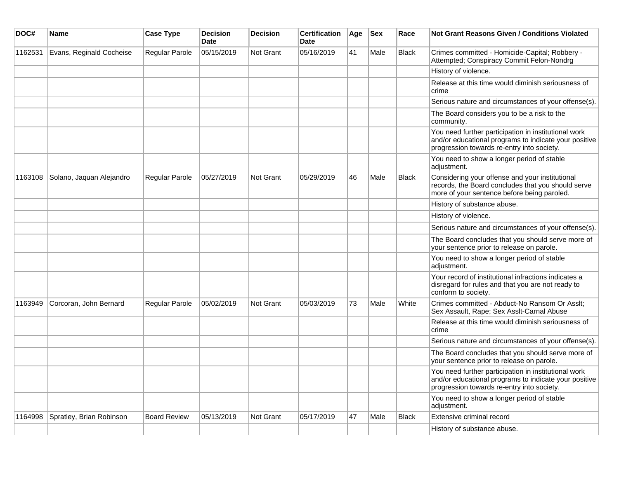| DOC#    | Name                     | <b>Case Type</b>    | <b>Decision</b><br><b>Date</b> | <b>Decision</b>  | <b>Certification</b><br><b>Date</b> | Age | <b>Sex</b> | Race         | <b>Not Grant Reasons Given / Conditions Violated</b>                                                                                                        |
|---------|--------------------------|---------------------|--------------------------------|------------------|-------------------------------------|-----|------------|--------------|-------------------------------------------------------------------------------------------------------------------------------------------------------------|
| 1162531 | Evans, Reginald Cocheise | Regular Parole      | 05/15/2019                     | <b>Not Grant</b> | 05/16/2019                          | 41  | Male       | <b>Black</b> | Crimes committed - Homicide-Capital; Robbery -<br>Attempted; Conspiracy Commit Felon-Nondrg                                                                 |
|         |                          |                     |                                |                  |                                     |     |            |              | History of violence.                                                                                                                                        |
|         |                          |                     |                                |                  |                                     |     |            |              | Release at this time would diminish seriousness of<br>crime                                                                                                 |
|         |                          |                     |                                |                  |                                     |     |            |              | Serious nature and circumstances of your offense(s).                                                                                                        |
|         |                          |                     |                                |                  |                                     |     |            |              | The Board considers you to be a risk to the<br>community.                                                                                                   |
|         |                          |                     |                                |                  |                                     |     |            |              | You need further participation in institutional work<br>and/or educational programs to indicate your positive<br>progression towards re-entry into society. |
|         |                          |                     |                                |                  |                                     |     |            |              | You need to show a longer period of stable<br>adjustment.                                                                                                   |
| 1163108 | Solano, Jaquan Alejandro | Regular Parole      | 05/27/2019                     | <b>Not Grant</b> | 05/29/2019                          | 46  | Male       | <b>Black</b> | Considering your offense and your institutional<br>records, the Board concludes that you should serve<br>more of your sentence before being paroled.        |
|         |                          |                     |                                |                  |                                     |     |            |              | History of substance abuse.                                                                                                                                 |
|         |                          |                     |                                |                  |                                     |     |            |              | History of violence.                                                                                                                                        |
|         |                          |                     |                                |                  |                                     |     |            |              | Serious nature and circumstances of your offense(s).                                                                                                        |
|         |                          |                     |                                |                  |                                     |     |            |              | The Board concludes that you should serve more of<br>your sentence prior to release on parole.                                                              |
|         |                          |                     |                                |                  |                                     |     |            |              | You need to show a longer period of stable<br>adjustment.                                                                                                   |
|         |                          |                     |                                |                  |                                     |     |            |              | Your record of institutional infractions indicates a<br>disregard for rules and that you are not ready to<br>conform to society.                            |
| 1163949 | Corcoran, John Bernard   | Regular Parole      | 05/02/2019                     | <b>Not Grant</b> | 05/03/2019                          | 73  | Male       | White        | Crimes committed - Abduct-No Ransom Or Asslt;<br>Sex Assault, Rape; Sex Asslt-Carnal Abuse                                                                  |
|         |                          |                     |                                |                  |                                     |     |            |              | Release at this time would diminish seriousness of<br>crime                                                                                                 |
|         |                          |                     |                                |                  |                                     |     |            |              | Serious nature and circumstances of your offense(s).                                                                                                        |
|         |                          |                     |                                |                  |                                     |     |            |              | The Board concludes that you should serve more of<br>your sentence prior to release on parole.                                                              |
|         |                          |                     |                                |                  |                                     |     |            |              | You need further participation in institutional work<br>and/or educational programs to indicate your positive<br>progression towards re-entry into society. |
|         |                          |                     |                                |                  |                                     |     |            |              | You need to show a longer period of stable<br>adjustment.                                                                                                   |
| 1164998 | Spratley, Brian Robinson | <b>Board Review</b> | 05/13/2019                     | <b>Not Grant</b> | 05/17/2019                          | 47  | Male       | <b>Black</b> | Extensive criminal record                                                                                                                                   |
|         |                          |                     |                                |                  |                                     |     |            |              | History of substance abuse.                                                                                                                                 |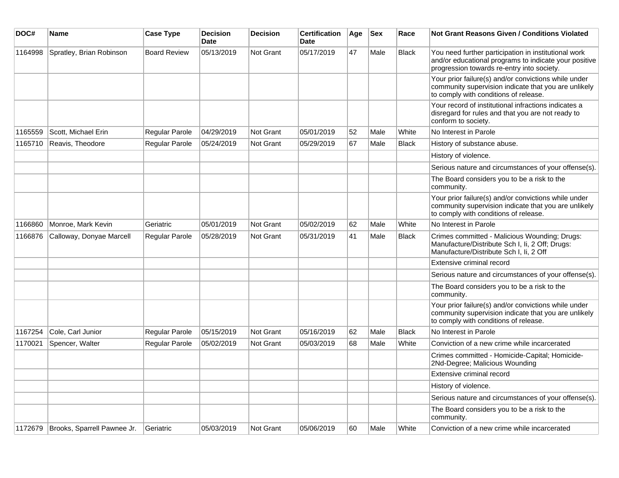| DOC#    | Name                                | <b>Case Type</b>    | <b>Decision</b><br><b>Date</b> | <b>Decision</b> | <b>Certification</b><br><b>Date</b> | Age | $ $ Sex | Race         | <b>Not Grant Reasons Given / Conditions Violated</b>                                                                                                        |
|---------|-------------------------------------|---------------------|--------------------------------|-----------------|-------------------------------------|-----|---------|--------------|-------------------------------------------------------------------------------------------------------------------------------------------------------------|
| 1164998 | Spratley, Brian Robinson            | <b>Board Review</b> | 05/13/2019                     | Not Grant       | 05/17/2019                          | 47  | Male    | <b>Black</b> | You need further participation in institutional work<br>and/or educational programs to indicate your positive<br>progression towards re-entry into society. |
|         |                                     |                     |                                |                 |                                     |     |         |              | Your prior failure(s) and/or convictions while under<br>community supervision indicate that you are unlikely<br>to comply with conditions of release.       |
|         |                                     |                     |                                |                 |                                     |     |         |              | Your record of institutional infractions indicates a<br>disregard for rules and that you are not ready to<br>conform to society.                            |
| 1165559 | Scott, Michael Erin                 | Regular Parole      | 04/29/2019                     | Not Grant       | 05/01/2019                          | 52  | Male    | White        | No Interest in Parole                                                                                                                                       |
| 1165710 | Reavis, Theodore                    | Regular Parole      | 05/24/2019                     | Not Grant       | 05/29/2019                          | 67  | Male    | <b>Black</b> | History of substance abuse.                                                                                                                                 |
|         |                                     |                     |                                |                 |                                     |     |         |              | History of violence.                                                                                                                                        |
|         |                                     |                     |                                |                 |                                     |     |         |              | Serious nature and circumstances of your offense(s).                                                                                                        |
|         |                                     |                     |                                |                 |                                     |     |         |              | The Board considers you to be a risk to the<br>community.                                                                                                   |
|         |                                     |                     |                                |                 |                                     |     |         |              | Your prior failure(s) and/or convictions while under<br>community supervision indicate that you are unlikely<br>to comply with conditions of release.       |
| 1166860 | Monroe, Mark Kevin                  | Geriatric           | 05/01/2019                     | Not Grant       | 05/02/2019                          | 62  | Male    | White        | No Interest in Parole                                                                                                                                       |
| 1166876 | Calloway, Donyae Marcell            | Regular Parole      | 05/28/2019                     | Not Grant       | 05/31/2019                          | 41  | Male    | Black        | Crimes committed - Malicious Wounding; Drugs:<br>Manufacture/Distribute Sch I, Ii, 2 Off; Drugs:<br>Manufacture/Distribute Sch I, Ii, 2 Off                 |
|         |                                     |                     |                                |                 |                                     |     |         |              | Extensive criminal record                                                                                                                                   |
|         |                                     |                     |                                |                 |                                     |     |         |              | Serious nature and circumstances of your offense(s).                                                                                                        |
|         |                                     |                     |                                |                 |                                     |     |         |              | The Board considers you to be a risk to the<br>community.                                                                                                   |
|         |                                     |                     |                                |                 |                                     |     |         |              | Your prior failure(s) and/or convictions while under<br>community supervision indicate that you are unlikely<br>to comply with conditions of release.       |
| 1167254 | Cole, Carl Junior                   | Regular Parole      | 05/15/2019                     | Not Grant       | 05/16/2019                          | 62  | Male    | <b>Black</b> | No Interest in Parole                                                                                                                                       |
| 1170021 | Spencer, Walter                     | Regular Parole      | 05/02/2019                     | Not Grant       | 05/03/2019                          | 68  | Male    | White        | Conviction of a new crime while incarcerated                                                                                                                |
|         |                                     |                     |                                |                 |                                     |     |         |              | Crimes committed - Homicide-Capital; Homicide-<br>2Nd-Degree; Malicious Wounding                                                                            |
|         |                                     |                     |                                |                 |                                     |     |         |              | Extensive criminal record                                                                                                                                   |
|         |                                     |                     |                                |                 |                                     |     |         |              | History of violence.                                                                                                                                        |
|         |                                     |                     |                                |                 |                                     |     |         |              | Serious nature and circumstances of your offense(s).                                                                                                        |
|         |                                     |                     |                                |                 |                                     |     |         |              | The Board considers you to be a risk to the<br>community.                                                                                                   |
|         | 1172679 Brooks, Sparrell Pawnee Jr. | Geriatric           | 05/03/2019                     | Not Grant       | 05/06/2019                          | 60  | Male    | White        | Conviction of a new crime while incarcerated                                                                                                                |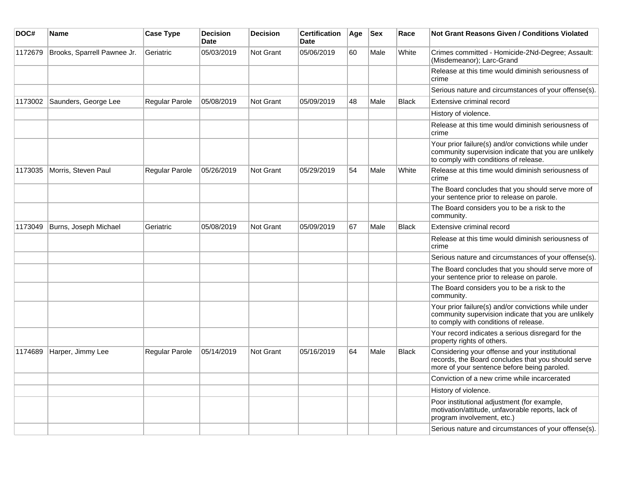| DOC#    | Name                        | <b>Case Type</b>      | <b>Decision</b><br><b>Date</b> | <b>Decision</b>  | <b>Certification</b><br><b>Date</b> | Age | <b>Sex</b> | Race         | <b>Not Grant Reasons Given / Conditions Violated</b>                                                                                                  |
|---------|-----------------------------|-----------------------|--------------------------------|------------------|-------------------------------------|-----|------------|--------------|-------------------------------------------------------------------------------------------------------------------------------------------------------|
| 1172679 | Brooks, Sparrell Pawnee Jr. | Geriatric             | 05/03/2019                     | <b>Not Grant</b> | 05/06/2019                          | 60  | Male       | White        | Crimes committed - Homicide-2Nd-Degree; Assault:<br>(Misdemeanor); Larc-Grand                                                                         |
|         |                             |                       |                                |                  |                                     |     |            |              | Release at this time would diminish seriousness of<br>crime                                                                                           |
|         |                             |                       |                                |                  |                                     |     |            |              | Serious nature and circumstances of your offense(s).                                                                                                  |
| 1173002 | Saunders, George Lee        | Regular Parole        | 05/08/2019                     | <b>Not Grant</b> | 05/09/2019                          | 48  | Male       | <b>Black</b> | Extensive criminal record                                                                                                                             |
|         |                             |                       |                                |                  |                                     |     |            |              | History of violence.                                                                                                                                  |
|         |                             |                       |                                |                  |                                     |     |            |              | Release at this time would diminish seriousness of<br>crime                                                                                           |
|         |                             |                       |                                |                  |                                     |     |            |              | Your prior failure(s) and/or convictions while under<br>community supervision indicate that you are unlikely<br>to comply with conditions of release. |
| 1173035 | Morris, Steven Paul         | <b>Regular Parole</b> | 05/26/2019                     | <b>Not Grant</b> | 05/29/2019                          | 54  | Male       | White        | Release at this time would diminish seriousness of<br>crime                                                                                           |
|         |                             |                       |                                |                  |                                     |     |            |              | The Board concludes that you should serve more of<br>your sentence prior to release on parole.                                                        |
|         |                             |                       |                                |                  |                                     |     |            |              | The Board considers you to be a risk to the<br>community.                                                                                             |
| 1173049 | Burns, Joseph Michael       | Geriatric             | 05/08/2019                     | Not Grant        | 05/09/2019                          | 67  | Male       | <b>Black</b> | Extensive criminal record                                                                                                                             |
|         |                             |                       |                                |                  |                                     |     |            |              | Release at this time would diminish seriousness of<br>crime                                                                                           |
|         |                             |                       |                                |                  |                                     |     |            |              | Serious nature and circumstances of your offense(s).                                                                                                  |
|         |                             |                       |                                |                  |                                     |     |            |              | The Board concludes that you should serve more of<br>your sentence prior to release on parole.                                                        |
|         |                             |                       |                                |                  |                                     |     |            |              | The Board considers you to be a risk to the<br>community.                                                                                             |
|         |                             |                       |                                |                  |                                     |     |            |              | Your prior failure(s) and/or convictions while under<br>community supervision indicate that you are unlikely<br>to comply with conditions of release. |
|         |                             |                       |                                |                  |                                     |     |            |              | Your record indicates a serious disregard for the<br>property rights of others.                                                                       |
| 1174689 | Harper, Jimmy Lee           | <b>Regular Parole</b> | 05/14/2019                     | Not Grant        | 05/16/2019                          | 64  | Male       | <b>Black</b> | Considering your offense and your institutional<br>records, the Board concludes that you should serve<br>more of your sentence before being paroled.  |
|         |                             |                       |                                |                  |                                     |     |            |              | Conviction of a new crime while incarcerated                                                                                                          |
|         |                             |                       |                                |                  |                                     |     |            |              | History of violence.                                                                                                                                  |
|         |                             |                       |                                |                  |                                     |     |            |              | Poor institutional adjustment (for example,<br>motivation/attitude, unfavorable reports, lack of<br>program involvement, etc.)                        |
|         |                             |                       |                                |                  |                                     |     |            |              | Serious nature and circumstances of your offense(s).                                                                                                  |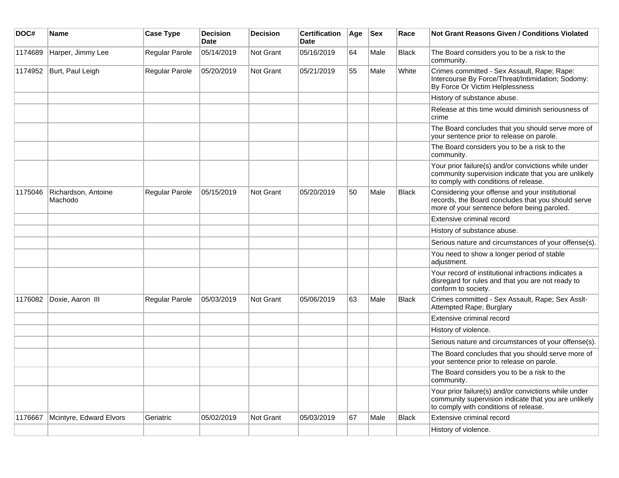| DOC#    | <b>Name</b>                    | <b>Case Type</b> | <b>Decision</b><br><b>Date</b> | <b>Decision</b>  | <b>Certification</b><br><b>Date</b> | Age | <b>Sex</b> | Race         | <b>Not Grant Reasons Given / Conditions Violated</b>                                                                                                  |
|---------|--------------------------------|------------------|--------------------------------|------------------|-------------------------------------|-----|------------|--------------|-------------------------------------------------------------------------------------------------------------------------------------------------------|
| 1174689 | Harper, Jimmy Lee              | Regular Parole   | 05/14/2019                     | Not Grant        | 05/16/2019                          | 64  | Male       | <b>Black</b> | The Board considers you to be a risk to the<br>community.                                                                                             |
| 1174952 | Burt, Paul Leigh               | Regular Parole   | 05/20/2019                     | Not Grant        | 05/21/2019                          | 55  | Male       | White        | Crimes committed - Sex Assault, Rape; Rape:<br>Intercourse By Force/Threat/Intimidation; Sodomy:<br>By Force Or Victim Helplessness                   |
|         |                                |                  |                                |                  |                                     |     |            |              | History of substance abuse.                                                                                                                           |
|         |                                |                  |                                |                  |                                     |     |            |              | Release at this time would diminish seriousness of<br>crime                                                                                           |
|         |                                |                  |                                |                  |                                     |     |            |              | The Board concludes that you should serve more of<br>your sentence prior to release on parole.                                                        |
|         |                                |                  |                                |                  |                                     |     |            |              | The Board considers you to be a risk to the<br>community.                                                                                             |
|         |                                |                  |                                |                  |                                     |     |            |              | Your prior failure(s) and/or convictions while under<br>community supervision indicate that you are unlikely<br>to comply with conditions of release. |
| 1175046 | Richardson, Antoine<br>Machodo | Regular Parole   | 05/15/2019                     | <b>Not Grant</b> | 05/20/2019                          | 50  | Male       | <b>Black</b> | Considering your offense and your institutional<br>records, the Board concludes that you should serve<br>more of your sentence before being paroled.  |
|         |                                |                  |                                |                  |                                     |     |            |              | Extensive criminal record                                                                                                                             |
|         |                                |                  |                                |                  |                                     |     |            |              | History of substance abuse.                                                                                                                           |
|         |                                |                  |                                |                  |                                     |     |            |              | Serious nature and circumstances of your offense(s).                                                                                                  |
|         |                                |                  |                                |                  |                                     |     |            |              | You need to show a longer period of stable<br>adjustment.                                                                                             |
|         |                                |                  |                                |                  |                                     |     |            |              | Your record of institutional infractions indicates a<br>disregard for rules and that you are not ready to<br>conform to society.                      |
| 1176082 | Doxie, Aaron III               | Regular Parole   | 05/03/2019                     | <b>Not Grant</b> | 05/06/2019                          | 63  | Male       | <b>Black</b> | Crimes committed - Sex Assault, Rape; Sex Asslt-<br>Attempted Rape; Burglary                                                                          |
|         |                                |                  |                                |                  |                                     |     |            |              | Extensive criminal record                                                                                                                             |
|         |                                |                  |                                |                  |                                     |     |            |              | History of violence.                                                                                                                                  |
|         |                                |                  |                                |                  |                                     |     |            |              | Serious nature and circumstances of your offense(s).                                                                                                  |
|         |                                |                  |                                |                  |                                     |     |            |              | The Board concludes that you should serve more of<br>your sentence prior to release on parole.                                                        |
|         |                                |                  |                                |                  |                                     |     |            |              | The Board considers you to be a risk to the<br>community.                                                                                             |
|         |                                |                  |                                |                  |                                     |     |            |              | Your prior failure(s) and/or convictions while under<br>community supervision indicate that you are unlikely<br>to comply with conditions of release. |
| 1176667 | Mcintyre, Edward Elvors        | Geriatric        | 05/02/2019                     | Not Grant        | 05/03/2019                          | 67  | Male       | <b>Black</b> | Extensive criminal record                                                                                                                             |
|         |                                |                  |                                |                  |                                     |     |            |              | History of violence.                                                                                                                                  |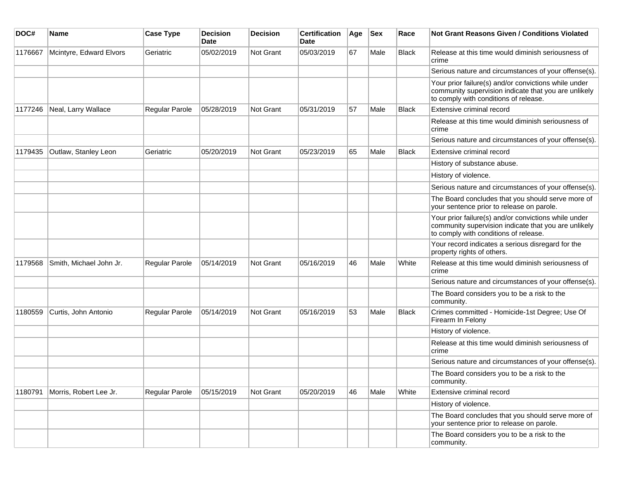| DOC#    | Name                    | <b>Case Type</b>      | <b>Decision</b><br><b>Date</b> | <b>Decision</b> | <b>Certification</b><br>Date | Age | <b>Sex</b> | Race         | Not Grant Reasons Given / Conditions Violated                                                                                                         |
|---------|-------------------------|-----------------------|--------------------------------|-----------------|------------------------------|-----|------------|--------------|-------------------------------------------------------------------------------------------------------------------------------------------------------|
| 1176667 | Mcintyre, Edward Elvors | Geriatric             | 05/02/2019                     | Not Grant       | 05/03/2019                   | 67  | Male       | <b>Black</b> | Release at this time would diminish seriousness of<br>crime                                                                                           |
|         |                         |                       |                                |                 |                              |     |            |              | Serious nature and circumstances of your offense(s).                                                                                                  |
|         |                         |                       |                                |                 |                              |     |            |              | Your prior failure(s) and/or convictions while under<br>community supervision indicate that you are unlikely<br>to comply with conditions of release. |
| 1177246 | Neal, Larry Wallace     | Regular Parole        | 05/28/2019                     | Not Grant       | 05/31/2019                   | 57  | Male       | <b>Black</b> | Extensive criminal record                                                                                                                             |
|         |                         |                       |                                |                 |                              |     |            |              | Release at this time would diminish seriousness of<br>crime                                                                                           |
|         |                         |                       |                                |                 |                              |     |            |              | Serious nature and circumstances of your offense(s).                                                                                                  |
| 1179435 | Outlaw, Stanley Leon    | Geriatric             | 05/20/2019                     | Not Grant       | 05/23/2019                   | 65  | Male       | <b>Black</b> | Extensive criminal record                                                                                                                             |
|         |                         |                       |                                |                 |                              |     |            |              | History of substance abuse.                                                                                                                           |
|         |                         |                       |                                |                 |                              |     |            |              | History of violence.                                                                                                                                  |
|         |                         |                       |                                |                 |                              |     |            |              | Serious nature and circumstances of your offense(s).                                                                                                  |
|         |                         |                       |                                |                 |                              |     |            |              | The Board concludes that you should serve more of<br>your sentence prior to release on parole.                                                        |
|         |                         |                       |                                |                 |                              |     |            |              | Your prior failure(s) and/or convictions while under<br>community supervision indicate that you are unlikely<br>to comply with conditions of release. |
|         |                         |                       |                                |                 |                              |     |            |              | Your record indicates a serious disregard for the<br>property rights of others.                                                                       |
| 1179568 | Smith, Michael John Jr. | Regular Parole        | 05/14/2019                     | Not Grant       | 05/16/2019                   | 46  | Male       | White        | Release at this time would diminish seriousness of<br>crime                                                                                           |
|         |                         |                       |                                |                 |                              |     |            |              | Serious nature and circumstances of your offense(s).                                                                                                  |
|         |                         |                       |                                |                 |                              |     |            |              | The Board considers you to be a risk to the<br>community.                                                                                             |
| 1180559 | Curtis, John Antonio    | <b>Regular Parole</b> | 05/14/2019                     | Not Grant       | 05/16/2019                   | 53  | Male       | <b>Black</b> | Crimes committed - Homicide-1st Degree; Use Of<br>Firearm In Felony                                                                                   |
|         |                         |                       |                                |                 |                              |     |            |              | History of violence.                                                                                                                                  |
|         |                         |                       |                                |                 |                              |     |            |              | Release at this time would diminish seriousness of<br>crime                                                                                           |
|         |                         |                       |                                |                 |                              |     |            |              | Serious nature and circumstances of your offense(s).                                                                                                  |
|         |                         |                       |                                |                 |                              |     |            |              | The Board considers you to be a risk to the<br>community.                                                                                             |
| 1180791 | Morris, Robert Lee Jr.  | Regular Parole        | 05/15/2019                     | Not Grant       | 05/20/2019                   | 46  | Male       | White        | Extensive criminal record                                                                                                                             |
|         |                         |                       |                                |                 |                              |     |            |              | History of violence.                                                                                                                                  |
|         |                         |                       |                                |                 |                              |     |            |              | The Board concludes that you should serve more of<br>your sentence prior to release on parole.                                                        |
|         |                         |                       |                                |                 |                              |     |            |              | The Board considers you to be a risk to the<br>community.                                                                                             |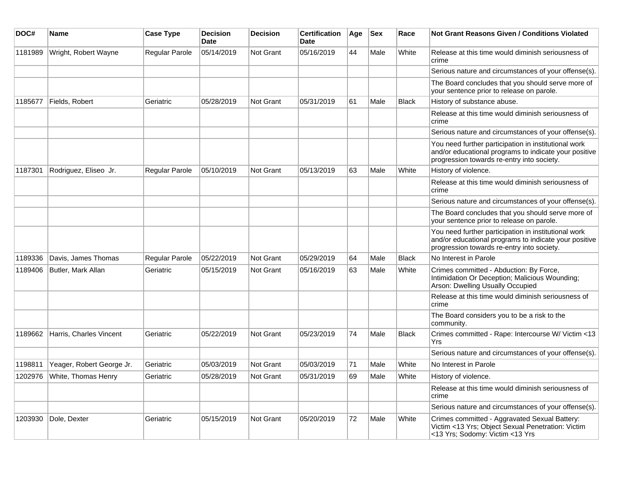| DOC#    | Name                          | <b>Case Type</b>      | <b>Decision</b><br>Date | <b>Decision</b>  | <b>Certification</b><br>Date | Age | Sex  | Race         | Not Grant Reasons Given / Conditions Violated                                                                                                               |
|---------|-------------------------------|-----------------------|-------------------------|------------------|------------------------------|-----|------|--------------|-------------------------------------------------------------------------------------------------------------------------------------------------------------|
| 1181989 | Wright, Robert Wayne          | <b>Regular Parole</b> | 05/14/2019              | Not Grant        | 05/16/2019                   | 44  | Male | White        | Release at this time would diminish seriousness of<br>crime                                                                                                 |
|         |                               |                       |                         |                  |                              |     |      |              | Serious nature and circumstances of your offense(s).                                                                                                        |
|         |                               |                       |                         |                  |                              |     |      |              | The Board concludes that you should serve more of<br>your sentence prior to release on parole.                                                              |
| 1185677 | Fields, Robert                | Geriatric             | 05/28/2019              | <b>Not Grant</b> | 05/31/2019                   | 61  | Male | <b>Black</b> | History of substance abuse.                                                                                                                                 |
|         |                               |                       |                         |                  |                              |     |      |              | Release at this time would diminish seriousness of<br>crime                                                                                                 |
|         |                               |                       |                         |                  |                              |     |      |              | Serious nature and circumstances of your offense(s).                                                                                                        |
|         |                               |                       |                         |                  |                              |     |      |              | You need further participation in institutional work<br>and/or educational programs to indicate your positive<br>progression towards re-entry into society. |
| 1187301 | Rodriguez, Eliseo Jr.         | <b>Regular Parole</b> | 05/10/2019              | <b>Not Grant</b> | 05/13/2019                   | 63  | Male | White        | History of violence.                                                                                                                                        |
|         |                               |                       |                         |                  |                              |     |      |              | Release at this time would diminish seriousness of<br>crime                                                                                                 |
|         |                               |                       |                         |                  |                              |     |      |              | Serious nature and circumstances of your offense(s).                                                                                                        |
|         |                               |                       |                         |                  |                              |     |      |              | The Board concludes that you should serve more of<br>your sentence prior to release on parole.                                                              |
|         |                               |                       |                         |                  |                              |     |      |              | You need further participation in institutional work<br>and/or educational programs to indicate your positive<br>progression towards re-entry into society. |
| 1189336 | Davis, James Thomas           | <b>Regular Parole</b> | 05/22/2019              | <b>Not Grant</b> | 05/29/2019                   | 64  | Male | Black        | No Interest in Parole                                                                                                                                       |
| 1189406 | Butler, Mark Allan            | Geriatric             | 05/15/2019              | <b>Not Grant</b> | 05/16/2019                   | 63  | Male | White        | Crimes committed - Abduction: By Force,<br>Intimidation Or Deception; Malicious Wounding;<br>Arson: Dwelling Usually Occupied                               |
|         |                               |                       |                         |                  |                              |     |      |              | Release at this time would diminish seriousness of<br>crime                                                                                                 |
|         |                               |                       |                         |                  |                              |     |      |              | The Board considers you to be a risk to the<br>community.                                                                                                   |
| 1189662 | Harris, Charles Vincent       | Geriatric             | 05/22/2019              | <b>Not Grant</b> | 05/23/2019                   | 74  | Male | Black        | Crimes committed - Rape: Intercourse W/ Victim <13<br>Yrs                                                                                                   |
|         |                               |                       |                         |                  |                              |     |      |              | Serious nature and circumstances of your offense(s).                                                                                                        |
| 1198811 | Yeager, Robert George Jr.     | Geriatric             | 05/03/2019              | <b>Not Grant</b> | 05/03/2019                   | 71  | Male | White        | No Interest in Parole                                                                                                                                       |
|         | 1202976   White, Thomas Henry | Geriatric             | 05/28/2019              | Not Grant        | 05/31/2019                   | 69  | Male | White        | History of violence.                                                                                                                                        |
|         |                               |                       |                         |                  |                              |     |      |              | Release at this time would diminish seriousness of<br>crime                                                                                                 |
|         |                               |                       |                         |                  |                              |     |      |              | Serious nature and circumstances of your offense(s).                                                                                                        |
| 1203930 | Dole, Dexter                  | Geriatric             | 05/15/2019              | Not Grant        | 05/20/2019                   | 72  | Male | White        | Crimes committed - Aggravated Sexual Battery:<br>Victim <13 Yrs; Object Sexual Penetration: Victim<br><13 Yrs; Sodomy: Victim <13 Yrs                       |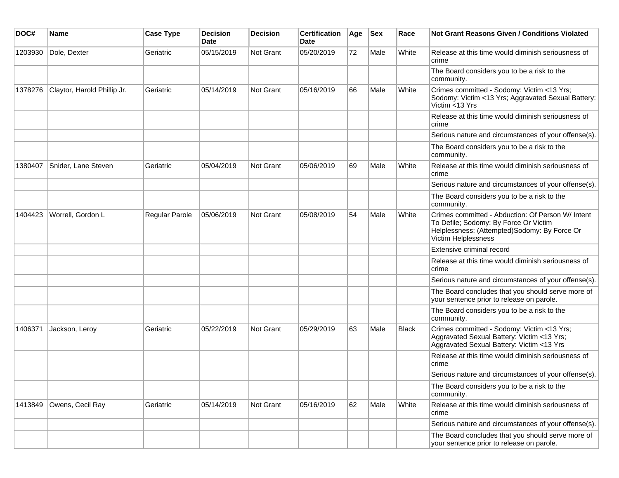| DOC#    | <b>Name</b>                 | <b>Case Type</b> | <b>Decision</b><br><b>Date</b> | <b>Decision</b> | <b>Certification</b><br>Date | Age | <b>Sex</b> | Race  | <b>Not Grant Reasons Given / Conditions Violated</b>                                                                                                              |
|---------|-----------------------------|------------------|--------------------------------|-----------------|------------------------------|-----|------------|-------|-------------------------------------------------------------------------------------------------------------------------------------------------------------------|
| 1203930 | Dole, Dexter                | Geriatric        | 05/15/2019                     | Not Grant       | 05/20/2019                   | 72  | Male       | White | Release at this time would diminish seriousness of<br>crime                                                                                                       |
|         |                             |                  |                                |                 |                              |     |            |       | The Board considers you to be a risk to the<br>community.                                                                                                         |
| 1378276 | Claytor, Harold Phillip Jr. | Geriatric        | 05/14/2019                     | Not Grant       | 05/16/2019                   | 66  | Male       | White | Crimes committed - Sodomy: Victim <13 Yrs;<br>Sodomy: Victim <13 Yrs; Aggravated Sexual Battery:<br>Victim <13 Yrs                                                |
|         |                             |                  |                                |                 |                              |     |            |       | Release at this time would diminish seriousness of<br>crime                                                                                                       |
|         |                             |                  |                                |                 |                              |     |            |       | Serious nature and circumstances of your offense(s).                                                                                                              |
|         |                             |                  |                                |                 |                              |     |            |       | The Board considers you to be a risk to the<br>community.                                                                                                         |
| 1380407 | Snider, Lane Steven         | Geriatric        | 05/04/2019                     | Not Grant       | 05/06/2019                   | 69  | Male       | White | Release at this time would diminish seriousness of<br>crime                                                                                                       |
|         |                             |                  |                                |                 |                              |     |            |       | Serious nature and circumstances of your offense(s).                                                                                                              |
|         |                             |                  |                                |                 |                              |     |            |       | The Board considers you to be a risk to the<br>community.                                                                                                         |
| 1404423 | Worrell, Gordon L           | Regular Parole   | 05/06/2019                     | Not Grant       | 05/08/2019                   | 54  | Male       | White | Crimes committed - Abduction: Of Person W/ Intent<br>To Defile; Sodomy: By Force Or Victim<br>Helplessness; (Attempted)Sodomy: By Force Or<br>Victim Helplessness |
|         |                             |                  |                                |                 |                              |     |            |       | Extensive criminal record                                                                                                                                         |
|         |                             |                  |                                |                 |                              |     |            |       | Release at this time would diminish seriousness of<br>crime                                                                                                       |
|         |                             |                  |                                |                 |                              |     |            |       | Serious nature and circumstances of your offense(s).                                                                                                              |
|         |                             |                  |                                |                 |                              |     |            |       | The Board concludes that you should serve more of<br>your sentence prior to release on parole.                                                                    |
|         |                             |                  |                                |                 |                              |     |            |       | The Board considers you to be a risk to the<br>community.                                                                                                         |
| 1406371 | Jackson, Leroy              | Geriatric        | 05/22/2019                     | Not Grant       | 05/29/2019                   | 63  | Male       | Black | Crimes committed - Sodomy: Victim <13 Yrs;<br>Aggravated Sexual Battery: Victim <13 Yrs;<br>Aggravated Sexual Battery: Victim <13 Yrs                             |
|         |                             |                  |                                |                 |                              |     |            |       | Release at this time would diminish seriousness of<br>crime                                                                                                       |
|         |                             |                  |                                |                 |                              |     |            |       | Serious nature and circumstances of your offense(s).                                                                                                              |
|         |                             |                  |                                |                 |                              |     |            |       | The Board considers you to be a risk to the<br>community.                                                                                                         |
| 1413849 | Owens, Cecil Ray            | Geriatric        | 05/14/2019                     | Not Grant       | 05/16/2019                   | 62  | Male       | White | Release at this time would diminish seriousness of<br>crime                                                                                                       |
|         |                             |                  |                                |                 |                              |     |            |       | Serious nature and circumstances of your offense(s).                                                                                                              |
|         |                             |                  |                                |                 |                              |     |            |       | The Board concludes that you should serve more of<br>your sentence prior to release on parole.                                                                    |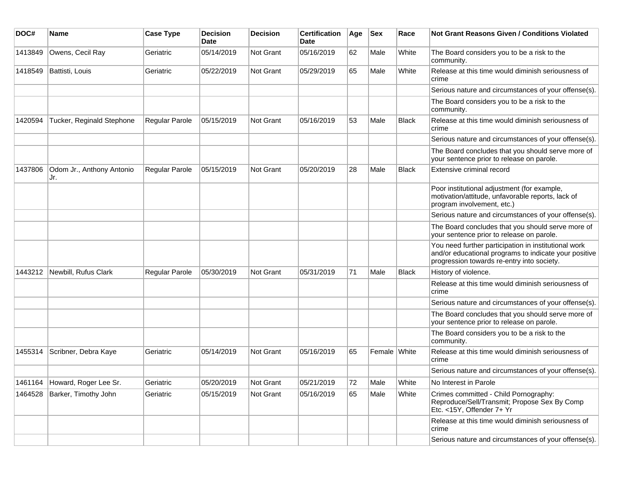| DOC#    | <b>Name</b>                      | <b>Case Type</b> | <b>Decision</b><br><b>Date</b> | <b>Decision</b>  | <b>Certification</b><br>Date | Age | <b>Sex</b>   | Race         | <b>Not Grant Reasons Given / Conditions Violated</b>                                                                                                        |
|---------|----------------------------------|------------------|--------------------------------|------------------|------------------------------|-----|--------------|--------------|-------------------------------------------------------------------------------------------------------------------------------------------------------------|
| 1413849 | Owens, Cecil Ray                 | Geriatric        | 05/14/2019                     | <b>Not Grant</b> | 05/16/2019                   | 62  | Male         | White        | The Board considers you to be a risk to the<br>community.                                                                                                   |
| 1418549 | Battisti, Louis                  | Geriatric        | 05/22/2019                     | Not Grant        | 05/29/2019                   | 65  | Male         | White        | Release at this time would diminish seriousness of<br>crime                                                                                                 |
|         |                                  |                  |                                |                  |                              |     |              |              | Serious nature and circumstances of your offense(s).                                                                                                        |
|         |                                  |                  |                                |                  |                              |     |              |              | The Board considers you to be a risk to the<br>community.                                                                                                   |
| 1420594 | Tucker, Reginald Stephone        | Regular Parole   | 05/15/2019                     | <b>Not Grant</b> | 05/16/2019                   | 53  | Male         | Black        | Release at this time would diminish seriousness of<br>crime                                                                                                 |
|         |                                  |                  |                                |                  |                              |     |              |              | Serious nature and circumstances of your offense(s).                                                                                                        |
|         |                                  |                  |                                |                  |                              |     |              |              | The Board concludes that you should serve more of<br>your sentence prior to release on parole.                                                              |
| 1437806 | Odom Jr., Anthony Antonio<br>Jr. | Regular Parole   | 05/15/2019                     | <b>Not Grant</b> | 05/20/2019                   | 28  | Male         | <b>Black</b> | <b>Extensive criminal record</b>                                                                                                                            |
|         |                                  |                  |                                |                  |                              |     |              |              | Poor institutional adjustment (for example,<br>motivation/attitude, unfavorable reports, lack of<br>program involvement, etc.)                              |
|         |                                  |                  |                                |                  |                              |     |              |              | Serious nature and circumstances of your offense(s).                                                                                                        |
|         |                                  |                  |                                |                  |                              |     |              |              | The Board concludes that you should serve more of<br>your sentence prior to release on parole.                                                              |
|         |                                  |                  |                                |                  |                              |     |              |              | You need further participation in institutional work<br>and/or educational programs to indicate your positive<br>progression towards re-entry into society. |
| 1443212 | Newbill, Rufus Clark             | Regular Parole   | 05/30/2019                     | <b>Not Grant</b> | 05/31/2019                   | 71  | Male         | <b>Black</b> | History of violence.                                                                                                                                        |
|         |                                  |                  |                                |                  |                              |     |              |              | Release at this time would diminish seriousness of<br>crime                                                                                                 |
|         |                                  |                  |                                |                  |                              |     |              |              | Serious nature and circumstances of your offense(s).                                                                                                        |
|         |                                  |                  |                                |                  |                              |     |              |              | The Board concludes that you should serve more of<br>your sentence prior to release on parole.                                                              |
|         |                                  |                  |                                |                  |                              |     |              |              | The Board considers you to be a risk to the<br>community.                                                                                                   |
| 1455314 | Scribner, Debra Kaye             | Geriatric        | 05/14/2019                     | <b>Not Grant</b> | 05/16/2019                   | 65  | Female White |              | Release at this time would diminish seriousness of<br>crime                                                                                                 |
|         |                                  |                  |                                |                  |                              |     |              |              | Serious nature and circumstances of your offense(s).                                                                                                        |
|         | 1461164 Howard, Roger Lee Sr.    | Geriatric        | 05/20/2019                     | Not Grant        | 05/21/2019                   | 72  | Male         | White        | No Interest in Parole                                                                                                                                       |
| 1464528 | Barker, Timothy John             | Geriatric        | 05/15/2019                     | <b>Not Grant</b> | 05/16/2019                   | 65  | Male         | White        | Crimes committed - Child Pornography:<br>Reproduce/Sell/Transmit; Propose Sex By Comp<br>Etc. <15Y, Offender 7+ Yr                                          |
|         |                                  |                  |                                |                  |                              |     |              |              | Release at this time would diminish seriousness of<br>crime                                                                                                 |
|         |                                  |                  |                                |                  |                              |     |              |              | Serious nature and circumstances of your offense(s).                                                                                                        |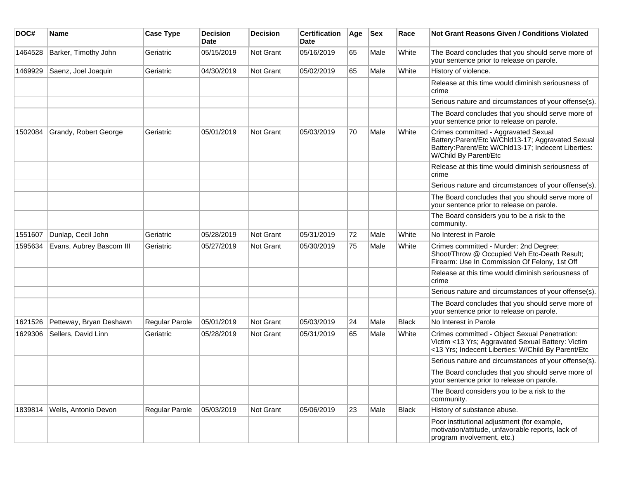| DOC#    | <b>Name</b>              | <b>Case Type</b>      | <b>Decision</b><br><b>Date</b> | <b>Decision</b>  | <b>Certification</b><br><b>Date</b> | Age | <b>Sex</b> | Race  | Not Grant Reasons Given / Conditions Violated                                                                                                                             |
|---------|--------------------------|-----------------------|--------------------------------|------------------|-------------------------------------|-----|------------|-------|---------------------------------------------------------------------------------------------------------------------------------------------------------------------------|
| 1464528 | Barker, Timothy John     | Geriatric             | 05/15/2019                     | Not Grant        | 05/16/2019                          | 65  | Male       | White | The Board concludes that you should serve more of<br>your sentence prior to release on parole.                                                                            |
| 1469929 | Saenz, Joel Joaquin      | Geriatric             | 04/30/2019                     | Not Grant        | 05/02/2019                          | 65  | Male       | White | History of violence.                                                                                                                                                      |
|         |                          |                       |                                |                  |                                     |     |            |       | Release at this time would diminish seriousness of<br>crime                                                                                                               |
|         |                          |                       |                                |                  |                                     |     |            |       | Serious nature and circumstances of your offense(s).                                                                                                                      |
|         |                          |                       |                                |                  |                                     |     |            |       | The Board concludes that you should serve more of<br>your sentence prior to release on parole.                                                                            |
| 1502084 | Grandy, Robert George    | Geriatric             | 05/01/2019                     | Not Grant        | 05/03/2019                          | 70  | Male       | White | Crimes committed - Aggravated Sexual<br>Battery:Parent/Etc W/Chld13-17; Aggravated Sexual<br>Battery:Parent/Etc W/Chld13-17; Indecent Liberties:<br>W/Child By Parent/Etc |
|         |                          |                       |                                |                  |                                     |     |            |       | Release at this time would diminish seriousness of<br>crime                                                                                                               |
|         |                          |                       |                                |                  |                                     |     |            |       | Serious nature and circumstances of your offense(s).                                                                                                                      |
|         |                          |                       |                                |                  |                                     |     |            |       | The Board concludes that you should serve more of<br>your sentence prior to release on parole.                                                                            |
|         |                          |                       |                                |                  |                                     |     |            |       | The Board considers you to be a risk to the<br>community.                                                                                                                 |
| 1551607 | Dunlap, Cecil John       | Geriatric             | 05/28/2019                     | Not Grant        | 05/31/2019                          | 72  | Male       | White | No Interest in Parole                                                                                                                                                     |
| 1595634 | Evans, Aubrey Bascom III | Geriatric             | 05/27/2019                     | Not Grant        | 05/30/2019                          | 75  | Male       | White | Crimes committed - Murder: 2nd Degree;<br>Shoot/Throw @ Occupied Veh Etc-Death Result;<br>Firearm: Use In Commission Of Felony, 1st Off                                   |
|         |                          |                       |                                |                  |                                     |     |            |       | Release at this time would diminish seriousness of<br>crime                                                                                                               |
|         |                          |                       |                                |                  |                                     |     |            |       | Serious nature and circumstances of your offense(s).                                                                                                                      |
|         |                          |                       |                                |                  |                                     |     |            |       | The Board concludes that you should serve more of<br>your sentence prior to release on parole.                                                                            |
| 1621526 | Petteway, Bryan Deshawn  | <b>Regular Parole</b> | 05/01/2019                     | <b>Not Grant</b> | 05/03/2019                          | 24  | Male       | Black | No Interest in Parole                                                                                                                                                     |
| 1629306 | Sellers, David Linn      | Geriatric             | 05/28/2019                     | <b>Not Grant</b> | 05/31/2019                          | 65  | Male       | White | Crimes committed - Object Sexual Penetration:<br>Victim <13 Yrs; Aggravated Sexual Battery: Victim<br><13 Yrs; Indecent Liberties: W/Child By Parent/Etc                  |
|         |                          |                       |                                |                  |                                     |     |            |       | Serious nature and circumstances of your offense(s).                                                                                                                      |
|         |                          |                       |                                |                  |                                     |     |            |       | The Board concludes that you should serve more of<br>your sentence prior to release on parole.                                                                            |
|         |                          |                       |                                |                  |                                     |     |            |       | The Board considers you to be a risk to the<br>community.                                                                                                                 |
| 1839814 | Wells, Antonio Devon     | <b>Regular Parole</b> | 05/03/2019                     | Not Grant        | 05/06/2019                          | 23  | Male       | Black | History of substance abuse.                                                                                                                                               |
|         |                          |                       |                                |                  |                                     |     |            |       | Poor institutional adjustment (for example,<br>motivation/attitude, unfavorable reports, lack of<br>program involvement, etc.)                                            |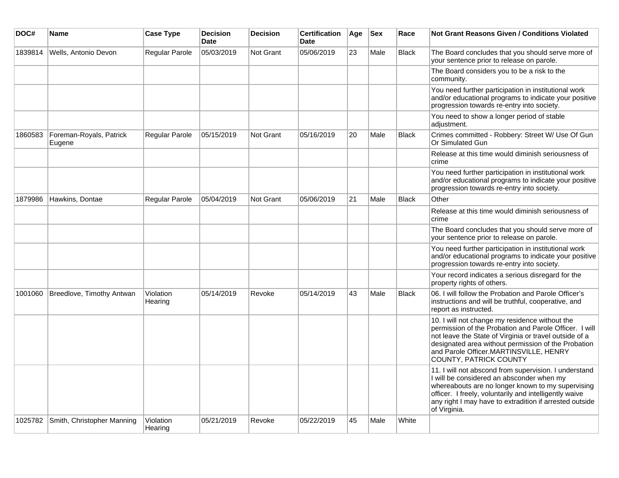| DOC#    | <b>Name</b>                       | <b>Case Type</b>     | <b>Decision</b><br><b>Date</b> | <b>Decision</b> | <b>Certification</b><br>Date | Age | <b>Sex</b> | Race         | <b>Not Grant Reasons Given / Conditions Violated</b>                                                                                                                                                                                                                                          |
|---------|-----------------------------------|----------------------|--------------------------------|-----------------|------------------------------|-----|------------|--------------|-----------------------------------------------------------------------------------------------------------------------------------------------------------------------------------------------------------------------------------------------------------------------------------------------|
| 1839814 | Wells, Antonio Devon              | Regular Parole       | 05/03/2019                     | Not Grant       | 05/06/2019                   | 23  | Male       | <b>Black</b> | The Board concludes that you should serve more of<br>your sentence prior to release on parole.                                                                                                                                                                                                |
|         |                                   |                      |                                |                 |                              |     |            |              | The Board considers you to be a risk to the<br>community.                                                                                                                                                                                                                                     |
|         |                                   |                      |                                |                 |                              |     |            |              | You need further participation in institutional work<br>and/or educational programs to indicate your positive<br>progression towards re-entry into society.                                                                                                                                   |
|         |                                   |                      |                                |                 |                              |     |            |              | You need to show a longer period of stable<br>adjustment.                                                                                                                                                                                                                                     |
| 1860583 | Foreman-Royals, Patrick<br>Eugene | Regular Parole       | 05/15/2019                     | Not Grant       | 05/16/2019                   | 20  | Male       | <b>Black</b> | Crimes committed - Robbery: Street W/ Use Of Gun<br>Or Simulated Gun                                                                                                                                                                                                                          |
|         |                                   |                      |                                |                 |                              |     |            |              | Release at this time would diminish seriousness of<br>crime                                                                                                                                                                                                                                   |
|         |                                   |                      |                                |                 |                              |     |            |              | You need further participation in institutional work<br>and/or educational programs to indicate your positive<br>progression towards re-entry into society.                                                                                                                                   |
| 1879986 | Hawkins, Dontae                   | Regular Parole       | 05/04/2019                     | Not Grant       | 05/06/2019                   | 21  | Male       | <b>Black</b> | Other                                                                                                                                                                                                                                                                                         |
|         |                                   |                      |                                |                 |                              |     |            |              | Release at this time would diminish seriousness of<br>crime                                                                                                                                                                                                                                   |
|         |                                   |                      |                                |                 |                              |     |            |              | The Board concludes that you should serve more of<br>your sentence prior to release on parole.                                                                                                                                                                                                |
|         |                                   |                      |                                |                 |                              |     |            |              | You need further participation in institutional work<br>and/or educational programs to indicate your positive<br>progression towards re-entry into society.                                                                                                                                   |
|         |                                   |                      |                                |                 |                              |     |            |              | Your record indicates a serious disregard for the<br>property rights of others.                                                                                                                                                                                                               |
| 1001060 | Breedlove, Timothy Antwan         | Violation<br>Hearing | 05/14/2019                     | Revoke          | 05/14/2019                   | 43  | Male       | <b>Black</b> | 06. I will follow the Probation and Parole Officer's<br>instructions and will be truthful, cooperative, and<br>report as instructed.                                                                                                                                                          |
|         |                                   |                      |                                |                 |                              |     |            |              | 10. I will not change my residence without the<br>permission of the Probation and Parole Officer. I will<br>not leave the State of Virginia or travel outside of a<br>designated area without permission of the Probation<br>and Parole Officer.MARTINSVILLE, HENRY<br>COUNTY, PATRICK COUNTY |
|         |                                   |                      |                                |                 |                              |     |            |              | 11. I will not abscond from supervision. I understand<br>I will be considered an absconder when my<br>whereabouts are no longer known to my supervising<br>officer. I freely, voluntarily and intelligently waive<br>any right I may have to extradition if arrested outside<br>of Virginia.  |
| 1025782 | Smith, Christopher Manning        | Violation<br>Hearing | 05/21/2019                     | Revoke          | 05/22/2019                   | 45  | Male       | White        |                                                                                                                                                                                                                                                                                               |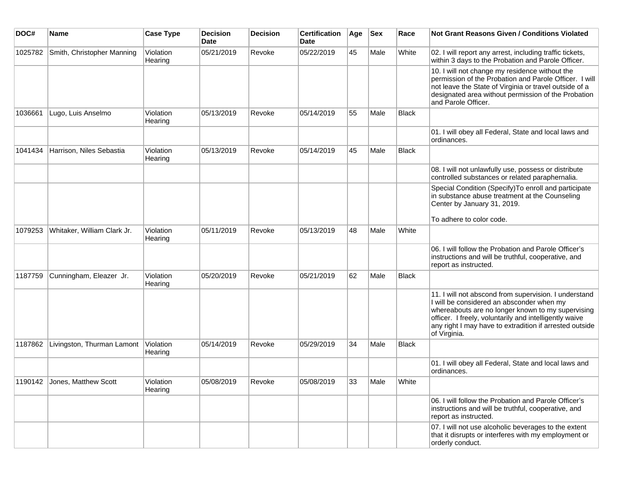| DOC#    | <b>Name</b>                  | <b>Case Type</b>     | <b>Decision</b><br><b>Date</b> | <b>Decision</b> | <b>Certification</b><br><b>Date</b> | Age | <b>Sex</b> | Race         | <b>Not Grant Reasons Given / Conditions Violated</b>                                                                                                                                                                                                                                         |
|---------|------------------------------|----------------------|--------------------------------|-----------------|-------------------------------------|-----|------------|--------------|----------------------------------------------------------------------------------------------------------------------------------------------------------------------------------------------------------------------------------------------------------------------------------------------|
| 1025782 | Smith, Christopher Manning   | Violation<br>Hearing | 05/21/2019                     | Revoke          | 05/22/2019                          | 45  | Male       | White        | 02. I will report any arrest, including traffic tickets,<br>within 3 days to the Probation and Parole Officer.                                                                                                                                                                               |
|         |                              |                      |                                |                 |                                     |     |            |              | 10. I will not change my residence without the<br>permission of the Probation and Parole Officer. I will<br>not leave the State of Virginia or travel outside of a<br>designated area without permission of the Probation<br>and Parole Officer.                                             |
| 1036661 | Lugo, Luis Anselmo           | Violation<br>Hearing | 05/13/2019                     | Revoke          | 05/14/2019                          | 55  | Male       | Black        |                                                                                                                                                                                                                                                                                              |
|         |                              |                      |                                |                 |                                     |     |            |              | 01. I will obey all Federal, State and local laws and<br>ordinances.                                                                                                                                                                                                                         |
| 1041434 | Harrison, Niles Sebastia     | Violation<br>Hearing | 05/13/2019                     | Revoke          | 05/14/2019                          | 45  | Male       | Black        |                                                                                                                                                                                                                                                                                              |
|         |                              |                      |                                |                 |                                     |     |            |              | 08. I will not unlawfully use, possess or distribute<br>controlled substances or related paraphernalia.                                                                                                                                                                                      |
|         |                              |                      |                                |                 |                                     |     |            |              | Special Condition (Specify) To enroll and participate<br>in substance abuse treatment at the Counseling<br>Center by January 31, 2019.                                                                                                                                                       |
|         |                              |                      |                                |                 |                                     |     |            |              | To adhere to color code.                                                                                                                                                                                                                                                                     |
| 1079253 | Whitaker, William Clark Jr.  | Violation<br>Hearing | 05/11/2019                     | Revoke          | 05/13/2019                          | 48  | Male       | White        |                                                                                                                                                                                                                                                                                              |
|         |                              |                      |                                |                 |                                     |     |            |              | 06. I will follow the Probation and Parole Officer's<br>instructions and will be truthful, cooperative, and<br>report as instructed.                                                                                                                                                         |
| 1187759 | Cunningham, Eleazer Jr.      | Violation<br>Hearing | 05/20/2019                     | Revoke          | 05/21/2019                          | 62  | Male       | Black        |                                                                                                                                                                                                                                                                                              |
|         |                              |                      |                                |                 |                                     |     |            |              | 11. I will not abscond from supervision. I understand<br>I will be considered an absconder when my<br>whereabouts are no longer known to my supervising<br>officer. I freely, voluntarily and intelligently waive<br>any right I may have to extradition if arrested outside<br>of Virginia. |
| 1187862 | Livingston, Thurman Lamont   | Violation<br>Hearing | 05/14/2019                     | Revoke          | 05/29/2019                          | 34  | Male       | <b>Black</b> |                                                                                                                                                                                                                                                                                              |
|         |                              |                      |                                |                 |                                     |     |            |              | 01. I will obey all Federal, State and local laws and<br>ordinances.                                                                                                                                                                                                                         |
|         | 1190142 Jones, Matthew Scott | Violation<br>Hearing | 05/08/2019                     | Revoke          | 05/08/2019                          | 33  | Male       | White        |                                                                                                                                                                                                                                                                                              |
|         |                              |                      |                                |                 |                                     |     |            |              | 06. I will follow the Probation and Parole Officer's<br>instructions and will be truthful, cooperative, and<br>report as instructed.                                                                                                                                                         |
|         |                              |                      |                                |                 |                                     |     |            |              | 07. I will not use alcoholic beverages to the extent<br>that it disrupts or interferes with my employment or<br>orderly conduct.                                                                                                                                                             |